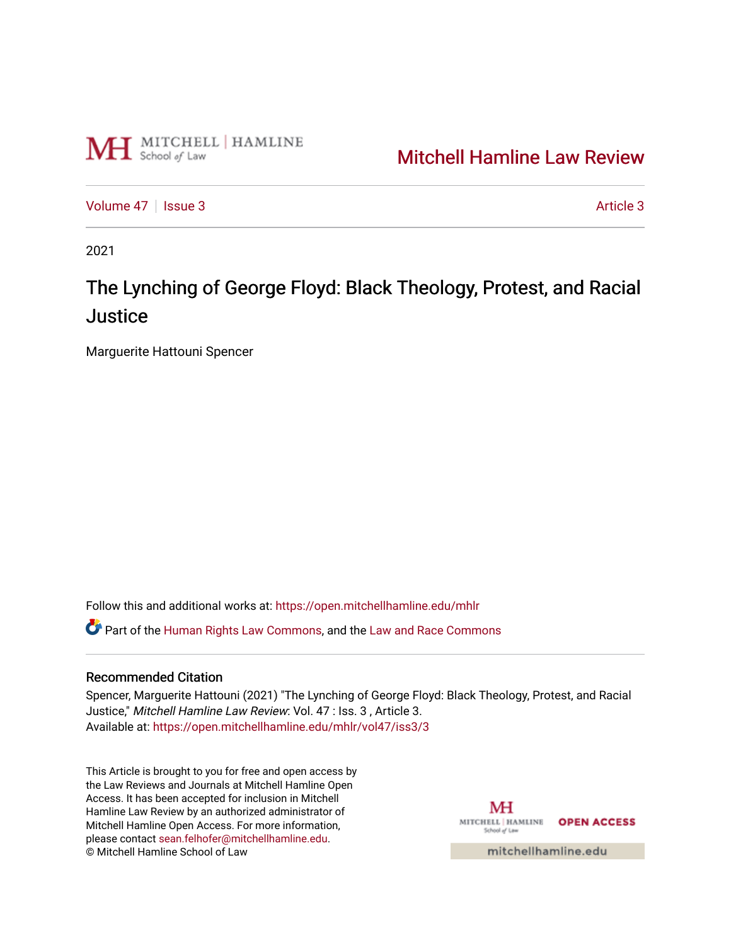

## [Mitchell Hamline Law Review](https://open.mitchellhamline.edu/mhlr)

[Volume 47](https://open.mitchellhamline.edu/mhlr/vol47) | [Issue 3](https://open.mitchellhamline.edu/mhlr/vol47/iss3) Article 3

2021

# The Lynching of George Floyd: Black Theology, Protest, and Racial **Justice**

Marguerite Hattouni Spencer

Follow this and additional works at: [https://open.mitchellhamline.edu/mhlr](https://open.mitchellhamline.edu/mhlr?utm_source=open.mitchellhamline.edu%2Fmhlr%2Fvol47%2Fiss3%2F3&utm_medium=PDF&utm_campaign=PDFCoverPages) 

Part of the [Human Rights Law Commons,](http://network.bepress.com/hgg/discipline/847?utm_source=open.mitchellhamline.edu%2Fmhlr%2Fvol47%2Fiss3%2F3&utm_medium=PDF&utm_campaign=PDFCoverPages) and the [Law and Race Commons](http://network.bepress.com/hgg/discipline/1300?utm_source=open.mitchellhamline.edu%2Fmhlr%2Fvol47%2Fiss3%2F3&utm_medium=PDF&utm_campaign=PDFCoverPages)

## Recommended Citation

Spencer, Marguerite Hattouni (2021) "The Lynching of George Floyd: Black Theology, Protest, and Racial Justice," Mitchell Hamline Law Review: Vol. 47 : Iss. 3 , Article 3. Available at: [https://open.mitchellhamline.edu/mhlr/vol47/iss3/3](https://open.mitchellhamline.edu/mhlr/vol47/iss3/3?utm_source=open.mitchellhamline.edu%2Fmhlr%2Fvol47%2Fiss3%2F3&utm_medium=PDF&utm_campaign=PDFCoverPages) 

This Article is brought to you for free and open access by the Law Reviews and Journals at Mitchell Hamline Open Access. It has been accepted for inclusion in Mitchell Hamline Law Review by an authorized administrator of Mitchell Hamline Open Access. For more information, please contact [sean.felhofer@mitchellhamline.edu.](mailto:sean.felhofer@mitchellhamline.edu) © Mitchell Hamline School of Law

MH MITCHELL | HAMLINE **OPEN ACCESS** School of Law

mitchellhamline.edu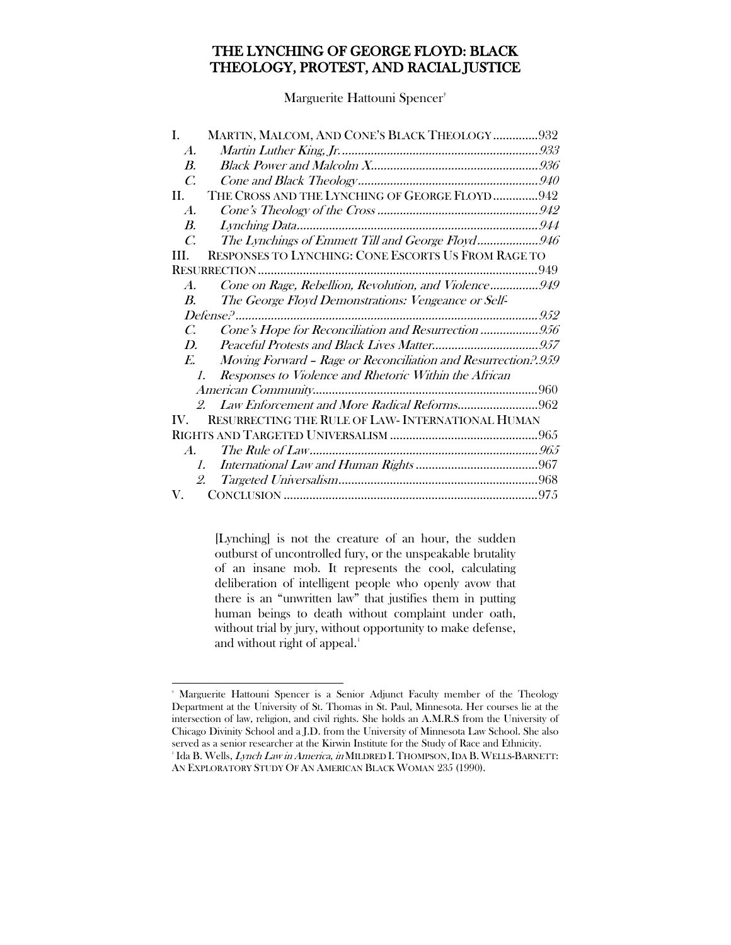## THE LYNCHING OF GEORGE FLOYD: BLACK THEOLOGY, PROTEST, AND RACIAL JUSTICE

Marguerite Hattouni Spencer†

| L.                      | MARTIN, MALCOM, AND CONE'S BLACK THEOLOGY 932                                                                          |  |
|-------------------------|------------------------------------------------------------------------------------------------------------------------|--|
| $\boldsymbol{A}$ .      |                                                                                                                        |  |
| $\boldsymbol{B}$ .      |                                                                                                                        |  |
| $\mathcal{C}$           |                                                                                                                        |  |
| II.                     | THE CROSS AND THE LYNCHING OF GEORGE FLOYD942                                                                          |  |
| $\boldsymbol{A}$ .      |                                                                                                                        |  |
| $\boldsymbol{B}$ .      |                                                                                                                        |  |
| $\mathcal{C}$ .         | The Lynchings of Emmett Till and George Floyd946                                                                       |  |
| HL.                     | RESPONSES TO LYNCHING: CONE ESCORTS US FROM RAGE TO                                                                    |  |
|                         |                                                                                                                        |  |
| $\boldsymbol{A}$ .      | Cone on Rage, Rebellion, Revolution, and Violence949                                                                   |  |
| $\boldsymbol{B}$        | The George Floyd Demonstrations: Vengeance or Self-                                                                    |  |
|                         |                                                                                                                        |  |
| C.                      | Cone's Hope for Reconciliation and Resurrection 956                                                                    |  |
| $D_{\cdot}$             |                                                                                                                        |  |
|                         |                                                                                                                        |  |
| $E_{\rm c}$             |                                                                                                                        |  |
| 1.                      | Moving Forward - Rage or Reconciliation and Resurrection?.959<br>Responses to Violence and Rhetoric Within the African |  |
|                         |                                                                                                                        |  |
|                         | Law Enforcement and More Radical Reforms962<br>$\mathcal{Q}$                                                           |  |
| $\mathbf{I} \mathbf{V}$ | RESURRECTING THE RULE OF LAW- INTERNATIONAL HUMAN                                                                      |  |
|                         |                                                                                                                        |  |
| $\boldsymbol{A}$ .      |                                                                                                                        |  |
| $I_{\cdot}$             |                                                                                                                        |  |
| 2.                      |                                                                                                                        |  |

[Lynching] is not the creature of an hour, the sudden outburst of uncontrolled fury, or the unspeakable brutality of an insane mob. It represents the cool, calculating deliberation of intelligent people who openly avow that there is an "unwritten law" that justifies them in putting human beings to death without complaint under oath, without trial by jury, without opportunity to make defense, and without right of appeal.<sup>[1](#page-1-0)</sup>

<span id="page-1-0"></span> $\overline{a}$ † Marguerite Hattouni Spencer is a Senior Adjunct Faculty member of the Theology Department at the University of St. Thomas in St. Paul, Minnesota. Her courses lie at the intersection of law, religion, and civil rights. She holds an A.M.R.S from the University of Chicago Divinity School and a J.D. from the University of Minnesota Law School. She also served as a senior researcher at the Kirwin Institute for the Study of Race and Ethnicity. <sup>1</sup> Ida B. Wells, *Lynch Law in America, in* MILDRED I. THOMPSON, IDA B. WELLS-BARNETT: AN EXPLORATORY STUDY OF AN AMERICAN BLACK WOMAN 235 (1990).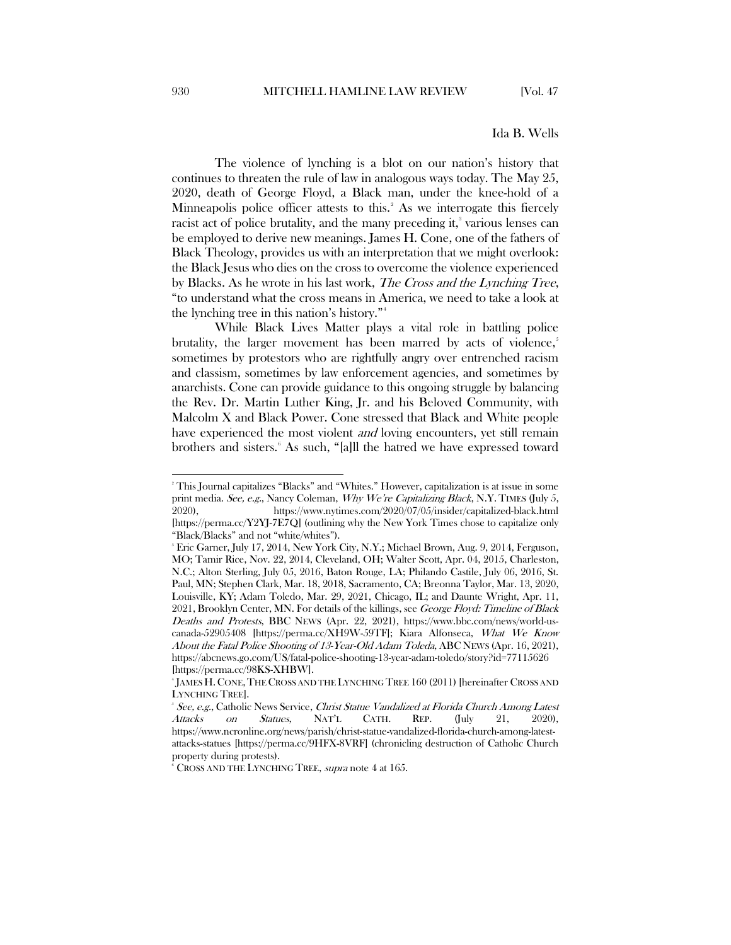#### <span id="page-2-0"></span>Ida B. Wells

The violence of lynching is a blot on our nation's history that continues to threaten the rule of law in analogous ways today. The May 25, 2020, death of George Floyd, a Black man, under the knee-hold of a Minneapolis police officer attests to this.<sup>[2](#page-2-1)</sup> As we interrogate this fiercely racist act of police brutality, and the many preceding it,<sup>3</sup> various lenses can be employed to derive new meanings. James H. Cone, one of the fathers of Black Theology, provides us with an interpretation that we might overlook: the Black Jesus who dies on the cross to overcome the violence experienced by Blacks. As he wrote in his last work, The Cross and the Lynching Tree, "to understand what the cross means in America, we need to take a look at the lynching tree in this nation's history."[4](#page-2-3)

While Black Lives Matter plays a vital role in battling police brutality, the larger movement has been marred by acts of violence, $\dot{i}$ sometimes by protestors who are rightfully angry over entrenched racism and classism, sometimes by law enforcement agencies, and sometimes by anarchists. Cone can provide guidance to this ongoing struggle by balancing the Rev. Dr. Martin Luther King, Jr. and his Beloved Community, with Malcolm X and Black Power. Cone stressed that Black and White people have experienced the most violent *and* loving encounters, yet still remain brothers and sisters. As such, "[a]ll the hatred we have expressed toward

<span id="page-2-1"></span> $\frac{1}{2}$ This Journal capitalizes "Blacks" and "Whites." However, capitalization is at issue in some print media. See, e.g., Nancy Coleman, Why We're Capitalizing Black, N.Y. TIMES (July 5, 2020), https://www.nytimes.com/2020/07/05/insider/capitalized-black.html [https://perma.cc/Y2YJ-7E7Q] (outlining why the New York Times chose to capitalize only "Black/Blacks" and not "white/whites").

<span id="page-2-2"></span><sup>3</sup> Eric Garner, July 17, 2014, New York City, N.Y.; Michael Brown, Aug. 9, 2014, Ferguson, MO; Tamir Rice, Nov. 22, 2014, Cleveland, OH; Walter Scott, Apr. 04, 2015, Charleston, N.C.; Alton Sterling, July 05, 2016, Baton Rouge, LA; Philando Castile, July 06, 2016, St. Paul, MN; Stephen Clark, Mar. 18, 2018, Sacramento, CA; Breonna Taylor, Mar. 13, 2020, Louisville, KY; Adam Toledo, Mar. 29, 2021, Chicago, IL; and Daunte Wright, Apr. 11, 2021, Brooklyn Center, MN. For details of the killings, see George Floyd: Timeline of Black Deaths and Protests, BBC NEWS (Apr. 22, 2021), https://www.bbc.com/news/world-uscanada-52905408 [https://perma.cc/XH9W-59TF]; Kiara Alfonseca, What We Know About the Fatal Police Shooting of 13-Year-Old Adam Toleda, ABC NEWS (Apr. 16, 2021), https://abcnews.go.com/US/fatal-police-shooting-13-year-adam-toledo/story?id=77115626 [https://perma.cc/98KS-XHBW].

<span id="page-2-3"></span><sup>4</sup> JAMES H.CONE,THE CROSS AND THE LYNCHING TREE 160 (2011) [hereinafter CROSS AND LYNCHING TREE].

<span id="page-2-4"></span>See, e.g., Catholic News Service, Christ Statue Vandalized at Florida Church Among Latest Attacks on Statues, NAT'L CATH. REP. (July 21, 2020), https://www.ncronline.org/news/parish/christ-statue-vandalized-florida-church-among-latestattacks-statues [https://perma.cc/9HFX-8VRF] (chronicling destruction of Catholic Church property during protests).

<span id="page-2-5"></span> $\textdegree$  Cross and the Lynching Tree, supra not[e 4](#page-2-0) at 165.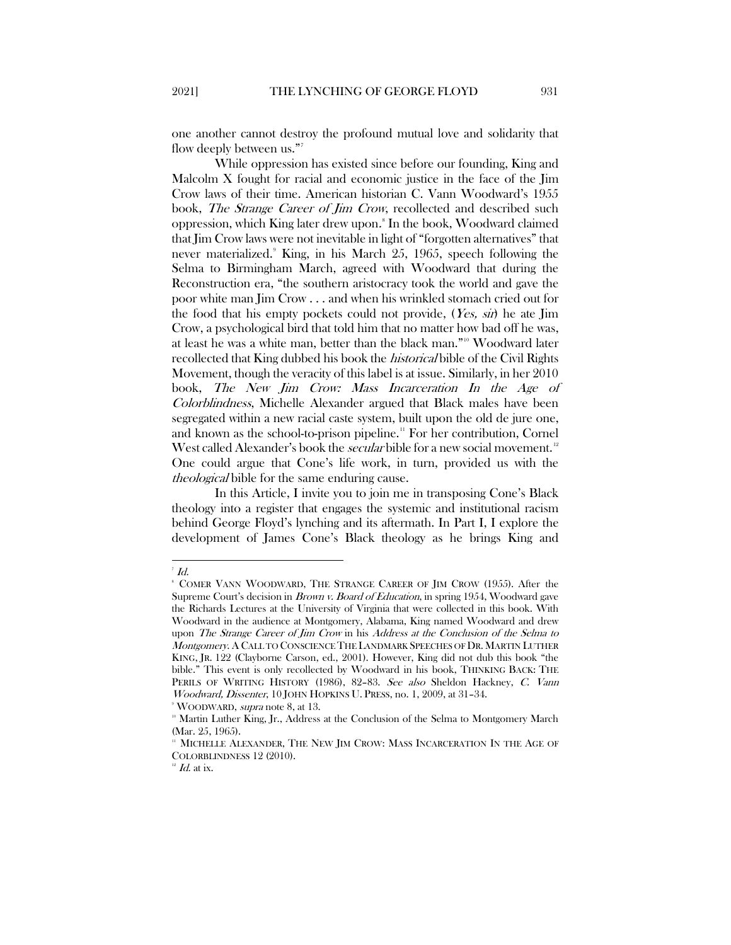one another cannot destroy the profound mutual love and solidarity that flow deeply between us."<sup>[7](#page-3-0)</sup>

While oppression has existed since before our founding, King and Malcolm X fought for racial and economic justice in the face of the Jim Crow laws of their time. American historian C. Vann Woodward's 1955 book, The Strange Career of Jim Crow, recollected and described such oppression, which King later drew upon. [8](#page-3-1) In the book, Woodward claimed that Jim Crow laws were not inevitable in light of "forgotten alternatives" that never materialized.<sup>[9](#page-3-2)</sup> King, in his March 25, 1965, speech following the Selma to Birmingham March, agreed with Woodward that during the Reconstruction era, "the southern aristocracy took the world and gave the poor white man Jim Crow . . . and when his wrinkled stomach cried out for the food that his empty pockets could not provide, (Yes, sir) he ate Jim Crow, a psychological bird that told him that no matter how bad off he was, at least he was a white man, better than the black man."[10](#page-3-3) Woodward later recollected that King dubbed his book the *historical* bible of the Civil Rights Movement, though the veracity of this label is at issue. Similarly, in her 2010 book, The New Jim Crow: Mass Incarceration In the Age of Colorblindness, Michelle Alexander argued that Black males have been segregated within a new racial caste system, built upon the old de jure one, and known as the school-to-prison pipeline.<sup>[11](#page-3-4)</sup> For her contribution, Cornel West called Alexander's book the *secular* bible for a new social movement.<sup>[12](#page-3-5)</sup> One could argue that Cone's life work, in turn, provided us with the *theological* bible for the same enduring cause.

In this Article, I invite you to join me in transposing Cone's Black theology into a register that engages the systemic and institutional racism behind George Floyd's lynching and its aftermath. In Part I, I explore the development of James Cone's Black theology as he brings King and

<span id="page-3-0"></span> $\frac{1}{7}$  $^7$  Id.

<span id="page-3-1"></span><sup>8</sup> COMER VANN WOODWARD, THE STRANGE CAREER OF JIM CROW (1955). After the Supreme Court's decision in *[Brown v. Board of Education](https://en.wikipedia.org/wiki/Brown_v._Board_of_Education)*, in spring 1954, Woodward gave the Richards Lectures at the University of Virginia that were collected in this book. With Woodward in the audience at Montgomery, Alabama, [King](https://en.wikipedia.org/wiki/Martin_Luther_King,_Jr.) named Woodward and drew upon The Strange Career of Jim Crow in his Address at the Conclusion of the Selma to Montgomery. A CALL TO CONSCIENCE THE LANDMARK SPEECHES OF DR. MARTIN LUTHER KING, JR. 122 (Clayborne Carson, ed., 2001). However, King did not dub this book "the bible." This event is only recollected by Woodward in his book, THINKING BACK: THE PERILS OF WRITING HISTORY (1986), 82–83. See also Sheldon Hackney, C. Vann Woodward, Dissenter, 10 JOHN HOPKINS U. PRESS, no. 1, 2009, at 31–34.

<sup>&</sup>lt;sup>9</sup> WOODWARD, *supra* note 8, at 13.

<span id="page-3-3"></span><span id="page-3-2"></span> $10<sup>10</sup>$  Martin Luther King, Jr., Address at the Conclusion of the Selma to Montgomery March (Mar. 25, 1965).

<span id="page-3-4"></span>MICHELLE ALEXANDER, THE NEW JIM CROW: MASS INCARCERATION IN THE AGE OF COLORBLINDNESS 12 (2010).

<span id="page-3-5"></span> $12$  Id. at ix.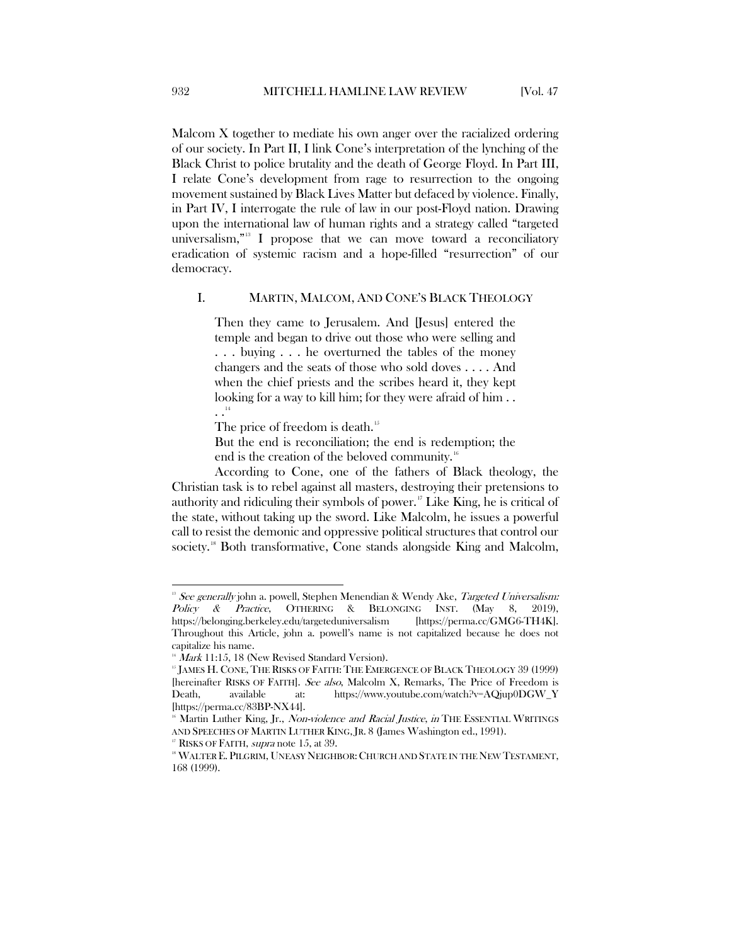Malcom X together to mediate his own anger over the racialized ordering of our society. In Part II, I link Cone's interpretation of the lynching of the Black Christ to police brutality and the death of George Floyd. In Part III, I relate Cone's development from rage to resurrection to the ongoing movement sustained by Black Lives Matter but defaced by violence. Finally, in Part IV, I interrogate the rule of law in our post-Floyd nation. Drawing upon the international law of human rights and a strategy called "targeted universalism,"[13](#page-4-1) I propose that we can move toward a reconciliatory eradication of systemic racism and a hope-filled "resurrection" of our democracy.

#### <span id="page-4-0"></span>I. MARTIN, MALCOM, AND CONE'S BLACK THEOLOGY

Then they came to Jerusalem. And [Jesus] entered the temple and began to drive out those who were selling and . . . buying . . . he overturned the tables of the money changers and the seats of those who sold doves . . . . And when the chief priests and the scribes heard it, they kept looking for a way to kill him; for they were afraid of him... . .[14](#page-4-2)

The price of freedom is death.<sup>[15](#page-4-3)</sup>

But the end is reconciliation; the end is redemption; the end is the creation of the beloved community.<sup>[16](#page-4-4)</sup>

According to Cone, one of the fathers of Black theology, the Christian task is to rebel against all masters, destroying their pretensions to authority and ridiculing their symbols of power. [17](#page-4-5) Like King, he is critical of the state, without taking up the sword. Like Malcolm, he issues a powerful call to resist the demonic and oppressive political structures that control our society.<sup>[18](#page-4-6)</sup> Both transformative, Cone stands alongside King and Malcolm,

<span id="page-4-1"></span><sup>&</sup>lt;sup>13</sup> See generally john a. powell, Stephen Menendian & Wendy Ake, *Targeted Universalism:*<br> *Policy* & *Practice*, OTHERING & BELONGING INST. (May 8, 2019),  $Policy & Practice, OTHENG & BELONGING$ https://belonging.berkeley.edu/targeteduniversalism [https://perma.cc/GMG6-TH4K]. Throughout this Article, john a. powell's name is not capitalized because he does not capitalize his name.

<span id="page-4-3"></span><span id="page-4-2"></span> $14$  Mark 11:15, 18 (New Revised Standard Version).

<sup>&</sup>lt;sup>15</sup> JAMES H. CONE, THE RISKS OF FAITH: THE EMERGENCE OF BLACK THEOLOGY 39 (1999) [hereinafter RISKS OF FAITH]. See also, Malcolm X, Remarks, The Price of Freedom is Death, available at: https://www.youtube.com/watch?v=AQjup0DGW\_Y [https://perma.cc/83BP-NX44].

<span id="page-4-4"></span>Martin Luther King, Jr., Non-violence and Racial Justice, in THE ESSENTIAL WRITINGS AND SPEECHES OF MARTIN LUTHER KING, JR. 8 (James Washington ed., 1991). <sup>17</sup> RISKS OF FAITH, *supra* note 15, at 39.

<span id="page-4-6"></span><span id="page-4-5"></span><sup>&</sup>lt;sup>18</sup> WALTER E. PILGRIM, UNEASY NEIGHBOR: CHURCH AND STATE IN THE NEW TESTAMENT, 168 (1999).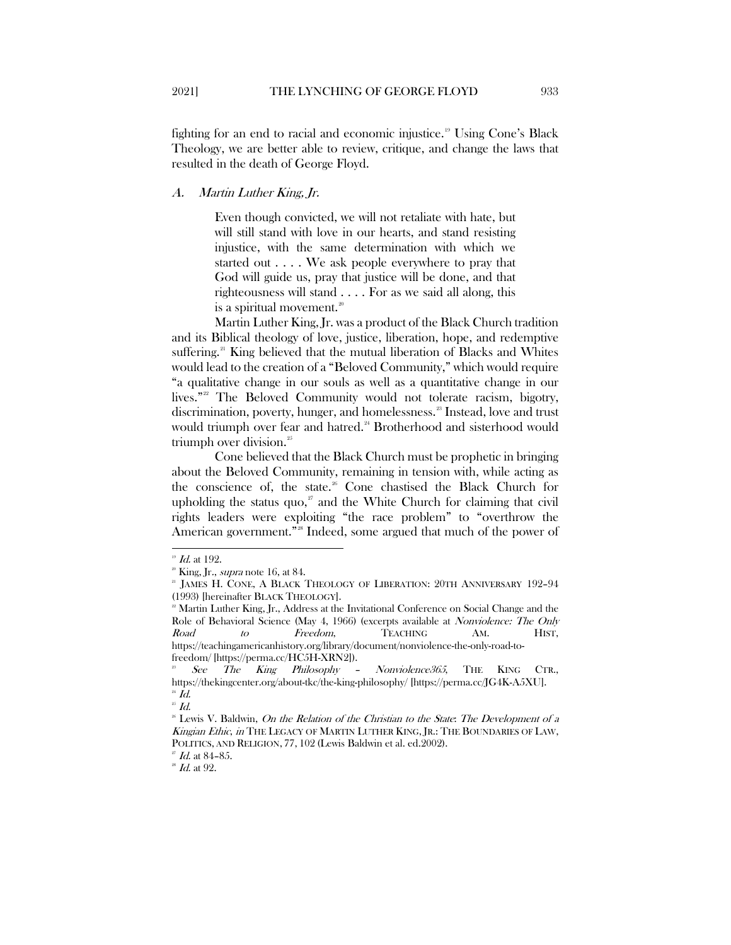fighting for an end to racial and economic injustice.<sup>[19](#page-5-1)</sup> Using Cone's Black Theology, we are better able to review, critique, and change the laws that resulted in the death of George Floyd.

#### <span id="page-5-0"></span>A. Martin Luther King, Jr.

Even though convicted, we will not retaliate with hate, but will still stand with love in our hearts, and stand resisting injustice, with the same determination with which we started out . . . . We ask people everywhere to pray that God will guide us, pray that justice will be done, and that righteousness will stand . . . . For as we said all along, this is a spiritual movement. $20$ 

Martin Luther King, Jr. was a product of the Black Church tradition and its Biblical theology of love, justice, liberation, hope, and redemptive suffering.<sup>[21](#page-5-3)</sup> King believed that the mutual liberation of Blacks and Whites would lead to the creation of a "Beloved Community," which would require "a qualitative change in our souls as well as a quantitative change in our lives."<sup>[22](#page-5-4)</sup> The Beloved Community would not tolerate racism, bigotry, discrimination, poverty, hunger, and homelessness.<sup>[23](#page-5-5)</sup> Instead, love and trust would triumph over fear and hatred.<sup>[24](#page-5-6)</sup> Brotherhood and sisterhood would triumph over division.<sup>[25](#page-5-7)</sup>

Cone believed that the Black Church must be prophetic in bringing about the Beloved Community, remaining in tension with, while acting as the conscience of, the state.<sup>[26](#page-5-8)</sup> Cone chastised the Black Church for upholding the status quo, $\alpha$  and the White Church for claiming that civil rights leaders were exploiting "the race problem" to "overthrow the American government."<sup>[28](#page-5-10)</sup> Indeed, some argued that much of the power of

 $\overline{a}$ 

<span id="page-5-7"></span><span id="page-5-6"></span> $^{\mathrm{25}}$   $\mathit{Id}.$ 

 $^{19}$  Id. at 192.

<span id="page-5-3"></span><span id="page-5-2"></span><span id="page-5-1"></span> $2^{\circ}$  King, Jr., *supra* note 16, at 84.

<sup>&</sup>lt;sup>21</sup> JAMES H. CONE, A BLACK THEOLOGY OF LIBERATION: 20TH ANNIVERSARY 192-94 (1993) [hereinafter BLACK THEOLOGY].

<span id="page-5-4"></span><sup>&</sup>lt;sup>22</sup> Martin Luther King, Jr., Address at the Invitational Conference on Social Change and the Role of Behavioral Science (May 4, 1966) (excerpts available at *Nonviolence: The Only* Road to Freedom, TEACHING AM. HIST, https://teachingamericanhistory.org/library/document/nonviolence-the-only-road-to-

<span id="page-5-5"></span>freedom/ [https://perma.cc/HC5H-XRN2]).<br><sup>23</sup> See The King Philosophy - Nonviolence365, THE KING CTR., https://thekingcenter.org/about-tkc/the-king-philosophy/ [https://perma.cc/JG4K-A5XU].  $^{24}$  Id.

<span id="page-5-8"></span> $26$  Lewis V. Baldwin, On the Relation of the Christian to the State: The Development of a Kingian Ethic, in THE LEGACY OF MARTIN LUTHER KING, IR.: THE BOUNDARIES OF LAW, POLITICS, AND RELIGION, 77, 102 (Lewis Baldwin et al. ed.2002).

 $\overline{27}$  Id. at 84-85.

<span id="page-5-10"></span><span id="page-5-9"></span> $^{\textrm{\tiny{\textup{28}}}}$   $\emph{Id.}$  at 92.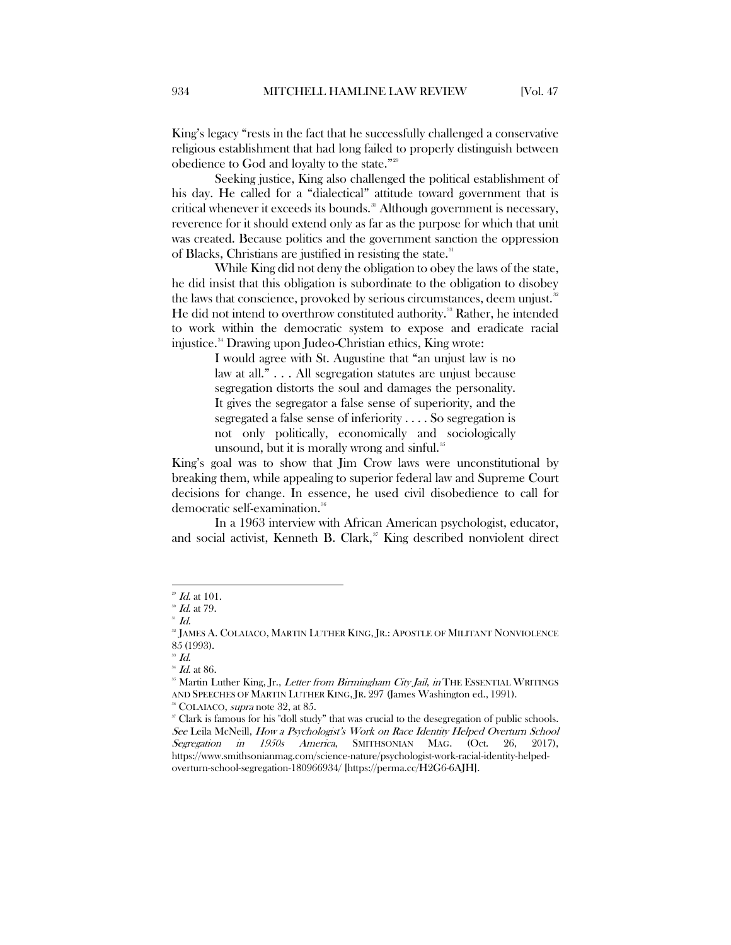King's legacy "rests in the fact that he successfully challenged a conservative religious establishment that had long failed to properly distinguish between obedience to God and loyalty to the state."[29](#page-6-0)

Seeking justice, King also challenged the political establishment of his day. He called for a "dialectical" attitude toward government that is critical whenever it exceeds its bounds.<sup>[30](#page-6-1)</sup> Although government is necessary, reverence for it should extend only as far as the purpose for which that unit was created. Because politics and the government sanction the oppression of Blacks, Christians are justified in resisting the state.<sup>[31](#page-6-2)</sup>

While King did not deny the obligation to obey the laws of the state, he did insist that this obligation is subordinate to the obligation to disobey the laws that conscience, provoked by serious circumstances, deem unjust.<sup>[32](#page-6-3)</sup> He did not intend to overthrow constituted authority.<sup>[33](#page-6-4)</sup> Rather, he intended to work within the democratic system to expose and eradicate racial injustice.<sup>34</sup> Drawing upon Judeo-Christian ethics, King wrote:

> I would agree with St. Augustine that "an unjust law is no law at all." . . . All segregation statutes are unjust because segregation distorts the soul and damages the personality. It gives the segregator a false sense of superiority, and the segregated a false sense of inferiority . . . . So segregation is not only politically, economically and sociologically unsound, but it is morally wrong and sinful.<sup>[35](#page-6-6)</sup>

King's goal was to show that Jim Crow laws were unconstitutional by breaking them, while appealing to superior federal law and Supreme Court decisions for change. In essence, he used civil disobedience to call for democratic self-examination.<sup>[36](#page-6-7)</sup>

In a 1963 interview with African American psychologist, educator, and social activist, Kenneth B. Clark, $\mathcal{I}$  King described nonviolent direct

 $^{29}$  *Id.* at 101.

<span id="page-6-1"></span><span id="page-6-0"></span> $\frac{30}{31}$  *Id.* at 79.

<span id="page-6-3"></span><span id="page-6-2"></span><sup>&</sup>lt;sup>32</sup> JAMES A. COLAIACO, MARTIN LUTHER KING, JR.: APOSTLE OF MILITANT NONVIOLENCE 85 (1993).

 $^{33}$  Id.

<span id="page-6-6"></span><span id="page-6-5"></span><span id="page-6-4"></span> $34$  Id. at 86.<br> $35$  Martin Luther King, Jr., *Letter from Birmingham City Jail, in* THE ESSENTIAL WRITINGS AND SPEECHES OF MARTIN LUTHER KING, JR. 297 (James Washington ed., 1991). <sup>36</sup> COLAIACO, *supra* note 32, at 85.

<span id="page-6-8"></span><span id="page-6-7"></span><sup>37</sup> Clark is famous for his "doll study" that was crucial to the desegregation of public schools. See Leila McNeill, How a Psychologist's Work on Race Identity Helped Overturn School Segregation in 1950s America, SMITHSONIAN MAG. (Oct. 26, 2017), https://www.smithsonianmag.com/science-nature/psychologist-work-racial-identity-helpedoverturn-school-segregation-180966934/ [https://perma.cc/H2G6-6AJH].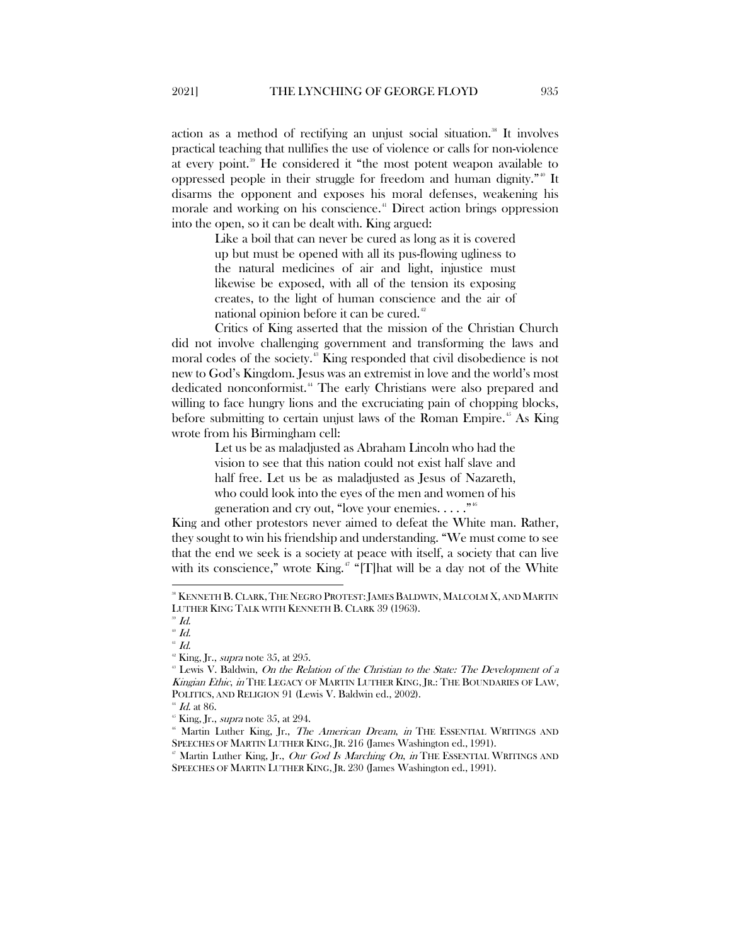action as a method of rectifying an unjust social situation.<sup>[38](#page-7-0)</sup> It involves practical teaching that nullifies the use of violence or calls for non-violence at every point.<sup>[39](#page-7-1)</sup> He considered it "the most potent weapon available to oppressed people in their struggle for freedom and human dignity."[40](#page-7-2) It disarms the opponent and exposes his moral defenses, weakening his morale and working on his conscience.<sup>[41](#page-7-3)</sup> Direct action brings oppression into the open, so it can be dealt with. King argued:

> Like a boil that can never be cured as long as it is covered up but must be opened with all its pus-flowing ugliness to the natural medicines of air and light, injustice must likewise be exposed, with all of the tension its exposing creates, to the light of human conscience and the air of national opinion before it can be cured.<sup>[42](#page-7-4)</sup>

Critics of King asserted that the mission of the Christian Church did not involve challenging government and transforming the laws and moral codes of the society.<sup>[43](#page-7-5)</sup> King responded that civil disobedience is not new to God's Kingdom. Jesus was an extremist in love and the world's most dedicated nonconformist.[44](#page-7-6) The early Christians were also prepared and willing to face hungry lions and the excruciating pain of chopping blocks, before submitting to certain unjust laws of the Roman Empire.<sup>[45](#page-7-7)</sup> As King wrote from his Birmingham cell:

> Let us be as maladjusted as Abraham Lincoln who had the vision to see that this nation could not exist half slave and half free. Let us be as maladjusted as Jesus of Nazareth, who could look into the eyes of the men and women of his generation and cry out, "love your enemies.  $\dots$ ."<sup>[46](#page-7-8)</sup>

King and other protestors never aimed to defeat the White man. Rather, they sought to win his friendship and understanding. "We must come to see that the end we seek is a society at peace with itself, a society that can live with its conscience," wrote King. $47$  "[T]hat will be a day not of the White

<span id="page-7-4"></span> $41$  Id.

<span id="page-7-6"></span> $H$  Id. at 86.

<span id="page-7-0"></span> <sup>38</sup> KENNETH B.CLARK,THE NEGRO PROTEST:JAMES BALDWIN, MALCOLM X, AND MARTIN LUTHER KING TALK WITH KENNETH B. CLARK 39 (1963).

 $39$  Id.

<span id="page-7-3"></span><span id="page-7-2"></span><span id="page-7-1"></span> $^\circledR$  Id.

 $\rm{4}^{\circ}$  King, Jr., *supra* note 35, at 295.

<span id="page-7-5"></span><sup>&</sup>lt;sup>43</sup> Lewis V. Baldwin, On the Relation of the Christian to the State: The Development of a Kingian Ethic, in THE LEGACY OF MARTIN LUTHER KING, JR.: THE BOUNDARIES OF LAW, POLITICS, AND RELIGION 91 (Lewis V. Baldwin ed., 2002).

 $\mathrm{^{45}}$  King, Jr., *supra* note 35, at 294.

<span id="page-7-8"></span><span id="page-7-7"></span> $^{46}$  Martin Luther King, Jr., *The American Dream*, *in* THE ESSENTIAL WRITINGS AND SPEECHES OF MARTIN LUTHER KING, JR. 216 (James Washington ed., 1991).

<span id="page-7-9"></span> $\mathbb{Z}^n$  Martin Luther King, Jr., Our God Is Marching On, in THE ESSENTIAL WRITINGS AND SPEECHES OF MARTIN LUTHER KING, JR. 230 (James Washington ed., 1991).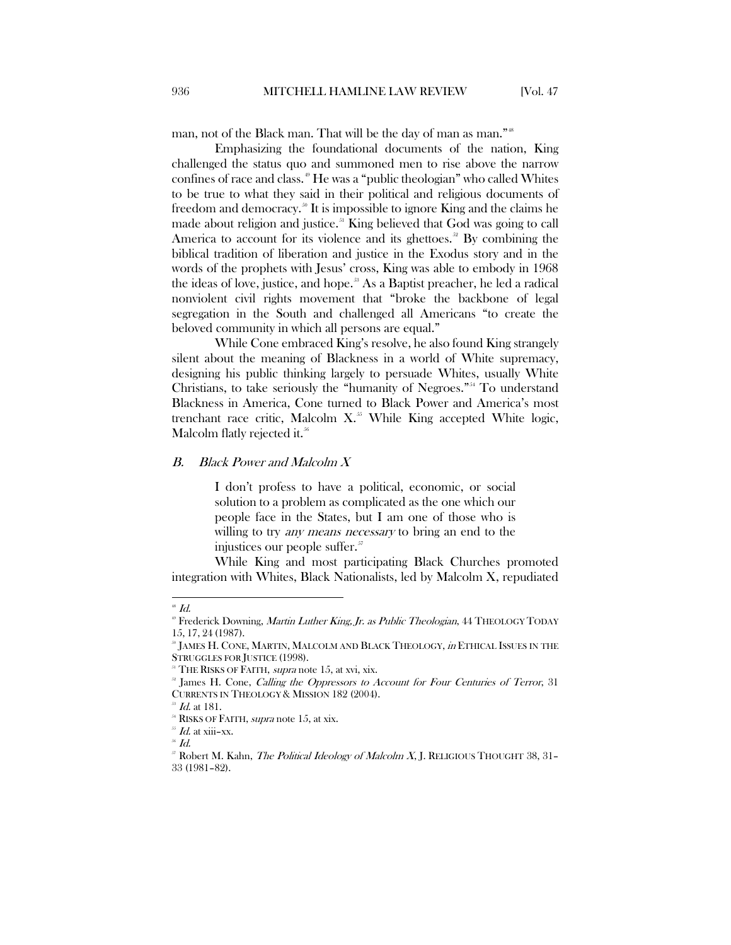man, not of the Black man. That will be the day of man as man."<sup>[48](#page-8-1)</sup>

Emphasizing the foundational documents of the nation, King challenged the status quo and summoned men to rise above the narrow confines of race and class.[49](#page-8-2) He was a "public theologian" who called Whites to be true to what they said in their political and religious documents of freedom and democracy.<sup>[50](#page-8-3)</sup> It is impossible to ignore King and the claims he made about religion and justice.<sup>[51](#page-8-4)</sup> King believed that God was going to call America to account for its violence and its ghettoes.<sup>[52](#page-8-5)</sup> By combining the biblical tradition of liberation and justice in the Exodus story and in the words of the prophets with Jesus' cross, King was able to embody in 1968 the ideas of love, justice, and hope. [53](#page-8-6) As a Baptist preacher, he led a radical nonviolent civil rights movement that "broke the backbone of legal segregation in the South and challenged all Americans "to create the beloved community in which all persons are equal."

While Cone embraced King's resolve, he also found King strangely silent about the meaning of Blackness in a world of White supremacy, designing his public thinking largely to persuade Whites, usually White Christians, to take seriously the "humanity of Negroes."[54](#page-8-7) To understand Blackness in America, Cone turned to Black Power and America's most trenchant race critic, Malcolm  $X$ <sup>[55](#page-8-8)</sup> While King accepted White logic, Malcolm flatly rejected it.<sup>[56](#page-8-9)</sup>

#### <span id="page-8-0"></span>B. Black Power and Malcolm X

I don't profess to have a political, economic, or social solution to a problem as complicated as the one which our people face in the States, but I am one of those who is willing to try *any means necessary* to bring an end to the injustices our people suffer.<sup>[57](#page-8-10)</sup>

While King and most participating Black Churches promoted integration with Whites, Black Nationalists, led by Malcolm X, repudiated

<span id="page-8-1"></span> $\overline{a}$  $48$  Id.

<span id="page-8-2"></span> $\degree$  Frederick Downing, Martin Luther King, Jr. as Public Theologian, 44 THEOLOGY TODAY 15, 17, 24 (1987).

<span id="page-8-3"></span><sup>50</sup> JAMES H. CONE, MARTIN, MALCOLM AND BLACK THEOLOGY, *in* ETHICAL ISSUES IN THE STRUGGLES FOR JUSTICE (1998).

<sup>&</sup>lt;sup>51</sup> THE RISKS OF FAITH, *supra* note 15, at xvi, xix.

<span id="page-8-5"></span><span id="page-8-4"></span><sup>&</sup>lt;sup>32</sup> James H. Cone, Calling the Oppressors to Account for Four Centuries of Terror, 31 CURRENTS IN THEOLOGY & MISSION 182 (2004).

Id. at 181.

<sup>&</sup>lt;sup>54</sup> RISKS OF FAITH, *supra* note 15, at xix.

<span id="page-8-9"></span><span id="page-8-8"></span><span id="page-8-7"></span><span id="page-8-6"></span> $^{55}$  *Id.* at xiii–xx.

<sup>56</sup> Id.

<span id="page-8-10"></span><sup>&</sup>lt;sup>57</sup> Robert M. Kahn, *The Political Ideology of Malcolm X*, J. RELIGIOUS THOUGHT 38, 31-33 (1981–82).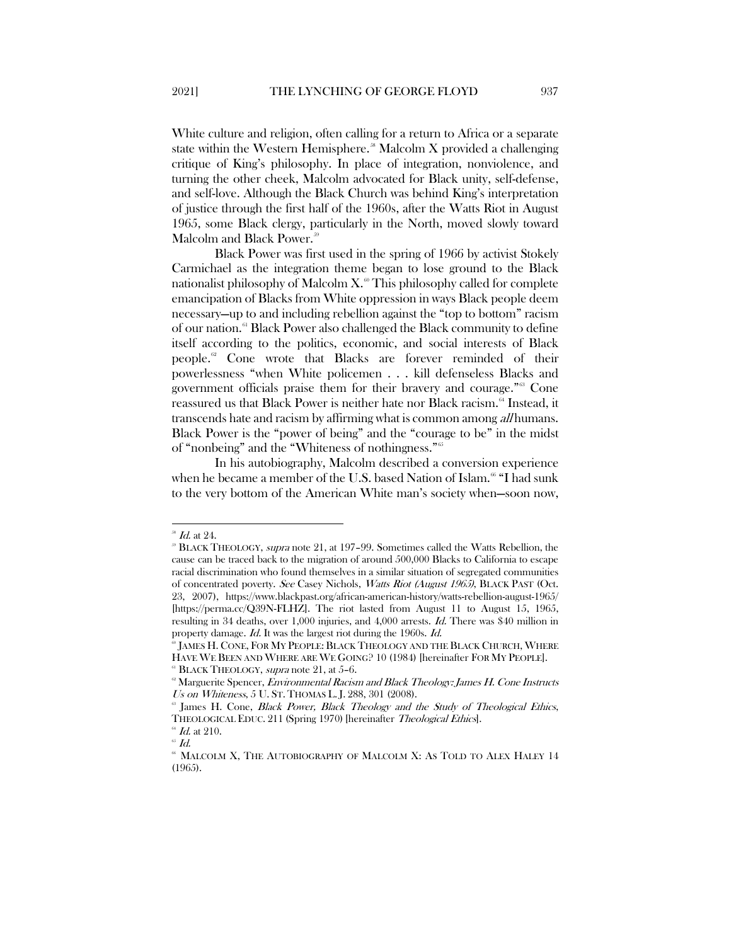White culture and religion, often calling for a return to Africa or a separate state within the Western Hemisphere.<sup>38</sup> Malcolm X provided a challenging critique of King's philosophy. In place of integration, nonviolence, and turning the other cheek, Malcolm advocated for Black unity, self-defense, and self-love. Although the Black Church was behind King's interpretation of justice through the first half of the 1960s, after the Watts Riot in August 1965, some Black clergy, particularly in the North, moved slowly toward Malcolm and Black Power.<sup>[59](#page-9-1)</sup>

Black Power was first used in the spring of 1966 by activist Stokely Carmichael as the integration theme began to lose ground to the Black nationalist philosophy of Malcolm  $X^{\infty}$ . This philosophy called for complete emancipation of Blacks from White oppression in ways Black people deem necessary—up to and including rebellion against the "top to bottom" racism of our nation.[61](#page-9-3) Black Power also challenged the Black community to define itself according to the politics, economic, and social interests of Black people.[62](#page-9-4) Cone wrote that Blacks are forever reminded of their powerlessness "when White policemen . . . kill defenseless Blacks and government officials praise them for their bravery and courage."[63](#page-9-5) Cone reassured us that Black Power is neither hate nor Black racism.<sup>[64](#page-9-6)</sup> Instead, it transcends hate and racism by affirming what is common among *all* humans. Black Power is the "power of being" and the "courage to be" in the midst of "nonbeing" and the "Whiteness of nothingness."[65](#page-9-7)

In his autobiography, Malcolm described a conversion experience when he became a member of the U.S. based Nation of Islam. [66](#page-9-8) "I had sunk to the very bottom of the American White man's society when—soon now,

<span id="page-9-0"></span> $^{38}$  *Id.* at 24.

<span id="page-9-1"></span><sup>59</sup> BLACK THEOLOGY, supra note 21, at 197–99. Sometimes called the Watts Rebellion, the cause can be traced back to the migration of around 500,000 Blacks to California to escape racial discrimination who found themselves in a similar situation of segregated communities of concentrated poverty. See Casey Nichols, Watts Riot (August 1965), BLACK PAST (Oct. 23, 2007), https://www.blackpast.org/african-american-history/watts-rebellion-august-1965/ [https://perma.cc/Q39N-FLHZ]. The riot lasted from August 11 to August 15, 1965, resulting in 34 deaths, over 1,000 injuries, and 4,000 arrests. Id. There was \$40 million in property damage. Id. It was the largest riot during the 1960s. Id.

<span id="page-9-2"></span><sup>60</sup> JAMES H. CONE, FOR MY PEOPLE: BLACK THEOLOGY AND THE BLACK CHURCH, WHERE HAVE WE BEEN AND WHERE ARE WE GOING? 10 (1984) [hereinafter FOR MY PEOPLE].

<span id="page-9-3"></span> $61$  BLACK THEOLOGY, supra note 21, at 5-6.

<span id="page-9-4"></span><sup>&</sup>lt;sup>®</sup> Marguerite Spencer, *Environmental Racism and Black Theology: James H. Cone Instructs* Us on Whiteness, 5 U. ST. THOMAS L. J. 288, 301 (2008).

<span id="page-9-5"></span>James H. Cone, Black Power, Black Theology and the Study of Theological Ethics, THEOLOGICAL EDUC. 211 (Spring 1970) [hereinafter Theological Ethics].

 $^{64}$  *Id.* at 210.

<span id="page-9-8"></span><span id="page-9-7"></span><span id="page-9-6"></span> $\hbox{ }^{\hbox{\tiny{65}}}$   $Id.$ 

 $^{\circ\circ}$  MALCOLM X, THE AUTOBIOGRAPHY OF MALCOLM X: AS TOLD TO ALEX HALEY  $14$ (1965).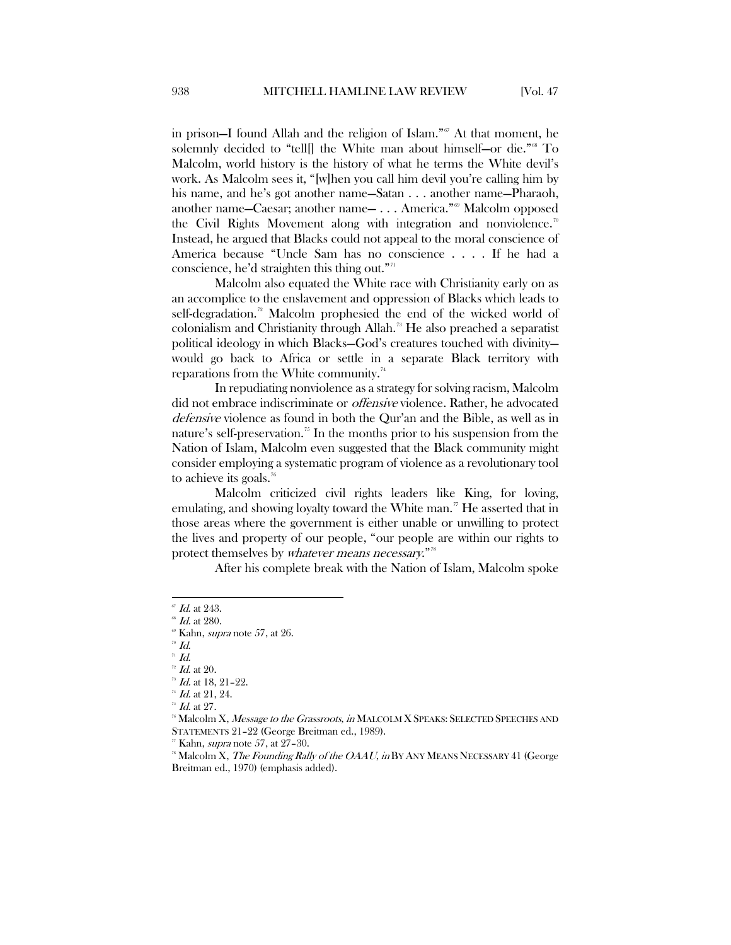in prison—I found Allah and the religion of Islam."[67](#page-10-0) At that moment, he solemnly decided to "tell[] the White man about himself-or die."<sup>[68](#page-10-1)</sup> To Malcolm, world history is the history of what he terms the White devil's work. As Malcolm sees it, "[w]hen you call him devil you're calling him by his name, and he's got another name—Satan . . . another name—Pharaoh, another name—Caesar; another name— . . . America."<sup>[69](#page-10-2)</sup> Malcolm opposed the Civil Rights Movement along with integration and nonviolence.<sup>[70](#page-10-3)</sup> Instead, he argued that Blacks could not appeal to the moral conscience of America because "Uncle Sam has no conscience . . . . If he had a conscience, he'd straighten this thing out."<sup>[71](#page-10-4)</sup>

Malcolm also equated the White race with Christianity early on as an accomplice to the enslavement and oppression of Blacks which leads to self-degradation.<sup>[72](#page-10-5)</sup> Malcolm prophesied the end of the wicked world of colonialism and Christianity through Allah.<sup>[73](#page-10-6)</sup> He also preached a separatist political ideology in which Blacks—God's creatures touched with divinity would go back to Africa or settle in a separate Black territory with reparations from the White community. $74$ 

In repudiating nonviolence as a strategy for solving racism, Malcolm did not embrace indiscriminate or offensive violence. Rather, he advocated defensive violence as found in both the Qur'an and the Bible, as well as in nature's self-preservation.<sup>[75](#page-10-8)</sup> In the months prior to his suspension from the Nation of Islam, Malcolm even suggested that the Black community might consider employing a systematic program of violence as a revolutionary tool to achieve its goals.<sup>[76](#page-10-9)</sup>

Malcolm criticized civil rights leaders like King, for loving, emulating, and showing loyalty toward the White man.<sup>[77](#page-10-10)</sup> He asserted that in those areas where the government is either unable or unwilling to protect the lives and property of our people, "our people are within our rights to protect themselves by whatever means necessary."<sup>[78](#page-10-11)</sup>

After his complete break with the Nation of Islam, Malcolm spoke

<span id="page-10-3"></span> $\overline{d}$  Id.

<span id="page-10-0"></span> $\mathscr{I}$  Id. at 243.

<span id="page-10-2"></span><span id="page-10-1"></span> $\mathscr{L}$  Id. at 280.

 $\textdegree$  Kahn, *supra* note 57, at 26.

<span id="page-10-4"></span> $\overline{d}$ .

<span id="page-10-6"></span><span id="page-10-5"></span> $\frac{72}{^{73}}$  *Id.* at 20.<br> $\frac{73}{^{73}}$  *Id.* at 18, 21-22.

 $^{74}$  *Id.* at 21, 24.

 $^{75}$  *Id.* at 27.

<span id="page-10-10"></span><span id="page-10-9"></span><span id="page-10-8"></span><span id="page-10-7"></span> $^{76}$  Malcolm X, *Message to the Grassroots, in* MALCOLM X SPEAKS: SELECTED SPEECHES AND STATEMENTS 21–22 (George Breitman ed., 1989).

Kahn, *supra* note 57, at 27-30.

<span id="page-10-11"></span><sup>&</sup>lt;sup>88</sup> Malcolm X, *The Founding Rally of the OAAU*, *in* BY ANY MEANS NECESSARY 41 (George Breitman ed., 1970) (emphasis added).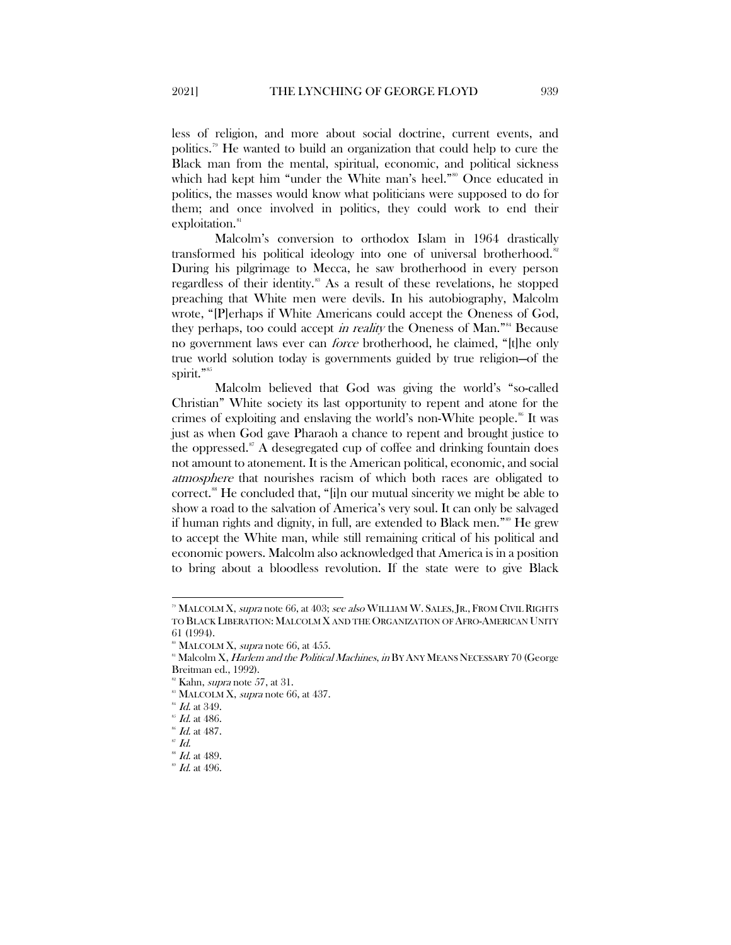less of religion, and more about social doctrine, current events, and politics.[79](#page-11-0) He wanted to build an organization that could help to cure the Black man from the mental, spiritual, economic, and political sickness which had kept him "under the White man's heel."<sup>[80](#page-11-1)</sup> Once educated in politics, the masses would know what politicians were supposed to do for them; and once involved in politics, they could work to end their exploitation.<sup>[81](#page-11-2)</sup>

Malcolm's conversion to orthodox Islam in 1964 drastically transformed his political ideology into one of universal brotherhood.<sup>[82](#page-11-3)</sup> During his pilgrimage to Mecca, he saw brotherhood in every person regardless of their identity.<sup>88</sup> As a result of these revelations, he stopped preaching that White men were devils. In his autobiography, Malcolm wrote, "[P]erhaps if White Americans could accept the Oneness of God, they perhaps, too could accept in reality the Oneness of Man."<sup>[84](#page-11-5)</sup> Because no government laws ever can force brotherhood, he claimed, "[t]he only true world solution today is governments guided by true religion—of the spirit."<sup>[85](#page-11-6)</sup>

Malcolm believed that God was giving the world's "so-called Christian" White society its last opportunity to repent and atone for the crimes of exploiting and enslaving the world's non-White people.<sup>[86](#page-11-7)</sup> It was just as when God gave Pharaoh a chance to repent and brought justice to the oppressed. $87$  A desegregated cup of coffee and drinking fountain does not amount to atonement. It is the American political, economic, and social atmosphere that nourishes racism of which both races are obligated to correct.[88](#page-11-9) He concluded that, "[i]n our mutual sincerity we might be able to show a road to the salvation of America's very soul. It can only be salvaged if human rights and dignity, in full, are extended to Black men."[89](#page-11-10) He grew to accept the White man, while still remaining critical of his political and economic powers. Malcolm also acknowledged that America is in a position to bring about a bloodless revolution. If the state were to give Black

<span id="page-11-0"></span><sup>&</sup>lt;sup>39</sup> MALCOLM X, *supra* note 66, at 403; see also WILLIAM W. SALES, JR., FROM CIVIL RIGHTS TO BLACK LIBERATION: MALCOLM X AND THE ORGANIZATION OF AFRO-AMERICAN UNITY 61 (1994).

 $80$  MALCOLM X, *supra* note 66, at 455.

<span id="page-11-2"></span><span id="page-11-1"></span><sup>&</sup>lt;sup>81</sup> Malcolm X, *Harlem and the Political Machines, in* BY ANY MEANS NECESSARY 70 (George Breitman ed., 1992).

 $82$  Kahn, *supra* note 57, at 31.

 $88$  MALCOLM X, supra note 66, at 437.

<span id="page-11-6"></span><span id="page-11-5"></span><span id="page-11-4"></span><span id="page-11-3"></span> $^{84}$  *Id.* at 349.

 $^{85}$  *Id.* at 486.

 $^{86}$  *Id.* at 487.

<span id="page-11-8"></span><span id="page-11-7"></span> $\mathscr{L}$  Id.

 $^{88}$  Id. at 489.

<span id="page-11-10"></span><span id="page-11-9"></span> $^{\circ\circ}$  Id. at 496.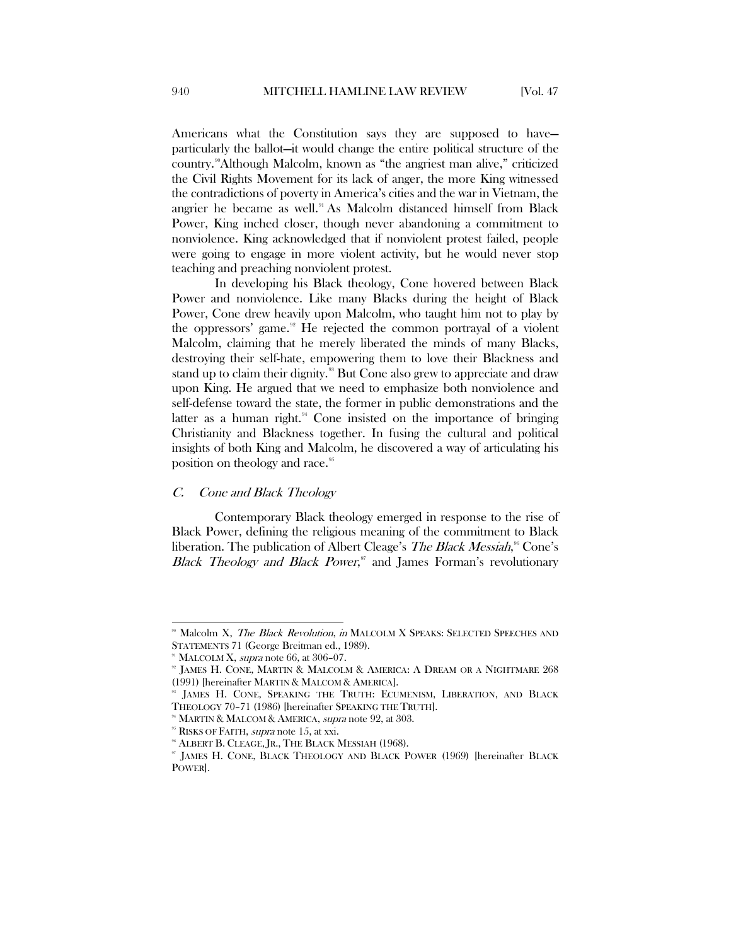Americans what the Constitution says they are supposed to have particularly the ballot—it would change the entire political structure of the country.<sup>90</sup>Although Malcolm, known as "the angriest man alive," criticized the Civil Rights Movement for its lack of anger, the more King witnessed the contradictions of poverty in America's cities and the war in Vietnam, the angrier he became as well.<sup>[91](#page-12-2)</sup> As Malcolm distanced himself from Black Power, King inched closer, though never abandoning a commitment to nonviolence. King acknowledged that if nonviolent protest failed, people were going to engage in more violent activity, but he would never stop teaching and preaching nonviolent protest.

In developing his Black theology, Cone hovered between Black Power and nonviolence. Like many Blacks during the height of Black Power, Cone drew heavily upon Malcolm, who taught him not to play by the oppressors' game.<sup>[92](#page-12-3)</sup> He rejected the common portrayal of a violent Malcolm, claiming that he merely liberated the minds of many Blacks, destroying their self-hate, empowering them to love their Blackness and stand up to claim their dignity.<sup>33</sup> But Cone also grew to appreciate and draw upon King. He argued that we need to emphasize both nonviolence and self-defense toward the state, the former in public demonstrations and the latter as a human right. $94$  Cone insisted on the importance of bringing Christianity and Blackness together. In fusing the cultural and political insights of both King and Malcolm, he discovered a way of articulating his position on theology and race.<sup>[95](#page-12-6)</sup>

#### <span id="page-12-0"></span>C. Cone and Black Theology

Contemporary Black theology emerged in response to the rise of Black Power, defining the religious meaning of the commitment to Black liberation. The publication of Albert Cleage's *The Black Messiah*,<sup>36</sup> Cone's Black Theology and Black Power,<sup>[97](#page-12-8)</sup> and James Forman's revolutionary

<span id="page-12-1"></span>Malcolm X, The Black Revolution, in MALCOLM X SPEAKS: SELECTED SPEECHES AND STATEMENTS 71 (George Breitman ed., 1989).

<span id="page-12-3"></span><span id="page-12-2"></span><sup>&</sup>lt;sup>91</sup> MALCOLM X, *supra* note 66, at 306–07.

<sup>92</sup> JAMES H. CONE, MARTIN & MALCOLM & AMERICA: A DREAM OR A NIGHTMARE 268 (1991) [hereinafter MARTIN & MALCOM & AMERICA].

<span id="page-12-4"></span>JAMES H. CONE, SPEAKING THE TRUTH: ECUMENISM, LIBERATION, AND BLACK THEOLOGY 70-71 (1986) [hereinafter SPEAKING THE TRUTH].<br><sup>94</sup> MARTIN & MALCOM & AMERICA, *supra* note 92, at 303.

<span id="page-12-6"></span><span id="page-12-5"></span><sup>&</sup>lt;sup>95</sup> RISKS OF FAITH, *supra* note 15, at xxi.

<sup>&</sup>lt;sup>5</sup> ALBERT B. CLEAGE, JR., THE BLACK MESSIAH (1968).

<span id="page-12-8"></span><span id="page-12-7"></span><sup>97</sup> JAMES H. CONE, BLACK THEOLOGY AND BLACK POWER (1969) [hereinafter BLACK POWER].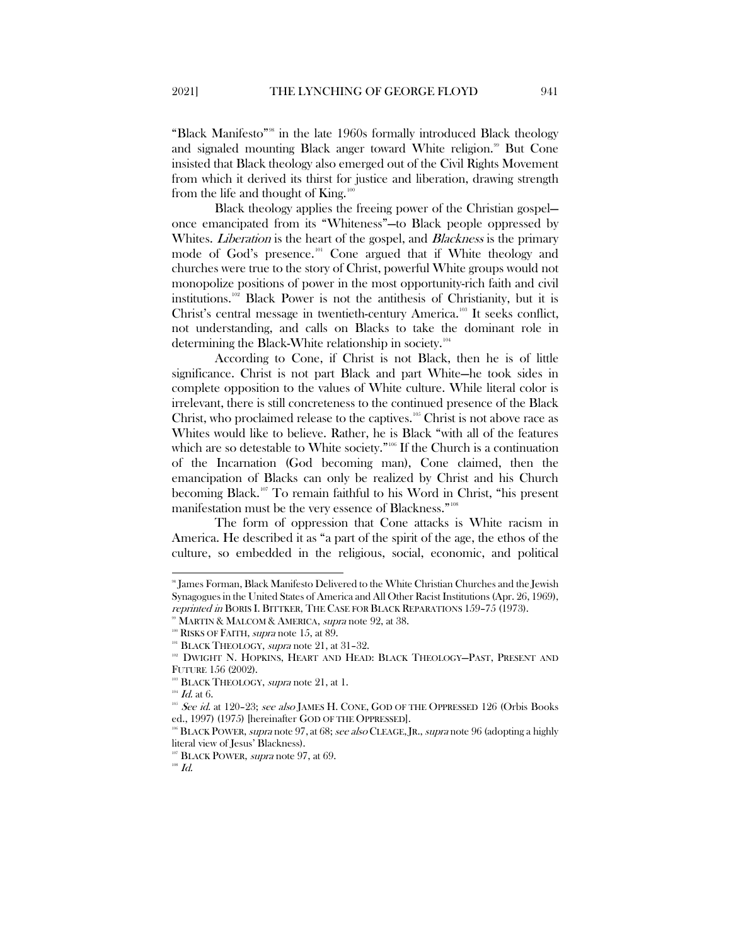"Black Manifesto"[98](#page-13-0) in the late 1960s formally introduced Black theology and signaled mounting Black anger toward White religion.<sup>[99](#page-13-1)</sup> But Cone insisted that Black theology also emerged out of the Civil Rights Movement from which it derived its thirst for justice and liberation, drawing strength from the life and thought of King.<sup>[100](#page-13-2)</sup>

Black theology applies the freeing power of the Christian gospel once emancipated from its "Whiteness"—to Black people oppressed by Whites. *Liberation* is the heart of the gospel, and *Blackness* is the primary mode of God's presence.<sup>[101](#page-13-3)</sup> Cone argued that if White theology and churches were true to the story of Christ, powerful White groups would not monopolize positions of power in the most opportunity-rich faith and civil institutions.[102](#page-13-4) Black Power is not the antithesis of Christianity, but it is Christ's central message in twentieth-century America.[103](#page-13-5) It seeks conflict, not understanding, and calls on Blacks to take the dominant role in determining the Black-White relationship in society.<sup>[104](#page-13-6)</sup>

According to Cone, if Christ is not Black, then he is of little significance. Christ is not part Black and part White—he took sides in complete opposition to the values of White culture. While literal color is irrelevant, there is still concreteness to the continued presence of the Black Christ, who proclaimed release to the captives.<sup>[105](#page-13-7)</sup> Christ is not above race as Whites would like to believe. Rather, he is Black "with all of the features which are so detestable to White society."<sup>[106](#page-13-8)</sup> If the Church is a continuation of the Incarnation (God becoming man), Cone claimed, then the emancipation of Blacks can only be realized by Christ and his Church becoming Black.<sup>[107](#page-13-9)</sup> To remain faithful to his Word in Christ, "his present manifestation must be the very essence of Blackness."<sup>[108](#page-13-10)</sup>

The form of oppression that Cone attacks is White racism in America. He described it as "a part of the spirit of the age, the ethos of the culture, so embedded in the religious, social, economic, and political

<span id="page-13-0"></span> <sup>98</sup> James Forman, Black Manifesto Delivered to the White Christian Churches and the Jewish Synagogues in the United States of America and All Other Racist Institutions (Apr. 26, 1969), reprinted in BORIS I. BITTKER, THE CASE FOR BLACK REPARATIONS 159–75 (1973).

<sup>&</sup>lt;sup>99</sup> MARTIN & MALCOM & AMERICA, *supra* note 92, at 38.

<span id="page-13-3"></span><span id="page-13-2"></span><span id="page-13-1"></span> $100$  RISKS OF FAITH, *supra* note 15, at 89.

 $101$  BLACK THEOLOGY, supra note 21, at 31-32.

<span id="page-13-4"></span><sup>&</sup>lt;sup>102</sup> DWIGHT N. HOPKINS, HEART AND HEAD: BLACK THEOLOGY-PAST, PRESENT AND FUTURE 156 (2002).

<sup>103</sup> BLACK THEOLOGY, *supra* note 21, at 1.

<span id="page-13-5"></span> $104$  *Id.* at 6.

<span id="page-13-7"></span><span id="page-13-6"></span><sup>&</sup>lt;sup>105</sup> See id. at 120–23; see also JAMES H. CONE, GOD OF THE OPPRESSED 126 (Orbis Books ed., 1997) (1975) [hereinafter GOD OF THE OPPRESSED].

<span id="page-13-8"></span> $\rm{106}$  BLACK POWER, *supra* note 97, at 68; *see also* CLEAGE, JR., *supra* note 96 (adopting a highly literal view of Jesus' Blackness).

<span id="page-13-10"></span><span id="page-13-9"></span> $107$  BLACK POWER, *supra* note 97, at 69.

 $^{108}$   $\emph{Id.}$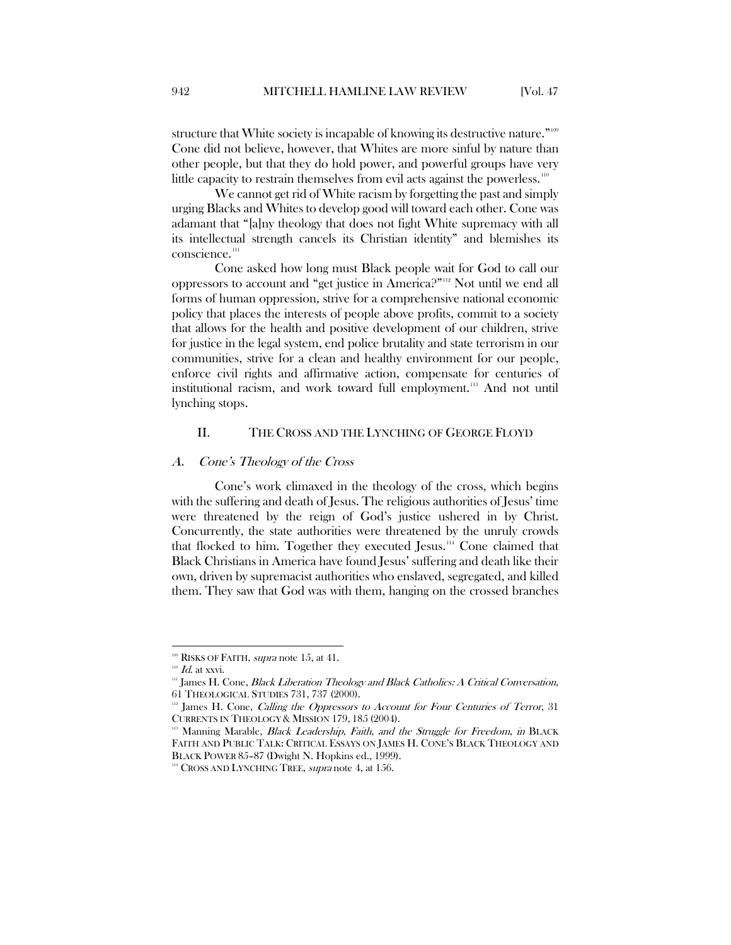structure that White society is incapable of knowing its destructive nature."<sup>[109](#page-14-2)</sup> Cone did not believe, however, that Whites are more sinful by nature than other people, but that they do hold power, and powerful groups have very little capacity to restrain themselves from evil acts against the powerless.[110](#page-14-3)

We cannot get rid of White racism by forgetting the past and simply urging Blacks and Whites to develop good will toward each other. Cone was adamant that "[a]ny theology that does not fight White supremacy with all its intellectual strength cancels its Christian identity" and blemishes its conscience.<sup>111</sup>

Cone asked how long must Black people wait for God to call our oppressors to account and "get justice in America?"[112](#page-14-5) Not until we end all forms of human oppression, strive for a comprehensive national economic policy that places the interests of people above profits, commit to a society that allows for the health and positive development of our children, strive for justice in the legal system, end police brutality and state terrorism in our communities, strive for a clean and healthy environment for our people, enforce civil rights and affirmative action, compensate for centuries of institutional racism, and work toward full employment.<sup>[113](#page-14-6)</sup> And not until lynching stops.

## <span id="page-14-0"></span>II. THE CROSS AND THE LYNCHING OF GEORGE FLOYD

#### <span id="page-14-1"></span>A. Cone's Theology of the Cross

Cone's work climaxed in the theology of the cross, which begins with the suffering and death of Jesus. The religious authorities of Jesus' time were threatened by the reign of God's justice ushered in by Christ. Concurrently, the state authorities were threatened by the unruly crowds that flocked to him. Together they executed Jesus.[114](#page-14-7) Cone claimed that Black Christians in America have found Jesus' suffering and death like their own, driven by supremacist authorities who enslaved, segregated, and killed them. They saw that God was with them, hanging on the crossed branches

<span id="page-14-2"></span> $109$  RISKS OF FAITH, supra note 15, at 41.

 $110$  Id. at xxvi.

<span id="page-14-4"></span><span id="page-14-3"></span><sup>&</sup>lt;sup>111</sup> James H. Cone, *Black Liberation Theology and Black Catholics: A Critical Conversation*, 61 THEOLOGICAL STUDIES 731, 737 (2000).

<span id="page-14-5"></span>James H. Cone, Calling the Oppressors to Account for Four Centuries of Terror, 31 CURRENTS IN THEOLOGY & MISSION 179, 185 (2004).

<span id="page-14-6"></span><sup>&</sup>lt;sup>13</sup> Manning Marable, *Black Leadership, Faith, and the Struggle for Freedom, in* BLACK FAITH AND PUBLIC TALK: CRITICAL ESSAYS ON JAMES H. CONE'S BLACK THEOLOGY AND BLACK POWER 85–87 (Dwight N. Hopkins ed., 1999).

<span id="page-14-7"></span> $114$  CROSS AND LYNCHING TREE, supra note 4, at 156.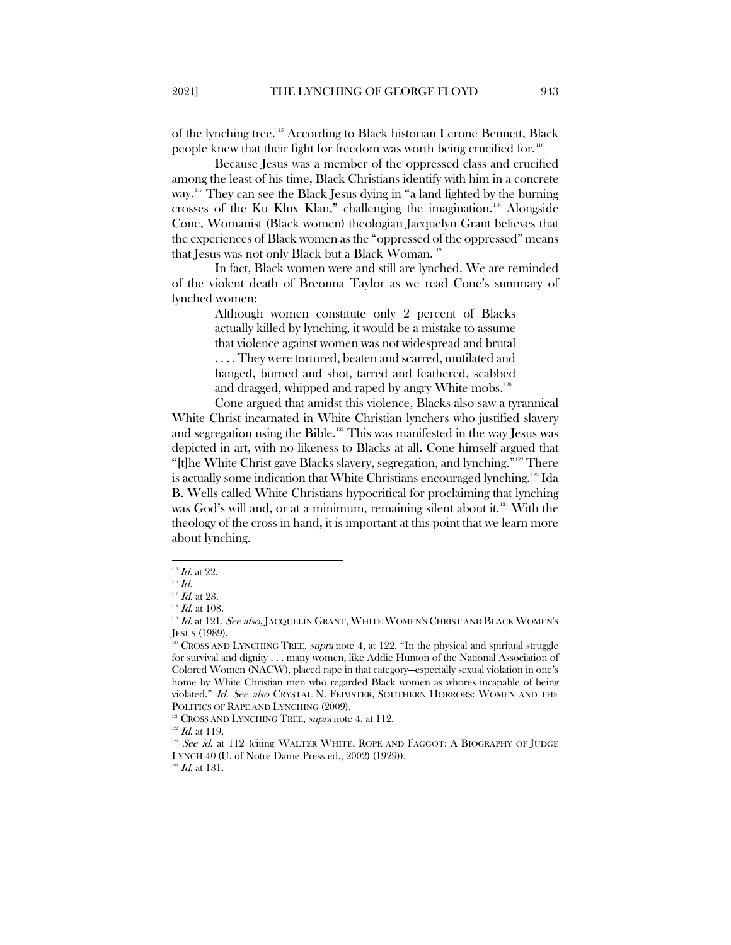of the lynching tree.[115](#page-15-0) According to Black historian Lerone Bennett, Black people knew that their fight for freedom was worth being crucified for. [116](#page-15-1)

Because Jesus was a member of the oppressed class and crucified among the least of his time, Black Christians identify with him in a concrete way.<sup>[117](#page-15-2)</sup> They can see the Black Jesus dying in "a land lighted by the burning crosses of the Ku Klux Klan," challenging the imagination.[118](#page-15-3) Alongside Cone, Womanist (Black women) theologian Jacquelyn Grant believes that the experiences of Black women as the "oppressed of the oppressed" means that Jesus was not only Black but a Black Woman.<sup>[119](#page-15-4)</sup>

In fact, Black women were and still are lynched. We are reminded of the violent death of Breonna Taylor as we read Cone's summary of lynched women:

> Although women constitute only 2 percent of Blacks actually killed by lynching, it would be a mistake to assume that violence against women was not widespread and brutal . . . . They were tortured, beaten and scarred, mutilated and hanged, burned and shot, tarred and feathered, scabbed and dragged, whipped and raped by angry White mobs.<sup>[120](#page-15-5)</sup>

Cone argued that amidst this violence, Blacks also saw a tyrannical White Christ incarnated in White Christian lynchers who justified slavery and segregation using the Bible.<sup>[121](#page-15-6)</sup> This was manifested in the way Jesus was depicted in art, with no likeness to Blacks at all. Cone himself argued that "[t]he White Christ gave Blacks slavery, segregation, and lynching."[122](#page-15-7) There is actually some indication that White Christians encouraged lynching.<sup>128</sup> Ida B. Wells called White Christians hypocritical for proclaiming that lynching was God's will and, or at a minimum, remaining silent about it.<sup>[124](#page-15-9)</sup> With the theology of the cross in hand, it is important at this point that we learn more about lynching.

<span id="page-15-9"></span> $124$  *Id.* at 131.

 $^{\rm 115}$   $\emph{Id.}$  at 22.

<span id="page-15-2"></span><span id="page-15-1"></span><span id="page-15-0"></span> $^{116}$   $\emph{Id.}$ 

 $117$  *Id.* at 23.

 $^{118}$  *Id.* at 108.

<span id="page-15-4"></span><span id="page-15-3"></span><sup>&</sup>lt;sup>119</sup> Id. at 121. See also, JACQUELIN GRANT, WHITE WOMEN'S CHRIST AND BLACK WOMEN'S JESUS (1989).

<span id="page-15-5"></span><sup>&</sup>lt;sup>220</sup> CROSS AND LYNCHING TREE, *supra* note 4, at 122. "In the physical and spiritual struggle for survival and dignity . . . many women, like Addie Hunton of the National Association of Colored Women (NACW), placed rape in that category—especially sexual violation in one's home by White Christian men who regarded Black women as whores incapable of being violated." Id. See also CRYSTAL N. FEIMSTER, SOUTHERN HORRORS: WOMEN AND THE POLITICS OF RAPE AND LYNCHING (2009).

 $121$  CROSS AND LYNCHING TREE, *supra* note 4, at 112.

<span id="page-15-6"></span> $122$  *Id.* at 119.

<span id="page-15-8"></span><span id="page-15-7"></span> $123$  See id. at 112 (citing WALTER WHITE, ROPE AND FAGGOT: A BIOGRAPHY OF JUDGE LYNCH 40 (U. of Notre Dame Press ed., 2002) (1929)).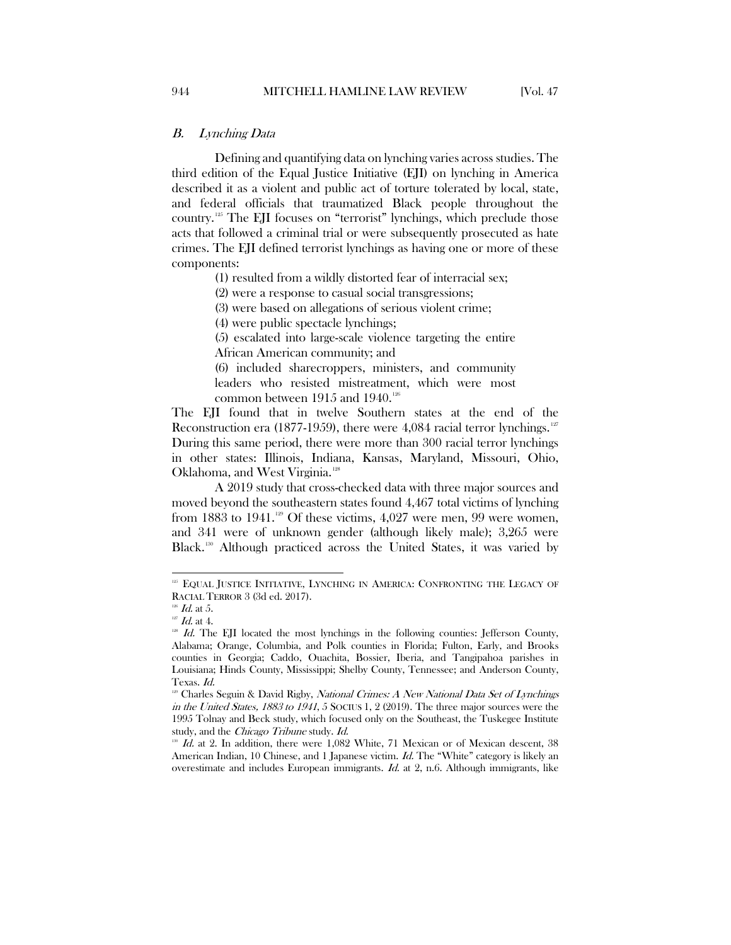#### <span id="page-16-0"></span>B. Lynching Data

Defining and quantifying data on lynching varies across studies. The third edition of the Equal Justice Initiative (EJI) on lynching in America described it as a violent and public act of torture tolerated by local, state, and federal officials that traumatized Black people throughout the country.[125](#page-16-1) The EJI focuses on "terrorist" lynchings, which preclude those acts that followed a criminal trial or were subsequently prosecuted as hate crimes. The EJI defined terrorist lynchings as having one or more of these components:

(1) resulted from a wildly distorted fear of interracial sex;

(2) were a response to casual social transgressions;

(3) were based on allegations of serious violent crime;

(4) were public spectacle lynchings;

(5) escalated into large-scale violence targeting the entire African American community; and

(6) included sharecroppers, ministers, and community leaders who resisted mistreatment, which were most common between  $1915$  and  $1940.^{126}$  $1940.^{126}$  $1940.^{126}$ 

The EJI found that in twelve Southern states at the end of the Reconstruction era (1877-1959), there were 4,084 racial terror lynchings. <sup>[127](#page-16-3)</sup> During this same period, there were more than 300 racial terror lynchings in other states: Illinois, Indiana, Kansas, Maryland, Missouri, Ohio, Oklahoma, and West Virginia.<sup>[128](#page-16-4)</sup>

A 2019 study that cross-checked data with three major sources and moved beyond the southeastern states found 4,467 total victims of lynching from 1883 to 1941.<sup>[129](#page-16-5)</sup> Of these victims, 4,027 were men, 99 were women, and 341 were of unknown gender (although likely male); 3,265 were Black.[130](#page-16-6) Although practiced across the United States, it was varied by

<span id="page-16-1"></span><sup>&</sup>lt;sup>125</sup> EQUAL JUSTICE INITIATIVE, LYNCHING IN AMERICA: CONFRONTING THE LEGACY OF RACIAL TERROR 3 (3d ed. 2017).

 $126$  *Id.* at 5.

<span id="page-16-3"></span><span id="page-16-2"></span> $127$  *Id.* at 4.

<span id="page-16-4"></span> $128$  Id. The EJI located the most lynchings in the following counties: Jefferson County, Alabama; Orange, Columbia, and Polk counties in Florida; Fulton, Early, and Brooks counties in Georgia; Caddo, Ouachita, Bossier, Iberia, and Tangipahoa parishes in Louisiana; Hinds County, Mississippi; Shelby County, Tennessee; and Anderson County, Texas. Id.

<span id="page-16-5"></span><sup>&</sup>lt;sup>129</sup> Charles Seguin & David Rigby, National Crimes: A New National Data Set of Lynchings in the United States, 1883 to 1941, 5 SOCIUS 1, 2 (2019). The three major sources were the 1995 Tolnay and Beck study, which focused only on the Southeast, the Tuskegee Institute study, and the *Chicago Tribune* study. *Id.* 

<span id="page-16-6"></span> $1d.$  at 2. In addition, there were  $1,082$  White, 71 Mexican or of Mexican descent, 38 American Indian, 10 Chinese, and 1 Japanese victim. Id. The "White" category is likely an overestimate and includes European immigrants. Id. at 2, n.6. Although immigrants, like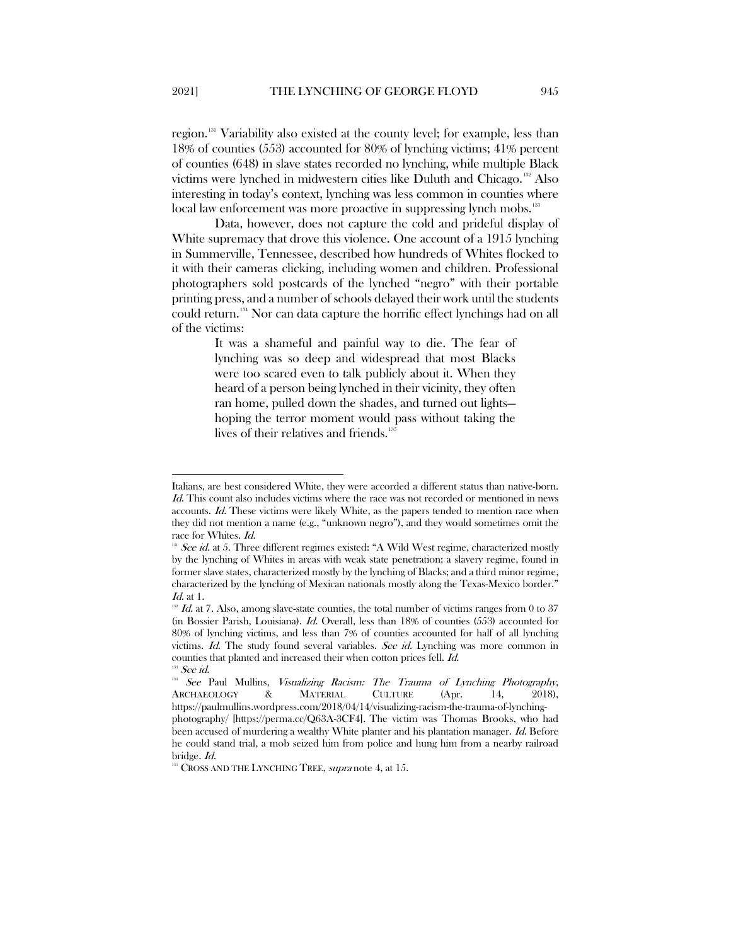region.[131](#page-17-0) Variability also existed at the county level; for example, less than 18% of counties (553) accounted for 80% of lynching victims; 41% percent of counties (648) in slave states recorded no lynching, while multiple Black victims were lynched in midwestern cities like Duluth and Chicago. [132](#page-17-1) Also interesting in today's context, lynching was less common in counties where local law enforcement was more proactive in suppressing lynch mobs.<sup>[133](#page-17-2)</sup>

Data, however, does not capture the cold and prideful display of White supremacy that drove this violence. One account of a 1915 lynching in Summerville, Tennessee, described how hundreds of Whites flocked to it with their cameras clicking, including women and children. Professional photographers sold postcards of the lynched "negro" with their portable printing press, and a number of schools delayed their work until the students could return.[134](#page-17-3) Nor can data capture the horrific effect lynchings had on all of the victims:

> It was a shameful and painful way to die. The fear of lynching was so deep and widespread that most Blacks were too scared even to talk publicly about it. When they heard of a person being lynched in their vicinity, they often ran home, pulled down the shades, and turned out lights hoping the terror moment would pass without taking the lives of their relatives and friends.<sup>[135](#page-17-4)</sup>

Italians, are best considered White, they were accorded a different status than native-born. Id. This count also includes victims where the race was not recorded or mentioned in news accounts. Id. These victims were likely White, as the papers tended to mention race when they did not mention a name (e.g., "unknown negro"), and they would sometimes omit the race for Whites. Id.

<span id="page-17-0"></span><sup>&</sup>lt;sup>131</sup> See id. at 5. Three different regimes existed: "A Wild West regime, characterized mostly by the lynching of Whites in areas with weak state penetration; a slavery regime, found in former slave states, characterized mostly by the lynching of Blacks; and a third minor regime, characterized by the lynching of Mexican nationals mostly along the Texas-Mexico border."  $Id$  at 1.

<span id="page-17-1"></span> $\mathbb{1}^{12}$  Id. at 7. Also, among slave-state counties, the total number of victims ranges from 0 to 37 (in Bossier Parish, Louisiana). *Id.* Overall, less than  $18\%$  of counties (553) accounted for 80% of lynching victims, and less than 7% of counties accounted for half of all lynching victims. Id. The study found several variables. See id. Lynching was more common in counties that planted and increased their when cotton prices fell. Id. <sup>3</sup> See id.

<span id="page-17-3"></span><span id="page-17-2"></span><sup>&</sup>lt;sup>134</sup> See Paul Mullins, Visualizing Racism: The Trauma of Lynching Photography, ARCHAEOLOGY & MATERIAL CULTURE (Apr. 14, 2018), https://paulmullins.wordpress.com/2018/04/14/visualizing-racism-the-trauma-of-lynchingphotography/ [https://perma.cc/Q63A-3CF4]. The victim was Thomas Brooks, who had been accused of murdering a wealthy White planter and his plantation manager. Id. Before he could stand trial, a mob seized him from police and hung him from a nearby railroad bridge. Id.

<span id="page-17-4"></span><sup>&</sup>lt;sup>135</sup> CROSS AND THE LYNCHING TREE, *supra* note 4, at 15.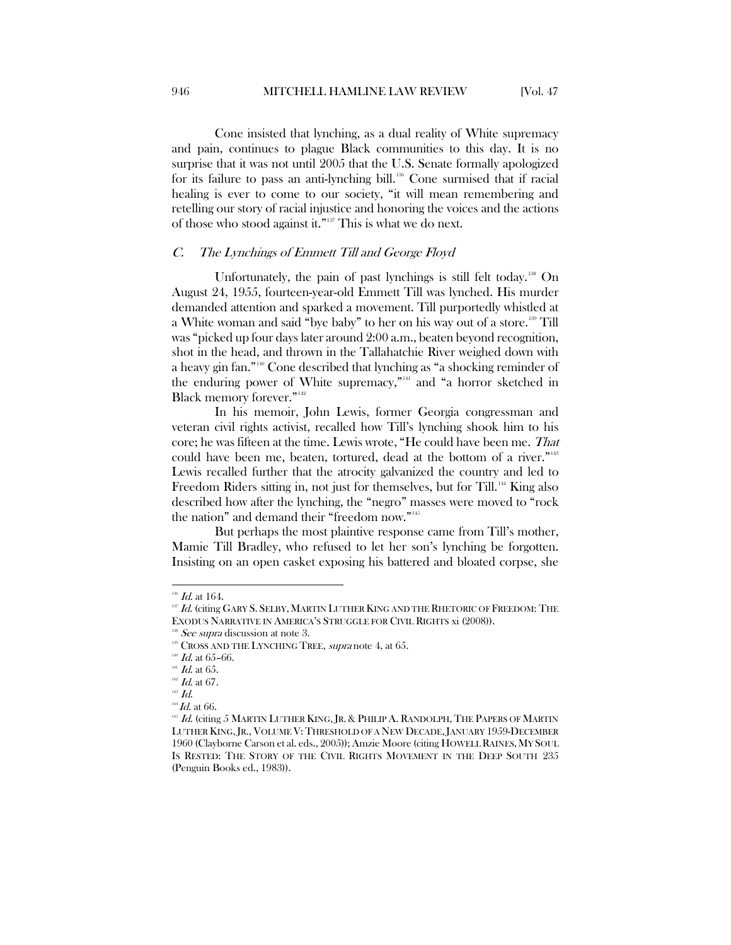Cone insisted that lynching, as a dual reality of White supremacy and pain, continues to plague Black communities to this day. It is no surprise that it was not until 2005 that the U.S. Senate formally apologized for its failure to pass an anti-lynching bill. $136$  Cone surmised that if racial healing is ever to come to our society, "it will mean remembering and retelling our story of racial injustice and honoring the voices and the actions of those who stood against it."[137](#page-18-2) This is what we do next.

#### <span id="page-18-0"></span>C. The Lynchings of Emmett Till and George Floyd

Unfortunately, the pain of past lynchings is still felt today.[138](#page-18-3) On August 24, 1955, fourteen-year-old Emmett Till was lynched. His murder demanded attention and sparked a movement. Till purportedly whistled at a White woman and said "bye baby" to her on his way out of a store.<sup>[139](#page-18-4)</sup> Till was "picked up four days later around 2:00 a.m., beaten beyond recognition, shot in the head, and thrown in the Tallahatchie River weighed down with a heavy gin fan." [140](#page-18-5) Cone described that lynching as "a shocking reminder of the enduring power of White supremacy,"[141](#page-18-6) and "a horror sketched in Black memory forever."<sup>[142](#page-18-7)</sup>

In his memoir, John Lewis, former Georgia congressman and veteran civil rights activist, recalled how Till's lynching shook him to his core; he was fifteen at the time. Lewis wrote, "He could have been me. That could have been me, beaten, tortured, dead at the bottom of a river."<sup>[143](#page-18-8)</sup> Lewis recalled further that the atrocity galvanized the country and led to Freedom Riders sitting in, not just for themselves, but for Till.<sup>[144](#page-18-9)</sup> King also described how after the lynching, the "negro" masses were moved to "rock the nation" and demand their "freedom now."[145](#page-18-10)

But perhaps the most plaintive response came from Till's mother, Mamie Till Bradley, who refused to let her son's lynching be forgotten. Insisting on an open casket exposing his battered and bloated corpse, she

 $^{136}$   $Id.$  at 164.

<span id="page-18-2"></span><span id="page-18-1"></span><sup>&</sup>lt;sup>137</sup> Id. (citing GARY S. SELBY, MARTIN LUTHER KING AND THE RHETORIC OF FREEDOM: THE EXODUS NARRATIVE IN AMERICA'S STRUGGLE FOR CIVIL RIGHTS xi (2008)).

 $138$  *See supra* discussion at note 3.

<span id="page-18-4"></span><span id="page-18-3"></span><sup>&</sup>lt;sup>139</sup> CROSS AND THE LYNCHING TREE, *supra* note 4, at 65.

<span id="page-18-5"></span> $140$  *Id.* at 65-66.

<span id="page-18-6"></span> $^{\mbox{\tiny{141}}}$   $\emph{Id.}$  at 65.

 $^{142}$  *Id.* at 67.

<span id="page-18-8"></span><span id="page-18-7"></span> $^{143}$   $\emph{Id.}$ 

<span id="page-18-10"></span><span id="page-18-9"></span> $\,^{\rm 14}I\!d\!$  at 66.

 $^{145}$  Id. (citing 5 MARTIN LUTHER KING, JR. & PHILIP A. RANDOLPH, THE PAPERS OF MARTIN LUTHER KING, IR., VOLUME V: THRESHOLD OF A NEW DECADE, IANUARY 1959-DECEMBER 1960 (Clayborne Carson et al. eds., 2005)); Amzie Moore (citing HOWELL RAINES, MY SOUL IS RESTED: THE STORY OF THE CIVIL RIGHTS MOVEMENT IN THE DEEP SOUTH 235 (Penguin Books ed., 1983)).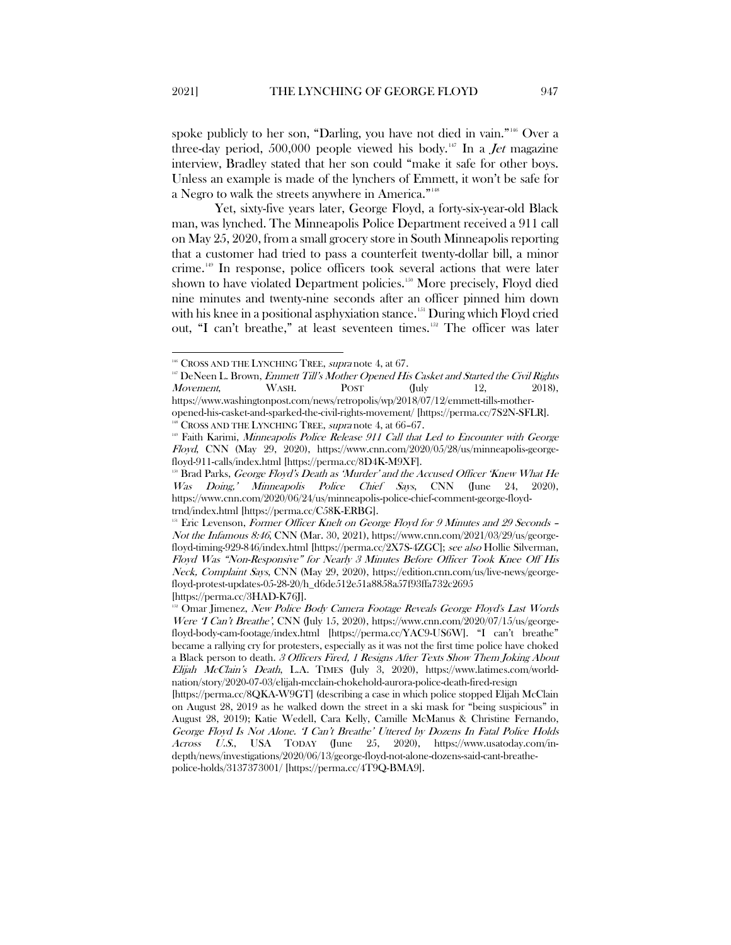spoke publicly to her son, "Darling, you have not died in vain."<sup>[146](#page-19-0)</sup> Over a three-day period, 500,000 people viewed his body.<sup>[147](#page-19-1)</sup> In a *Jet* magazine interview, Bradley stated that her son could "make it safe for other boys. Unless an example is made of the lynchers of Emmett, it won't be safe for a Negro to walk the streets anywhere in America."[148](#page-19-2)

Yet, sixty-five years later, George Floyd, a forty-six-year-old Black man, was lynched. The Minneapolis Police Department received a 911 call on May 25, 2020, from a small grocery store in South Minneapolis reporting that a customer had tried to pass a counterfeit twenty-dollar bill, a minor crime.[149](#page-19-3) In response, police officers took several actions that were later shown to have violated Department policies.<sup>[150](#page-19-4)</sup> More precisely, Floyd died nine minutes and twenty-nine seconds after an officer pinned him down with his knee in a positional asphyxiation stance.<sup>[151](#page-19-5)</sup> During which Floyd cried out, "I can't breathe," at least seventeen times.<sup>152</sup> The officer was later

<sup>&</sup>lt;sup>146</sup> CROSS AND THE LYNCHING TREE, *supra* note 4, at 67.

<span id="page-19-1"></span><span id="page-19-0"></span><sup>&</sup>lt;sup>147</sup> DeNeen L. Brown, *Emmett Till's Mother Opened His Casket and Started the Civil Rights*  $Movement,$  WASH. POST  $(July 12, 2018),$ https://www.washingtonpost.com/news/retropolis/wp/2018/07/12/emmett-tills-mother-

<span id="page-19-2"></span>opened-his-casket-and-sparked-the-civil-rights-movement/ [https://perma.cc/7S2N-SFLR].  $148$  CROSS AND THE LYNCHING TREE, supra note 4, at 66-67.

<span id="page-19-3"></span><sup>&</sup>lt;sup>199</sup> Faith Karimi, Minneapolis Police Release 911 Call that Led to Encounter with George Floyd, CNN (May 29, 2020), https://www.cnn.com/2020/05/28/us/minneapolis-georgefloyd-911-calls/index.html [https://perma.cc/8D4K-M9XF].

<span id="page-19-4"></span>Brad Parks, George Floyd's Death as 'Murder' and the Accused Officer 'Knew What He Was Doing,' Minneapolis Police Chief Says, CNN (June 24, 2020), https://www.cnn.com/2020/06/24/us/minneapolis-police-chief-comment-george-floydtrnd/index.html [https://perma.cc/C58K-ERBG].

<span id="page-19-5"></span> $151$  Eric Levenson, Former Officer Knelt on George Floyd for 9 Minutes and 29 Seconds – Not the Infamous 8:46, CNN (Mar. 30, 2021), https://www.cnn.com/2021/03/29/us/georgefloyd-timing-929-846/index.html [https://perma.cc/2X7S-4ZGC]; see also Hollie Silverman, Floyd Was "Non-Responsive" for Nearly 3 Minutes Before Officer Took Knee Off His Neck, Complaint Says, CNN (May 29, 2020), https://edition.cnn.com/us/live-news/georgefloyd-protest-updates-05-28-20/h\_d6de512e51a8858a57f93ffa732c2695 [https://perma.cc/3HAD-K76J].

<span id="page-19-6"></span><sup>&</sup>lt;sup>132</sup> Omar Jimenez, New Police Body Camera Footage Reveals George Floyd's Last Words Were T Can't Breathe', CNN (July 15, 2020), https://www.cnn.com/2020/07/15/us/georgefloyd-body-cam-footage/index.html [https://perma.cc/YAC9-US6W]. "I can't breathe" became a rallying cry for protesters, especially as it was not the first time police have choked a Black person to death. 3 Officers Fired, 1 Resigns After Texts Show Them Joking About Elijah McClain's Death, L.A. TIMES (July 3, 2020), https://www.latimes.com/worldnation/story/2020-07-03/elijah-mcclain-chokehold-aurora-police-death-fired-resign

<sup>[</sup>https://perma.cc/8QKA-W9GT] (describing a case in which police stopped Elijah McClain on August 28, 2019 as he walked down the street in a ski mask for "being suspicious" in August 28, 2019); Katie Wedell, Cara Kelly, Camille McManus & Christine Fernando, George Floyd Is Not Alone. 'I Can't Breathe' Uttered by Dozens In Fatal Police Holds Across U.S., USA TODAY (June 25, 2020), https://www.usatoday.com/indepth/news/investigations/2020/06/13/george-floyd-not-alone-dozens-said-cant-breathepolice-holds/3137373001/ [https://perma.cc/4T9Q-BMA9].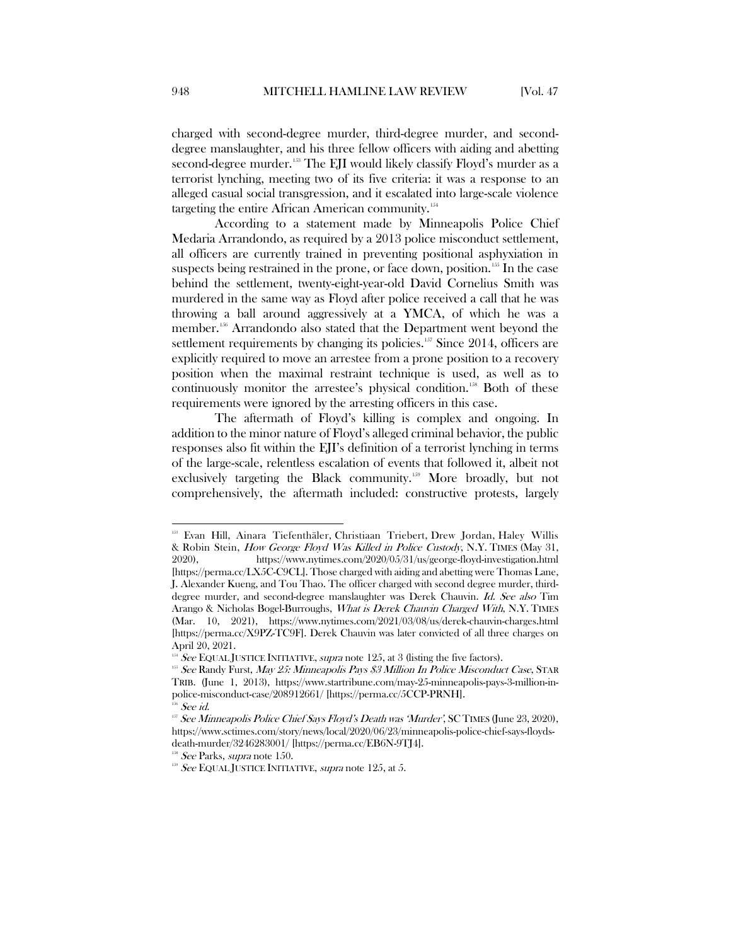charged with second-degree murder, third-degree murder, and seconddegree manslaughter, and his three fellow officers with aiding and abetting second-degree murder.<sup>[153](#page-20-0)</sup> The EJI would likely classify Floyd's murder as a terrorist lynching, meeting two of its five criteria: it was a response to an alleged casual social transgression, and it escalated into large-scale violence targeting the entire African American community.<sup>154</sup>

According to a statement made by Minneapolis Police Chief Medaria Arrandondo, as required by a 2013 police misconduct settlement, all officers are currently trained in preventing positional asphyxiation in suspects being restrained in the prone, or face down, position.<sup>[155](#page-20-2)</sup> In the case behind the settlement, twenty-eight-year-old David Cornelius Smith was murdered in the same way as Floyd after police received a call that he was throwing a ball around aggressively at a YMCA, of which he was a member.[156](#page-20-3) Arrandondo also stated that the Department went beyond the settlement requirements by changing its policies.<sup>[157](#page-20-4)</sup> Since 2014, officers are explicitly required to move an arrestee from a prone position to a recovery position when the maximal restraint technique is used, as well as to continuously monitor the arrestee's physical condition.<sup>[158](#page-20-5)</sup> Both of these requirements were ignored by the arresting officers in this case.

The aftermath of Floyd's killing is complex and ongoing. In addition to the minor nature of Floyd's alleged criminal behavior, the public responses also fit within the EJI's definition of a terrorist lynching in terms of the large-scale, relentless escalation of events that followed it, albeit not exclusively targeting the Black community.<sup>[159](#page-20-6)</sup> More broadly, but not comprehensively, the aftermath included: constructive protests, largely

<span id="page-20-0"></span> <sup>153</sup> Evan Hill, Ainara [Tiefenthäler,](https://www.nytimes.com/by/ainara-tiefenthaler) [Christiaan](http://nytimes.com/by/christiaan-triebert) Triebert, Drew [Jordan,](https://www.nytimes.com/by/drew-jordan) Haley [Willis](https://www.nytimes.com/by/haley-willis) & Robin Stein, How George Floyd Was Killed in Police Custody, N.Y. TIMES (May 31, 2020), https://www.nytimes.com/2020/05/31/us/george-floyd-investigation.html [https://perma.cc/LX5C-C9CL]. Those charged with aiding and abetting were Thomas Lane, J. Alexander Kueng, and Tou Thao. The officer charged with second degree murder, thirddegree murder, and second-degree manslaughter was Derek Chauvin. Id. See also Tim Arango & Nicholas Bogel-Burroughs, What is Derek Chauvin Charged With, N.Y. TIMES (Mar. 10, 2021), https://www.nytimes.com/2021/03/08/us/derek-chauvin-charges.html [https://perma.cc/X9PZ-TC9F]. Derek Chauvin was later convicted of all three charges on April 20, 2021.

<span id="page-20-1"></span> $154$  See EQUAL JUSTICE INITIATIVE, supra note 125, at 3 (listing the five factors).

<span id="page-20-2"></span><sup>&</sup>lt;sup>155</sup> See Randy Furst, May 25: Minneapolis Pays \$3 Million In Police Misconduct Case, STAR TRIB. (June 1, 2013), https://www.startribune.com/may-25-minneapolis-pays-3-million-inpolice-misconduct-case/208912661/ [https://perma.cc/5CCP-PRNH].

See id.

<span id="page-20-4"></span><span id="page-20-3"></span> $157$  See Minneapolis Police Chief Says Floyd's Death was 'Murder', SC TIMES (June 23, 2020), https://www.sctimes.com/story/news/local/2020/06/23/minneapolis-police-chief-says-floydsdeath-murder/3246283001/ [https://perma.cc/EB6N-9TJ4].

<span id="page-20-5"></span> $158$  See Parks, supra note 150.

<span id="page-20-6"></span> $159$  See EQUAL JUSTICE INITIATIVE, supra note 125, at 5.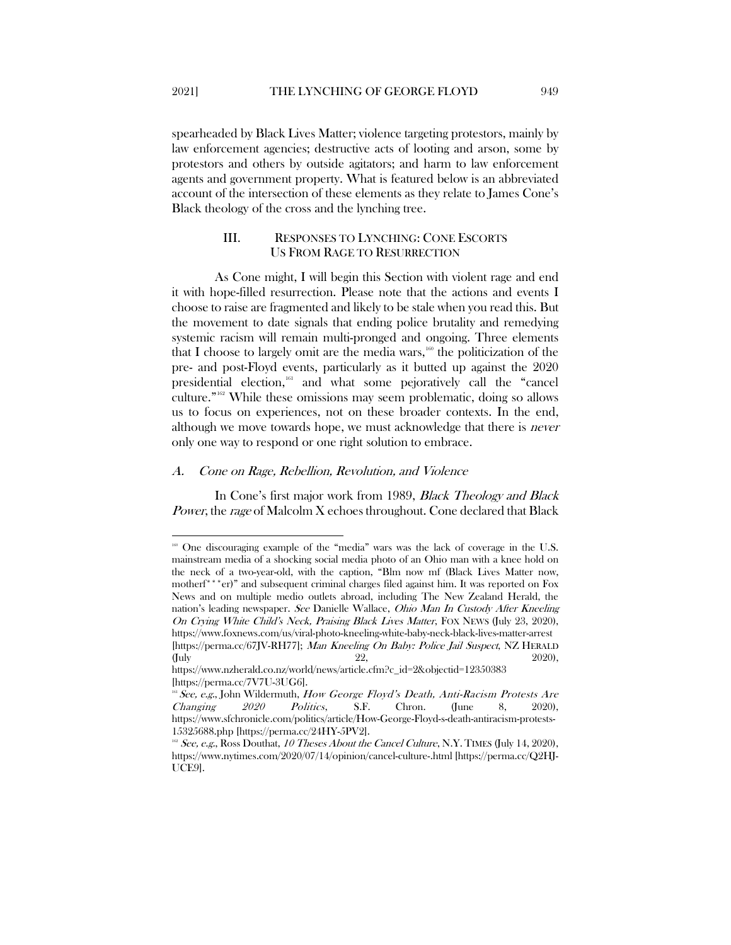spearheaded by Black Lives Matter; violence targeting protestors, mainly by law enforcement agencies; destructive acts of looting and arson, some by protestors and others by outside agitators; and harm to law enforcement agents and government property. What is featured below is an abbreviated account of the intersection of these elements as they relate to James Cone's Black theology of the cross and the lynching tree.

## <span id="page-21-0"></span>III. RESPONSES TO LYNCHING: CONE ESCORTS US FROM RAGE TO RESURRECTION

As Cone might, I will begin this Section with violent rage and end it with hope-filled resurrection. Please note that the actions and events I choose to raise are fragmented and likely to be stale when you read this. But the movement to date signals that ending police brutality and remedying systemic racism will remain multi-pronged and ongoing. Three elements that I choose to largely omit are the media wars, $160$  the politicization of the pre- and post-Floyd events, particularly as it butted up against the 2020 presidential election,<sup>[161](#page-21-3)</sup> and what some pejoratively call the "cancel culture."[162](#page-21-4) While these omissions may seem problematic, doing so allows us to focus on experiences, not on these broader contexts. In the end, although we move towards hope, we must acknowledge that there is never only one way to respond or one right solution to embrace.

#### <span id="page-21-1"></span>A. Cone on Rage, Rebellion, Revolution, and Violence

In Cone's first major work from 1989, *Black Theology and Black* Power, the rage of Malcolm X echoes throughout. Cone declared that Black

<span id="page-21-2"></span><sup>160</sup> One discouraging example of the "media" wars was the lack of coverage in the U.S. mainstream media of a shocking social media photo of an Ohio man with a knee hold on the neck of a two-year-old, with the caption, "Blm now mf (Black Lives Matter now, motherf\*\*\*er)" and subsequent criminal charges filed against him. It was reported on Fox News and on multiple medio outlets abroad, including The New Zealand Herald, the nation's leading newspaper. See Danielle Wallace, Ohio Man In Custody After Kneeling On Crying White Child's Neck, Praising Black Lives Matter, FOX NEWS (July 23, 2020), https://www.foxnews.com/us/viral-photo-kneeling-white-baby-neck-black-lives-matter-arrest [https://perma.cc/67JV-RH77]; Man Kneeling On Baby: Police Jail Suspect, NZ HERALD (July 22, 2020),

https://www.nzherald.co.nz/world/news/article.cfm?c\_id=2&objectid=12350383 [https://perma.cc/7V7U-3UG6].

<span id="page-21-3"></span><sup>&</sup>lt;sup>161</sup> See, e.g., John Wildermuth, How George Floyd's Death, Anti-Racism Protests Are Changing 2020 Politics, S.F. Chron. (June 8, 2020), https://www.sfchronicle.com/politics/article/How-George-Floyd-s-death-antiracism-protests-15325688.php [https://perma.cc/24HY-5PV2].

<span id="page-21-4"></span> $16^2$  See, e.g., Ross Douthat, 10 Theses About the Cancel Culture, N.Y. TIMES (July 14, 2020), https://www.nytimes.com/2020/07/14/opinion/cancel-culture-.html [https://perma.cc/Q2HJ-UCE9].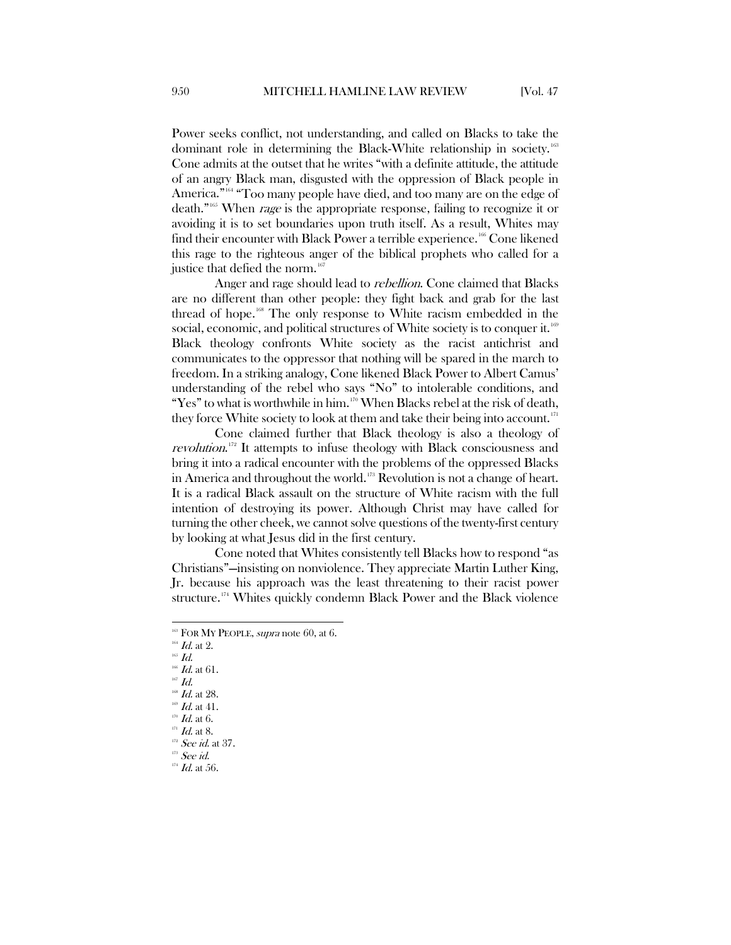Power seeks conflict, not understanding, and called on Blacks to take the dominant role in determining the Black-White relationship in society.[163](#page-22-0) Cone admits at the outset that he writes "with a definite attitude, the attitude of an angry Black man, disgusted with the oppression of Black people in America."<sup>[164](#page-22-1)</sup> "Too many people have died, and too many are on the edge of death."[165](#page-22-2) When rage is the appropriate response, failing to recognize it or avoiding it is to set boundaries upon truth itself. As a result, Whites may find their encounter with Black Power a terrible experience.<sup>[166](#page-22-3)</sup> Cone likened this rage to the righteous anger of the biblical prophets who called for a justice that defied the norm.<sup>[167](#page-22-4)</sup>

Anger and rage should lead to *rebellion*. Cone claimed that Blacks are no different than other people: they fight back and grab for the last thread of hope.<sup>[168](#page-22-5)</sup> The only response to White racism embedded in the social, economic, and political structures of White society is to conquer it.<sup>[169](#page-22-6)</sup> Black theology confronts White society as the racist antichrist and communicates to the oppressor that nothing will be spared in the march to freedom. In a striking analogy, Cone likened Black Power to Albert Camus' understanding of the rebel who says "No" to intolerable conditions, and "Yes" to what is worthwhile in him.<sup>[170](#page-22-7)</sup> When Blacks rebel at the risk of death, they force White society to look at them and take their being into account. $171$ 

Cone claimed further that Black theology is also a theology of revolution.<sup>[172](#page-22-9)</sup> It attempts to infuse theology with Black consciousness and bring it into a radical encounter with the problems of the oppressed Blacks in America and throughout the world.<sup>[173](#page-22-10)</sup> Revolution is not a change of heart. It is a radical Black assault on the structure of White racism with the full intention of destroying its power. Although Christ may have called for turning the other cheek, we cannot solve questions of the twenty-first century by looking at what Jesus did in the first century.

Cone noted that Whites consistently tell Blacks how to respond "as Christians"—insisting on nonviolence. They appreciate Martin Luther King, Jr. because his approach was the least threatening to their racist power structure.[174](#page-22-11) Whites quickly condemn Black Power and the Black violence

<span id="page-22-4"></span> $168$  *Id.* at 28.

<span id="page-22-0"></span> $168$  FOR MY PEOPLE, *supra* note 60, at 6.

<span id="page-22-1"></span> $^{164}$   $\emph{Id.}$  at 2.

<span id="page-22-2"></span> $^{\scriptscriptstyle 165}$   $Id.$ 

<span id="page-22-3"></span> $166$  *Id.* at 61.  $167$   $Id.$ 

 $\mathscr{D}$  Id. at 41.

<span id="page-22-7"></span><span id="page-22-6"></span><span id="page-22-5"></span> $170$  *Id.* at 6.

<span id="page-22-8"></span>

 $171$  *Id.* at 8.

 $^{172}$  See id. at 37.

<span id="page-22-11"></span><span id="page-22-10"></span><span id="page-22-9"></span> $173$  See id.

 $^{174}$  *Id.* at 56.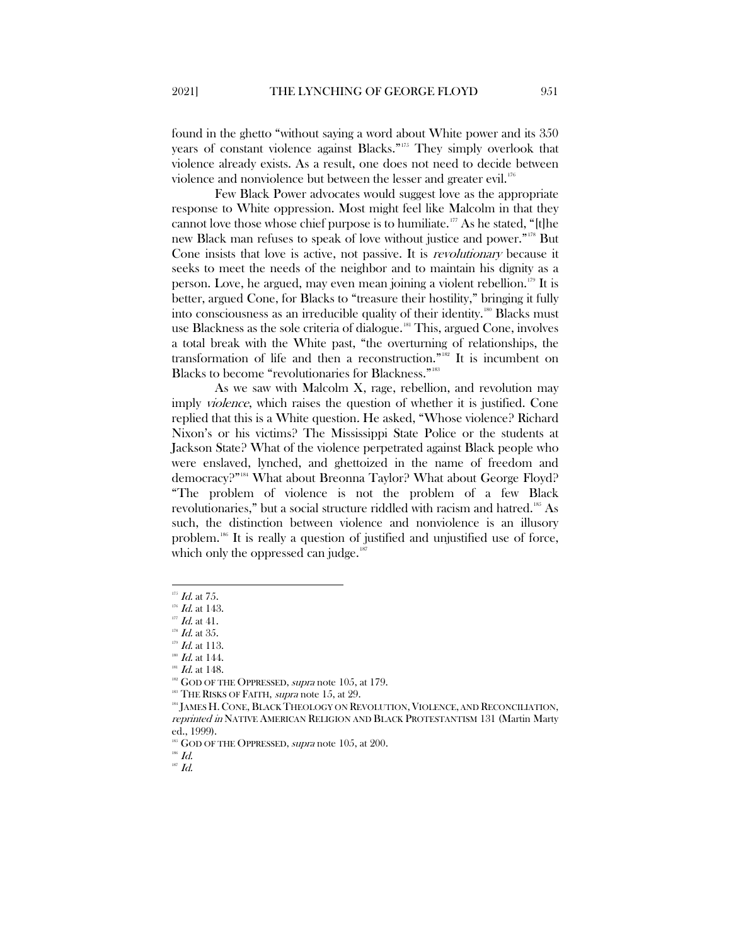found in the ghetto "without saying a word about White power and its 350 years of constant violence against Blacks."[175](#page-23-0) They simply overlook that violence already exists. As a result, one does not need to decide between violence and nonviolence but between the lesser and greater evil.<sup>[176](#page-23-1)</sup>

Few Black Power advocates would suggest love as the appropriate response to White oppression. Most might feel like Malcolm in that they cannot love those whose chief purpose is to humiliate.<sup>[177](#page-23-2)</sup> As he stated, "[t]he new Black man refuses to speak of love without justice and power."[178](#page-23-3) But Cone insists that love is active, not passive. It is *revolutionary* because it seeks to meet the needs of the neighbor and to maintain his dignity as a person. Love, he argued, may even mean joining a violent rebellion.<sup>[179](#page-23-4)</sup> It is better, argued Cone, for Blacks to "treasure their hostility," bringing it fully into consciousness as an irreducible quality of their identity.[180](#page-23-5) Blacks must use Blackness as the sole criteria of dialogue.<sup>[181](#page-23-6)</sup> This, argued Cone, involves a total break with the White past, "the overturning of relationships, the transformation of life and then a reconstruction."[182](#page-23-7) It is incumbent on Blacks to become "revolutionaries for Blackness."<sup>[183](#page-23-8)</sup>

As we saw with Malcolm X, rage, rebellion, and revolution may imply violence, which raises the question of whether it is justified. Cone replied that this is a White question. He asked, "Whose violence? Richard Nixon's or his victims? The Mississippi State Police or the students at Jackson State? What of the violence perpetrated against Black people who were enslaved, lynched, and ghettoized in the name of freedom and democracy?"[184](#page-23-9) What about Breonna Taylor? What about George Floyd? "The problem of violence is not the problem of a few Black revolutionaries," but a social structure riddled with racism and hatred.<sup>[185](#page-23-10)</sup> As such, the distinction between violence and nonviolence is an illusory problem[.186](#page-23-11) It is really a question of justified and unjustified use of force, which only the oppressed can judge. $187$ 

 $187$  Id.

 $^{175}$  *Id.* at 75.

<span id="page-23-0"></span> $176$  *Id.* at 143.

<span id="page-23-2"></span><span id="page-23-1"></span> $177$  *Id.* at 41.

<span id="page-23-4"></span><span id="page-23-3"></span> $^{178}$  Id. at 35.

 $^{179}$  *Id.* at 113.

<span id="page-23-5"></span> $180$  *Id.* at 144.

 $181$  Id. at 148.

<span id="page-23-7"></span><span id="page-23-6"></span> $182$  GOD OF THE OPPRESSED, supra note 105, at 179.

<sup>&</sup>lt;sup>183</sup> THE RISKS OF FAITH, *supra* note 15, at 29.

<span id="page-23-9"></span><span id="page-23-8"></span><sup>&</sup>lt;sup>184</sup> JAMES H. CONE, BLACK THEOLOGY ON REVOLUTION, VIOLENCE, AND RECONCILIATION, reprinted in NATIVE AMERICAN RELIGION AND BLACK PROTESTANTISM 131 (Martin Marty ed., 1999).

 $185$  GOD OF THE OPPRESSED, supra note  $105$ , at  $200$ .

<span id="page-23-12"></span><span id="page-23-11"></span><span id="page-23-10"></span> $^{186}$   $\emph{Id.}$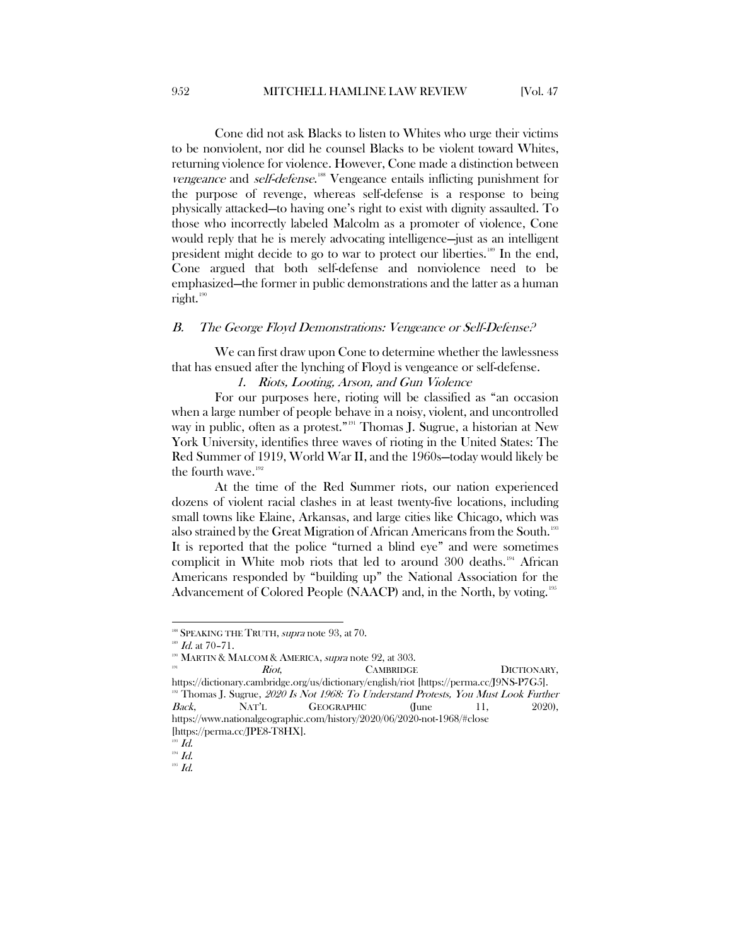Cone did not ask Blacks to listen to Whites who urge their victims to be nonviolent, nor did he counsel Blacks to be violent toward Whites, returning violence for violence. However, Cone made a distinction between vengeance and self-defense.<sup>[188](#page-24-1)</sup> Vengeance entails inflicting punishment for the purpose of revenge, whereas self-defense is a response to being physically attacked—to having one's right to exist with dignity assaulted. To those who incorrectly labeled Malcolm as a promoter of violence, Cone would reply that he is merely advocating intelligence—just as an intelligent president might decide to go to war to protect our liberties.<sup>[189](#page-24-2)</sup> In the end, Cone argued that both self-defense and nonviolence need to be emphasized—the former in public demonstrations and the latter as a human right. $190$ 

#### <span id="page-24-0"></span>B. The George Floyd Demonstrations: Vengeance or Self-Defense?

We can first draw upon Cone to determine whether the lawlessness that has ensued after the lynching of Floyd is vengeance or self-defense.

#### 1. Riots, Looting, Arson, and Gun Violence

For our purposes here, rioting will be classified as "an occasion when a large number of people behave in a noisy, violent, and uncontrolled way in public, often as a protest."<sup>[191](#page-24-4)</sup> Thomas J. Sugrue, a historian at New York University, identifies three waves of rioting in the United States: The Red Summer of 1919, World War II, and the 1960s—today would likely be the fourth wave.<sup>[192](#page-24-5)</sup>

At the time of the Red Summer riots, our nation experienced dozens of violent racial clashes in at least twenty-five locations, including small towns like Elaine, Arkansas, and large cities like Chicago, which was also strained by the Great Migration of African Americans from the South.<sup>[193](#page-24-6)</sup> It is reported that the police "turned a blind eye" and were sometimes complicit in White mob riots that led to around 300 deaths.<sup>[194](#page-24-7)</sup> African Americans responded by "building up" the National Association for the Advancement of Colored People (NAACP) and, in the North, by voting.<sup>[195](#page-24-8)</sup>

<span id="page-24-5"></span><span id="page-24-4"></span><span id="page-24-3"></span><span id="page-24-2"></span><span id="page-24-1"></span><sup>190</sup> MARTIN & MALCOM & AMERICA, *supra* note 92, at 303. **191 Riot**, **CAMBRIDGE DICTIONARY**, https://dictionary.cambridge.org/us/dictionary/english/riot [https://perma.cc/J9NS-P7G5].  $192$  Thomas J. Sugrue, 2020 Is Not 1968: To Understand Protests, You Must Look Further Back, NAT'L GEOGRAPHIC (June 11, 2020), https://www.nationalgeographic.com/history/2020/06/2020-not-1968/#close

<sup>&</sup>lt;sup>188</sup> SPEAKING THE TRUTH, *supra* note 93, at 70.

 $^{189}$  *Id.* at 70-71.

<sup>[</sup>https://perma.cc/JPE8-T8HX].

<span id="page-24-6"></span> $\mathcal{I}$  Id.

<span id="page-24-7"></span> $194$   $Id.$ 

<span id="page-24-8"></span> $^{195}$   $Id.$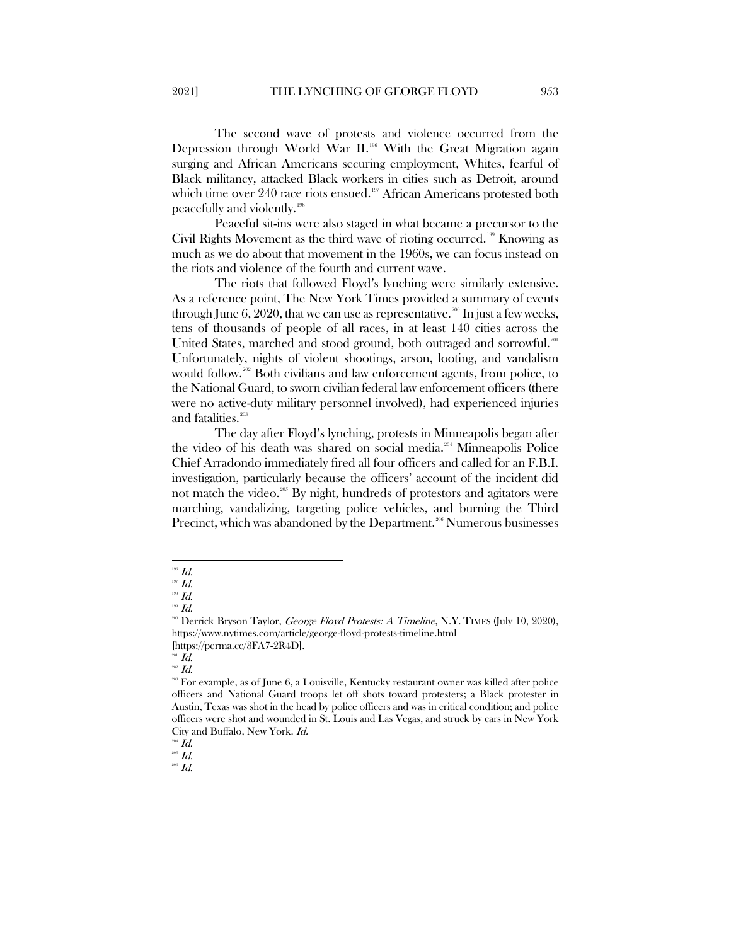The second wave of protests and violence occurred from the Depression through World War II.<sup>[196](#page-25-0)</sup> With the Great Migration again surging and African Americans securing employment, Whites, fearful of Black militancy, attacked Black workers in cities such as Detroit, around which time over 240 race riots ensued.<sup>[197](#page-25-1)</sup> African Americans protested both peacefully and violently. [198](#page-25-2)

Peaceful sit-ins were also staged in what became a precursor to the Civil Rights Movement as the third wave of rioting occurred.[199](#page-25-3) Knowing as much as we do about that movement in the 1960s, we can focus instead on the riots and violence of the fourth and current wave.

The riots that followed Floyd's lynching were similarly extensive. As a reference point, The New York Times provided a summary of events through June 6, 2020, that we can use as representative.<sup>[200](#page-25-4)</sup> In just a few weeks, tens of thousands of people of all races, in at least 140 cities across the United States, marched and stood ground, both outraged and sorrowful.<sup>[201](#page-25-5)</sup> Unfortunately, nights of violent shootings, arson, looting, and vandalism would follow. [202](#page-25-6) Both civilians and law enforcement agents, from police, to the National Guard, to sworn civilian federal law enforcement officers (there were no active-duty military personnel involved), had experienced injuries and fatalities.<sup>[203](#page-25-7)</sup>

The day after Floyd's lynching, protests in Minneapolis began after the video of his death was shared on social media.<sup>[204](#page-25-8)</sup> Minneapolis Police Chief Arradondo immediately fired all four officers and called for an F.B.I. investigation, particularly because the officers' account of the incident did not match the video.<sup>[205](#page-25-9)</sup> By night, hundreds of protestors and agitators were marching, vandalizing, targeting police vehicles, and burning the Third Precinct, which was abandoned by the Department.<sup>[206](#page-25-10)</sup> Numerous businesses

<span id="page-25-10"></span> $^{206}$   $Id.$ 

 $^{196}$   $\emph{Id.}$ 

<span id="page-25-1"></span><span id="page-25-0"></span> $^{197}$   $\emph{Id.}$  $^{198}$   $\emph{Id.}$ 

<span id="page-25-2"></span> $^{199}$   $\emph{Id.}$ 

<span id="page-25-4"></span><span id="page-25-3"></span><sup>&</sup>lt;sup>200</sup> Derrick Bryson Taylor, *George Floyd Protests: A Timeline*, N.Y. TIMES (July 10, 2020), https://www.nytimes.com/article/george-floyd-protests-timeline.html [https://perma.cc/3FA7-2R4D].

 $201$   $Id.$ 

 $^{202}$   $Id.$ 

<span id="page-25-7"></span><span id="page-25-6"></span><span id="page-25-5"></span><sup>&</sup>lt;sup>203</sup> For example, as of June 6, a Louisville, Kentucky restaurant owner was killed after police officers and National Guard troops let off shots toward protesters; a Black protester in Austin, Texas was shot in the head by police officers and was in critical condition; and police officers were shot and wounded in St. Louis and Las Vegas, and struck by cars in New York City and Buffalo, New York. Id.

 $^{204}$   $\emph{Id.}$ 

<span id="page-25-9"></span><span id="page-25-8"></span> $^{205}$   $Id.$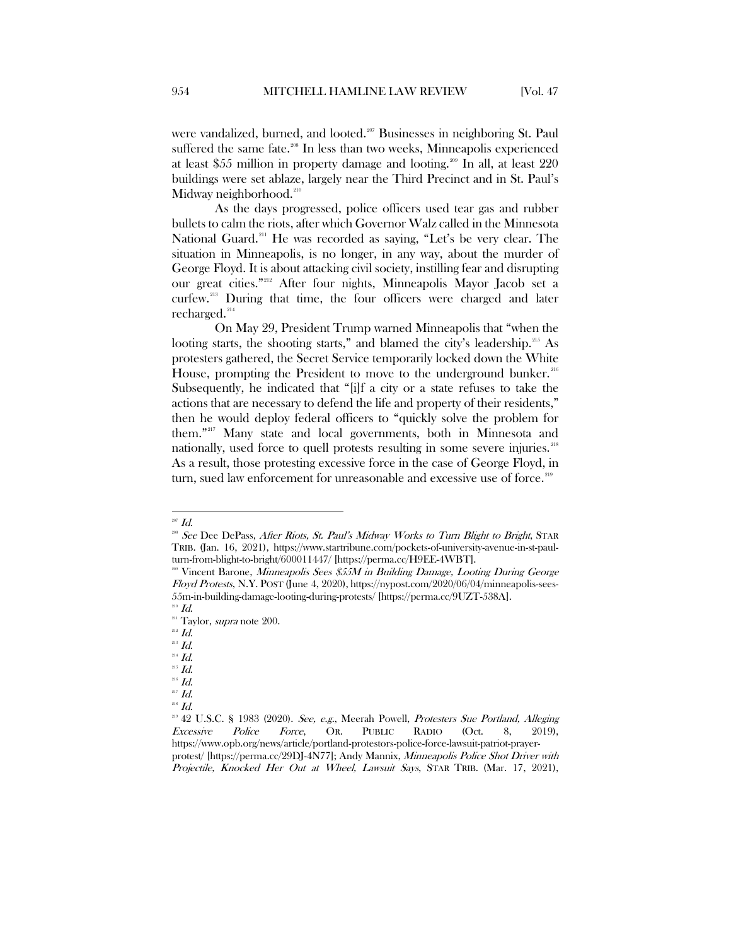were vandalized, burned, and looted.<sup>[207](#page-26-0)</sup> Businesses in neighboring St. Paul suffered the same fate.<sup>[208](#page-26-1)</sup> In less than two weeks, Minneapolis experienced at least \$55 million in property damage and looting.<sup>[209](#page-26-2)</sup> In all, at least 220 buildings were set ablaze, largely near the Third Precinct and in St. Paul's Midway neighborhood.<sup>[210](#page-26-3)</sup>

As the days progressed, police officers used tear gas and rubber bullets to calm the riots, after which Governor Walz called in the Minnesota National Guard.<sup>[211](#page-26-4)</sup> He was recorded as saying, "Let's be very clear. The situation in Minneapolis, is no longer, in any way, about the murder of George Floyd. It is about attacking civil society, instilling fear and disrupting our great cities."[212](#page-26-5) After four nights, Minneapolis Mayor Jacob set a curfew.[213](#page-26-6) During that time, the four officers were charged and later recharged.<sup>[214](#page-26-7)</sup>

On May 29, President Trump warned Minneapolis that "when the looting starts, the shooting starts," and blamed the city's leadership.<sup>[215](#page-26-8)</sup> As protesters gathered, the Secret Service temporarily locked down the White House, prompting the President to move to the underground bunker.<sup>[216](#page-26-9)</sup> Subsequently, he indicated that "[i]f a city or a state refuses to take the actions that are necessary to defend the life and property of their residents," then he would deploy federal officers to "quickly solve the problem for them."[217](#page-26-10) Many state and local governments, both in Minnesota and nationally, used force to quell protests resulting in some severe injuries.<sup>[218](#page-26-11)</sup> As a result, those protesting excessive force in the case of George Floyd, in turn, sued law enforcement for unreasonable and excessive use of force.<sup>219</sup>

 $^{207}$  Id.

<span id="page-26-1"></span><span id="page-26-0"></span><sup>&</sup>lt;sup>208</sup> See Dee DePass, After Riots, St. Paul's Midway Works to Turn Blight to Bright, STAR TRIB. (Jan. 16, 2021), https://www.startribune.com/pockets-of-university-avenue-in-st-paulturn-from-blight-to-bright/600011447/ [https://perma.cc/H9EE-4WBT].

<span id="page-26-2"></span><sup>&</sup>lt;sup>200</sup> Vincent Barone, Minneapolis Sees \$55M in Building Damage, Looting During George Floyd Protests, N.Y. POST (June 4, 2020), https://nypost.com/2020/06/04/minneapolis-sees-55m-in-building-damage-looting-during-protests/ [https://perma.cc/9UZT-538A].

 $^{210}$  Id.

<span id="page-26-4"></span><span id="page-26-3"></span><sup>&</sup>lt;sup>211</sup> Taylor, *supra* note 200.<br><sup>212</sup> Id.

<span id="page-26-6"></span><span id="page-26-5"></span> $^{213}$  Id.

<span id="page-26-7"></span> $^{214}$  Id.  $^{215}$   $Id.$ 

<span id="page-26-9"></span><span id="page-26-8"></span> $^{216}$   $Id.$ 

<sup>217</sup> Id.

<span id="page-26-11"></span><span id="page-26-10"></span>

 $^{218}$   $\emph{Id.}$ 

<span id="page-26-12"></span> $219$  42 U.S.C. § 1983 (2020). See, e.g., Meerah Powell, Protesters Sue Portland, Alleging Excessive Police Force, OR. PUBLIC RADIO (Oct. 8, 2019), https://www.opb.org/news/article/portland-protestors-police-force-lawsuit-patriot-prayerprotest/ [https://perma.cc/29DJ-4N77]; Andy Mannix, Minneapolis Police Shot Driver with Projectile, Knocked Her Out at Wheel, Lawsuit Says, STAR TRIB. (Mar. 17, 2021),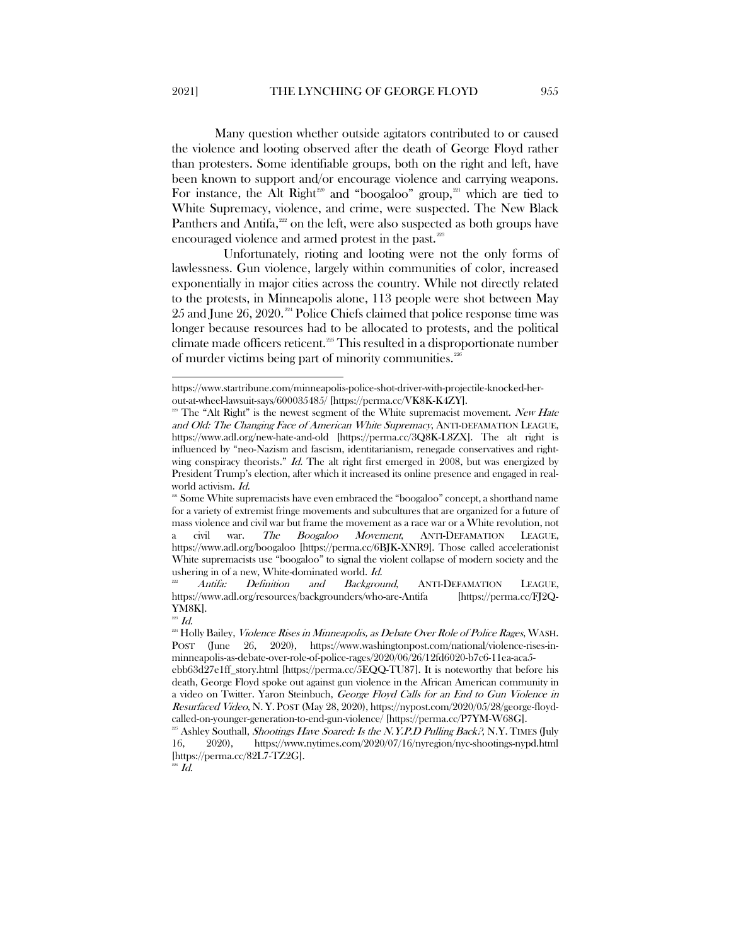Many question whether outside agitators contributed to or caused the violence and looting observed after the death of George Floyd rather than protesters. Some identifiable groups, both on the right and left, have been known to support and/or encourage violence and carrying weapons. For instance, the Alt Right<sup>[220](#page-27-0)</sup> and "boogaloo" group,<sup>21</sup> which are tied to White Supremacy, violence, and crime, were suspected. The New Black Panthers and Antifa, $222$  on the left, were also suspected as both groups have encouraged violence and armed protest in the past.<sup>[223](#page-27-3)</sup>

Unfortunately, rioting and looting were not the only forms of lawlessness. Gun violence, largely within communities of color, increased exponentially in major cities across the country. While not directly related to the protests, in Minneapolis alone, 113 people were shot between May 25 and June 26, 2020. [224](#page-27-4) Police Chiefs claimed that police response time was longer because resources had to be allocated to protests, and the political climate made officers reticent.<sup> $225$ </sup> This resulted in a disproportionate number of murder victims being part of minority communities[.226](#page-27-6)

https://www.startribune.com/minneapolis-police-shot-driver-with-projectile-knocked-herout-at-wheel-lawsuit-says/600035485/ [https://perma.cc/VK8K-K4ZY].

<span id="page-27-0"></span><sup>&</sup>lt;sup>220</sup> The "Alt Right" is the newest segment of the White supremacist movement. New Hate and Old: The Changing Face of American White Supremacy, ANTI-DEFAMATION LEAGUE, https://www.adl.org/new-hate-and-old [https://perma.cc/3Q8K-L8ZX]. The alt right is influenced by "neo-Nazism and fascism, identitarianism, renegade conservatives and rightwing conspiracy theorists." Id. The alt right first emerged in 2008, but was energized by President Trump's election, after which it increased its online presence and engaged in realworld activism. Id.

<span id="page-27-1"></span> $^{221}$  Some White supremacists have even embraced the "boogaloo" concept, a shorthand name for a variety of extremist fringe movements and subcultures that are organized for a future of mass violence and civil war but frame the movement as a race war or a White revolution, not a civil war. The Boogaloo Movement, ANTI-DEFAMATION LEAGUE, https://www.adl.org/boogaloo [https://perma.cc/6BJK-XNR9]. Those called accelerationist White supremacists use "boogaloo" to signal the violent collapse of modern society and the ushering in of a new, White-dominated world. Id.

<span id="page-27-2"></span>Antifa: Definition and Background, ANTI-DEFAMATION LEAGUE, https://www.adl.org/resources/backgrounders/who-are-Antifa [https://perma.cc/FJ2Q-YM8K].

 $^{223}$  Id.

<span id="page-27-4"></span><span id="page-27-3"></span><sup>&</sup>lt;sup>224</sup> Holly Bailey, *Violence Rises in Minneapolis, as Debate Over Role of Police Rages*, WASH. POST (June 26, 2020), https://www.washingtonpost.com/national/violence-rises-inminneapolis-as-debate-over-role-of-police-rages/2020/06/26/12fd6020-b7c6-11ea-aca5-

ebb63d27e1ff\_story.html [https://perma.cc/5EQQ-TU87]. It is noteworthy that before his death, George Floyd spoke out against gun violence in the African American community in a video on Twitter. Yaron Steinbuch, George Floyd Calls for an End to Gun Violence in Resurfaced Video, N. Y. POST (May 28, 2020), https://nypost.com/2020/05/28/george-floydcalled-on-younger-generation-to-end-gun-violence/ [https://perma.cc/P7YM-W68G].

<span id="page-27-5"></span> $^{25}$  Ashley Southall, *Shootings Have Soared: Is the N.Y.P.D Pulling Back?*, N.Y. TIMES (July 16, 2020), https://www.nytimes.com/2020/07/16/nyregion/nyc-shootings-nypd.html [https://perma.cc/82L7-TZ2G].

<span id="page-27-6"></span> $^{226}$   $Id.$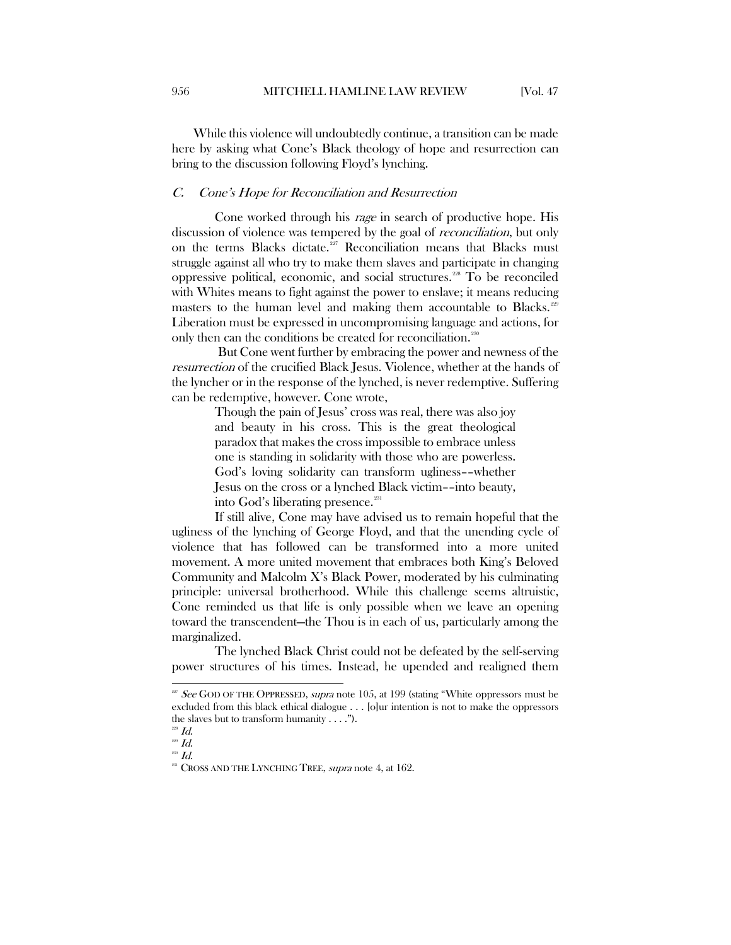While this violence will undoubtedly continue, a transition can be made here by asking what Cone's Black theology of hope and resurrection can bring to the discussion following Floyd's lynching.

#### <span id="page-28-0"></span>C. Cone's Hope for Reconciliation and Resurrection

Cone worked through his rage in search of productive hope. His discussion of violence was tempered by the goal of *reconciliation*, but only on the terms Blacks dictate.<sup>[227](#page-28-1)</sup> Reconciliation means that Blacks must struggle against all who try to make them slaves and participate in changing oppressive political, economic, and social structures.[228](#page-28-2) To be reconciled with Whites means to fight against the power to enslave; it means reducing masters to the human level and making them accountable to Blacks.<sup>[229](#page-28-3)</sup> Liberation must be expressed in uncompromising language and actions, for only then can the conditions be created for reconciliation.<sup>[230](#page-28-4)</sup>

But Cone went further by embracing the power and newness of the resurrection of the crucified Black Jesus. Violence, whether at the hands of the lyncher or in the response of the lynched, is never redemptive. Suffering can be redemptive, however. Cone wrote,

> Though the pain of Jesus' cross was real, there was also joy and beauty in his cross. This is the great theological paradox that makes the cross impossible to embrace unless one is standing in solidarity with those who are powerless. God's loving solidarity can transform ugliness––whether Jesus on the cross or a lynched Black victim––into beauty, into God's liberating presence.<sup>[231](#page-28-5)</sup>

If still alive, Cone may have advised us to remain hopeful that the ugliness of the lynching of George Floyd, and that the unending cycle of violence that has followed can be transformed into a more united movement. A more united movement that embraces both King's Beloved Community and Malcolm X's Black Power, moderated by his culminating principle: universal brotherhood. While this challenge seems altruistic, Cone reminded us that life is only possible when we leave an opening toward the transcendent—the Thou is in each of us, particularly among the marginalized.

The lynched Black Christ could not be defeated by the self-serving power structures of his times. Instead, he upended and realigned them

<span id="page-28-1"></span> $227$  See GOD OF THE OPPRESSED, supra note 105, at 199 (stating "White oppressors must be excluded from this black ethical dialogue . . . [o]ur intention is not to make the oppressors the slaves but to transform humanity . . . .").

 $^{228}$  Id.

<span id="page-28-3"></span><span id="page-28-2"></span> $229$   $Id.$ 

<span id="page-28-5"></span><span id="page-28-4"></span> $^{230}$   $Id.$ 

 $231$  CROSS AND THE LYNCHING TREE, supra note 4, at 162.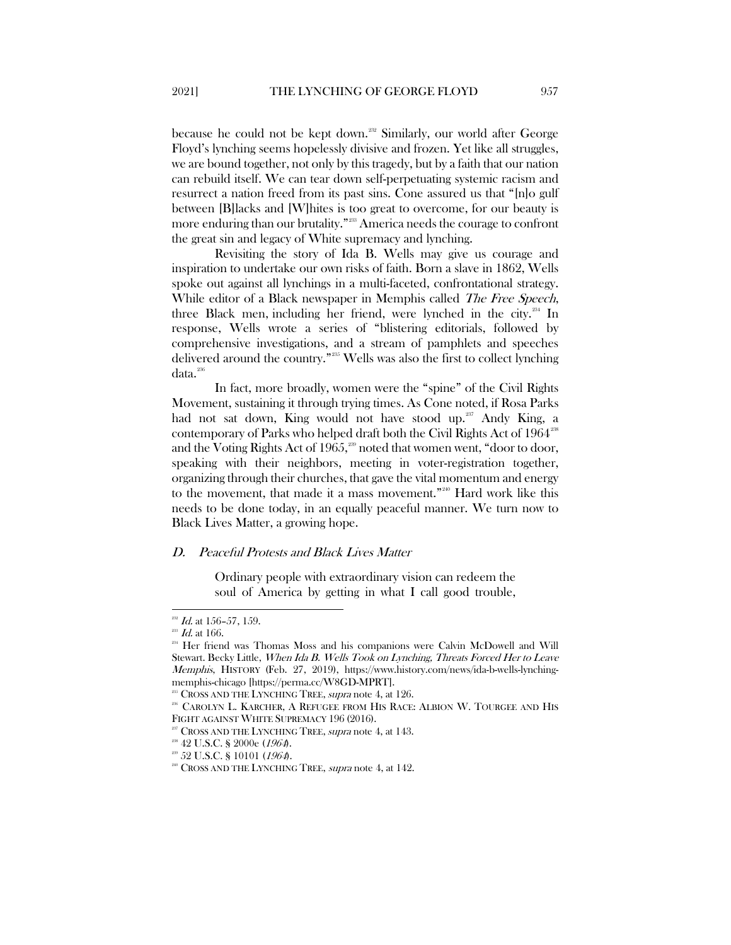because he could not be kept down.<sup>[232](#page-29-1)</sup> Similarly, our world after George Floyd's lynching seems hopelessly divisive and frozen. Yet like all struggles, we are bound together, not only by this tragedy, but by a faith that our nation can rebuild itself. We can tear down self-perpetuating systemic racism and resurrect a nation freed from its past sins. Cone assured us that "[n]o gulf between [B]lacks and [W]hites is too great to overcome, for our beauty is more enduring than our brutality."[233](#page-29-2) America needs the courage to confront the great sin and legacy of White supremacy and lynching.

Revisiting the story of Ida B. Wells may give us courage and inspiration to undertake our own risks of faith. Born a slave in 1862, Wells spoke out against all lynchings in a multi-faceted, confrontational strategy. While editor of a Black newspaper in Memphis called *The Free Speech*, three Black men, including her friend, were lynched in the city.<sup>[234](#page-29-3)</sup> In response, Wells wrote a series of "blistering editorials, followed by comprehensive investigations, and a stream of pamphlets and speeches delivered around the country."[235](#page-29-4) Wells was also the first to collect lynching data.<sup>[236](#page-29-5)</sup>

In fact, more broadly, women were the "spine" of the Civil Rights Movement, sustaining it through trying times. As Cone noted, if Rosa Parks had not sat down, King would not have stood up.<sup>[237](#page-29-6)</sup> Andy King, a contemporary of Parks who helped draft both the Civil Rights Act of 1964<sup>[238](#page-29-7)</sup> and the Voting Rights Act of 1965, $25$ <sup>39</sup> noted that women went, "door to door, speaking with their neighbors, meeting in voter-registration together, organizing through their churches, that gave the vital momentum and energy to the movement, that made it a mass movement."[240](#page-29-9) Hard work like this needs to be done today, in an equally peaceful manner. We turn now to Black Lives Matter, a growing hope.

#### <span id="page-29-0"></span>D. Peaceful Protests and Black Lives Matter

Ordinary people with extraordinary vision can redeem the soul of America by getting in what I call good trouble,

<span id="page-29-1"></span> $^{232}$  *Id.* at 156-57, 159.

<span id="page-29-2"></span> $^{233}$  Id. at 166.

<span id="page-29-3"></span><sup>&</sup>lt;sup>234</sup> Her friend was Thomas Moss and his companions were Calvin McDowell and Will Stewart. Becky Little, When Ida B. Wells Took on Lynching, Threats Forced Her to Leave Memphis, HISTORY (Feb. 27, 2019), https://www.history.com/news/ida-b-wells-lynchingmemphis-chicago [https://perma.cc/W8GD-MPRT].

<sup>&</sup>lt;sup>235</sup> CROSS AND THE LYNCHING TREE, *supra* note 4, at 126.

<span id="page-29-6"></span><span id="page-29-5"></span><span id="page-29-4"></span><sup>236</sup> CAROLYN L. KARCHER, A REFUGEE FROM HIS RACE: ALBION W. TOURGEE AND HIS FIGHT AGAINST WHITE SUPREMACY 196 (2016).

<sup>&</sup>lt;sup>237</sup> CROSS AND THE LYNCHING TREE, *supra* note 4, at 143.

<span id="page-29-7"></span> $\mbox{{}^{\rm 238}}$  42 U.S.C. § 2000e (1964).

<span id="page-29-9"></span><span id="page-29-8"></span><sup>239</sup> 52 U.S.C. § 10101 (1964).

<sup>&</sup>lt;sup>240</sup> CROSS AND THE LYNCHING TREE, *supra* note 4, at 142.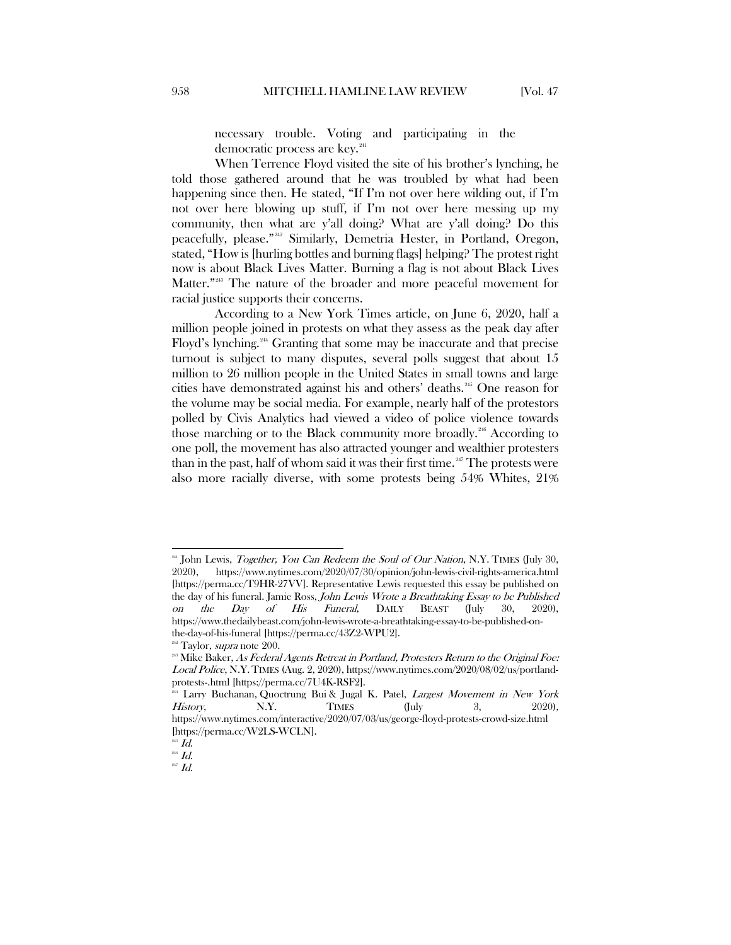necessary trouble. Voting and participating in the democratic process are key.<sup>24</sup>

When Terrence Floyd visited the site of his brother's lynching, he told those gathered around that he was troubled by what had been happening since then. He stated, "If I'm not over here wilding out, if I'm not over here blowing up stuff, if I'm not over here messing up my community, then what are y'all doing? What are y'all doing? Do this peacefully, please."[242](#page-30-1) Similarly, Demetria Hester, in Portland, Oregon, stated, "How is [hurling bottles and burning flags] helping? The protest right now is about Black Lives Matter. Burning a flag is not about Black Lives Matter."<sup>[243](#page-30-2)</sup> The nature of the broader and more peaceful movement for racial justice supports their concerns.

According to a New York Times article, on June 6, 2020, half a million people joined in protests on what they assess as the peak day after Floyd's lynching.[244](#page-30-3) Granting that some may be inaccurate and that precise turnout is subject to many disputes, several polls suggest that about 15 million to 26 million people in the United States in small towns and large cities have demonstrated against his and others' deaths.<sup>[245](#page-30-4)</sup> One reason for the volume may be social media. For example, nearly half of the protestors polled by Civis Analytics had viewed a video of police violence towards those marching or to the Black community more broadly.<sup>[246](#page-30-5)</sup> According to one poll, the movement has also attracted younger and wealthier protesters than in the past, half of whom said it was their first time.<sup>[247](#page-30-6)</sup> The protests were also more racially diverse, with some protests being 54% Whites, 21%

<span id="page-30-0"></span><sup>&</sup>lt;sup>241</sup> John Lewis, *Together, You Can Redeem the Soul of Our Nation*, N.Y. TIMES (July 30, 2020), https://www.nytimes.com/2020/07/30/opinion/john-lewis-civil-rights-america.html [https://perma.cc/T9HR-27VV]. Representative Lewis requested this essay be published on the day of his funeral. Jamie Ross, *John Lewis Wrote a Breathtaking Essay to be Published*<br>
on the Day of His Funeral, DAILY BEAST (July 30, 2020), on the  $Day$  of  $His$  Funeral,  $DAILY$  BEAST (July https://www.thedailybeast.com/john-lewis-wrote-a-breathtaking-essay-to-be-published-onthe-day-of-his-funeral [https://perma.cc/43Z2-WPU2].

 $242$  Taylor, *supra* note 200.

<span id="page-30-2"></span><span id="page-30-1"></span><sup>&</sup>lt;sup>243</sup> Mike Baker, As Federal Agents Retreat in Portland, Protesters Return to the Original Foe: Local Police, N.Y.TIMES (Aug. 2, 2020), https://www.nytimes.com/2020/08/02/us/portlandprotests-.html [https://perma.cc/7U4K-RSF2].

<span id="page-30-3"></span><sup>&</sup>lt;sup>244</sup> [Larry Buchanan,](https://www.nytimes.com/by/larry-buchanan) [Quoctrung Bui](https://www.nytimes.com/by/quoctrung-bui) & [Jugal K. Patel,](https://www.nytimes.com/by/jugal-k-patel) *Largest Movement in New York* History, N.Y. TIMES (July 3, 2020), https://www.nytimes.com/interactive/2020/07/03/us/george-floyd-protests-crowd-size.html [https://perma.cc/W2LS-WCLN].

<span id="page-30-4"></span> $\overline{\phantom{a}}$  Id.

 $^{246}$   $Id.$ 

<span id="page-30-6"></span><span id="page-30-5"></span> $^{247}$  Id.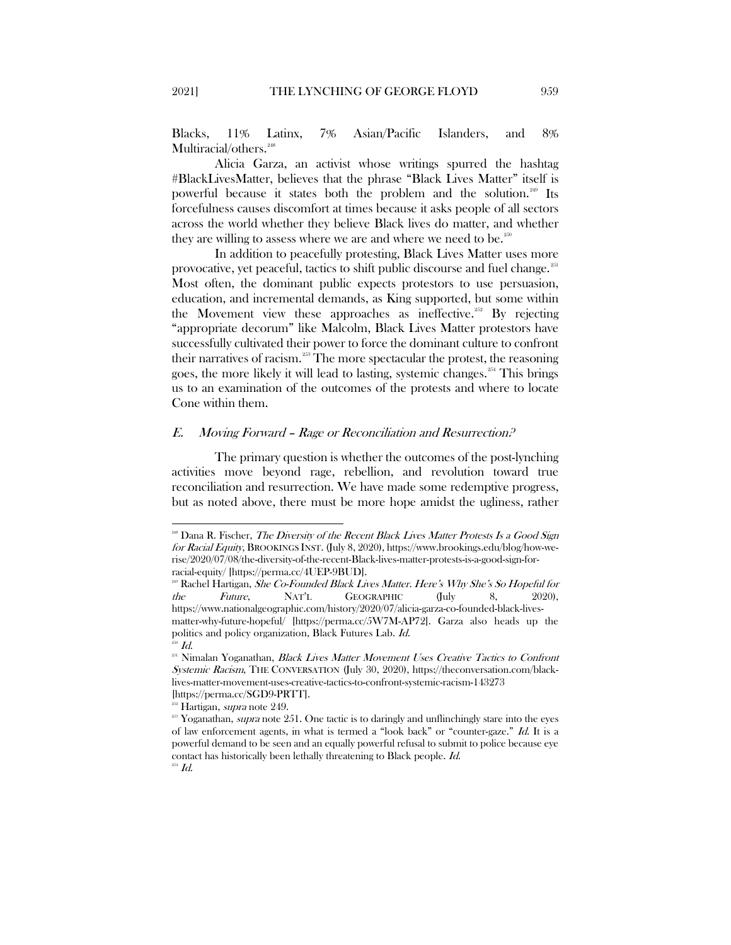Blacks, 11% Latinx, 7% Asian/Pacific Islanders, and 8% Multiracial/others.<sup>[248](#page-31-1)</sup>

Alicia Garza, an activist whose writings spurred the hashtag #BlackLivesMatter, believes that the phrase "Black Lives Matter" itself is powerful because it states both the problem and the solution.<sup>[249](#page-31-2)</sup> Its forcefulness causes discomfort at times because it asks people of all sectors across the world whether they believe Black lives do matter, and whether they are willing to assess where we are and where we need to be.<sup>[250](#page-31-3)</sup>

In addition to peacefully protesting, Black Lives Matter uses more provocative, yet peaceful, tactics to shift public discourse and fuel change.<sup>[251](#page-31-4)</sup> Most often, the dominant public expects protestors to use persuasion, education, and incremental demands, as King supported, but some within the Movement view these approaches as ineffective.<sup>[252](#page-31-5)</sup> By rejecting "appropriate decorum" like Malcolm, Black Lives Matter protestors have successfully cultivated their power to force the dominant culture to confront their narratives of racism.<sup>[253](#page-31-6)</sup> The more spectacular the protest, the reasoning goes, the more likely it will lead to lasting, systemic changes.<sup>[254](#page-31-7)</sup> This brings us to an examination of the outcomes of the protests and where to locate Cone within them.

## <span id="page-31-0"></span>E. Moving Forward – Rage or Reconciliation and Resurrection?

The primary question is whether the outcomes of the post-lynching activities move beyond rage, rebellion, and revolution toward true reconciliation and resurrection. We have made some redemptive progress, but as noted above, there must be more hope amidst the ugliness, rather

<span id="page-31-1"></span><sup>&</sup>lt;sup>218</sup> Dana R. Fischer, The Diversity of the Recent Black Lives Matter Protests Is a Good Sign for Racial Equity, BROOKINGS INST. (July 8, 2020), https://www.brookings.edu/blog/how-werise/2020/07/08/the-diversity-of-the-recent-Black-lives-matter-protests-is-a-good-sign-forracial-equity/ [https://perma.cc/4UEP-9BUD].

<span id="page-31-2"></span><sup>249</sup> Rachel Hartigan, She Co-Founded Black Lives Matter. Here's Why She's So Hopeful for the Future, NAT'L GEOGRAPHIC (July 8, 2020), https://www.nationalgeographic.com/history/2020/07/alicia-garza-co-founded-black-livesmatter-why-future-hopeful/ [https://perma.cc/5W7M-AP72]. Garza also heads up the politics and policy organization, [Black Futures Lab.](https://blackfutureslab.org/) Id.  $^{250}$   $Id.$ 

<span id="page-31-4"></span><span id="page-31-3"></span><sup>&</sup>lt;sup>251</sup> Nimalan Yoganathan, Black Lives Matter Movement Uses Creative Tactics to Confront Systemic Racism, THE CONVERSATION (July 30, 2020), https://theconversation.com/blacklives-matter-movement-uses-creative-tactics-to-confront-systemic-racism-143273

<sup>[</sup>https://perma.cc/SGD9-PRTT].<br><sup>252</sup> Hartigan, *supra* note 249.

<span id="page-31-6"></span><span id="page-31-5"></span> $253$  Yoganathan, *supra* note 251. One tactic is to daringly and unflinchingly stare into the eyes of law enforcement agents, in what is termed a "look back" or "counter-gaze." Id. It is a powerful demand to be seen and an equally powerful refusal to submit to police because eye contact has historically been lethally threatening to Black people. Id.

<span id="page-31-7"></span> $^{254}$   $Id.$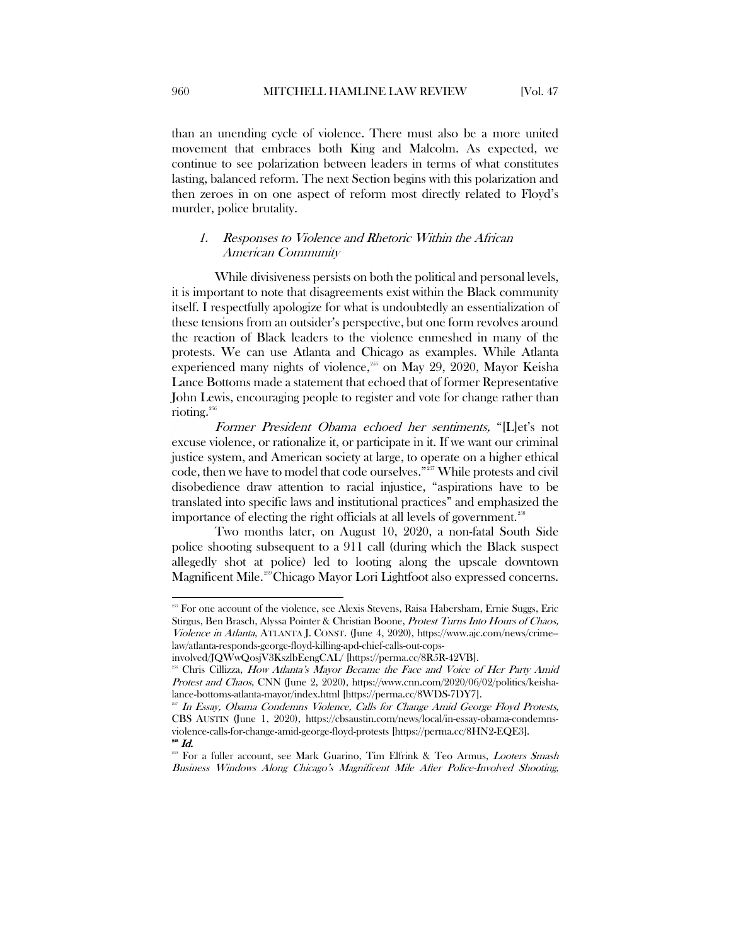than an unending cycle of violence. There must also be a more united movement that embraces both King and Malcolm. As expected, we continue to see polarization between leaders in terms of what constitutes lasting, balanced reform. The next Section begins with this polarization and then zeroes in on one aspect of reform most directly related to Floyd's murder, police brutality.

## <span id="page-32-0"></span>1. Responses to Violence and Rhetoric Within the African American Community

While divisiveness persists on both the political and personal levels, it is important to note that disagreements exist within the Black community itself. I respectfully apologize for what is undoubtedly an essentialization of these tensions from an outsider's perspective, but one form revolves around the reaction of Black leaders to the violence enmeshed in many of the protests. We can use Atlanta and Chicago as examples. While Atlanta experienced many nights of violence,<sup>[255](#page-32-1)</sup> on May 29, 2020, Mayor Keisha Lance Bottoms made a statement that echoed that of former Representative John Lewis, encouraging people to register and vote for change rather than rioting. [256](#page-32-2)

Former President Obama echoed her sentiments, "[L]et's not excuse violence, or rationalize it, or participate in it. If we want our criminal justice system, and American society at large, to operate on a higher ethical code, then we have to model that code ourselves."[257](#page-32-3) While protests and civil disobedience draw attention to racial injustice, "aspirations have to be translated into specific laws and institutional practices" and emphasized the importance of electing the right officials at all levels of government.<sup>[258](#page-32-4)</sup>

Two months later, on August 10, 2020, a non-fatal South Side police shooting subsequent to a 911 call (during which the Black suspect allegedly shot at police) led to looting along the upscale downtown Magnificent Mile.<sup>[259](#page-32-5)</sup>Chicago Mayor Lori Lightfoot also expressed concerns.

 $\overline{\phantom{a}}$ 

<span id="page-32-1"></span><sup>&</sup>lt;sup>255</sup> For one account of the violence, see Alexis [Stevens,](https://www.ajc.com/staff/alexis-stevens/) Raisa Habersham, [Ernie Suggs,](https://www.ajc.com/staff/ernie-suggs/) [Eric](https://www.ajc.com/staff/eric-stirgus/) [Stirgus,](https://www.ajc.com/staff/eric-stirgus/) Ben [Brasch,](https://www.ajc.com/staff/ben-brasch/) Alyssa Pointer [& Christian](https://www.ajc.com/staff/christian-boone/) Boone, Protest Turns Into Hours of Chaos, Violence in Atlanta, ATLANTA J. CONST. (June 4, 2020), https://www.ajc.com/news/crime- law/atlanta-responds-george-floyd-killing-apd-chief-calls-out-cops-

involved/JQWwQosjV3KszlbEengCAL/ [https://perma.cc/8R5R-42VB].

<span id="page-32-2"></span>Chris Cillizza, How Atlanta's Mayor Became the Face and Voice of Her Party Amid Protest and Chaos, CNN (June 2, 2020), https://www.cnn.com/2020/06/02/politics/keishalance-bottoms-atlanta-mayor/index.html [https://perma.cc/8WDS-7DY7].

<span id="page-32-3"></span>In Essay, Obama Condemns Violence, Calls for Change Amid George Floyd Protests, CBS AUSTIN (June 1, 2020), https://cbsaustin.com/news/local/in-essay-obama-condemnsviolence-calls-for-change-amid-george-floyd-protests [https://perma.cc/8HN2-EQE3]. 258  $^{258}$  Id.

<span id="page-32-5"></span><span id="page-32-4"></span><sup>&</sup>lt;sup>259</sup> For a fuller account, see Mark Guarino, Tim Elfrink & Teo Armus, *Looters Smash* Business Windows Along Chicago's Magnificent Mile After Police-Involved Shooting,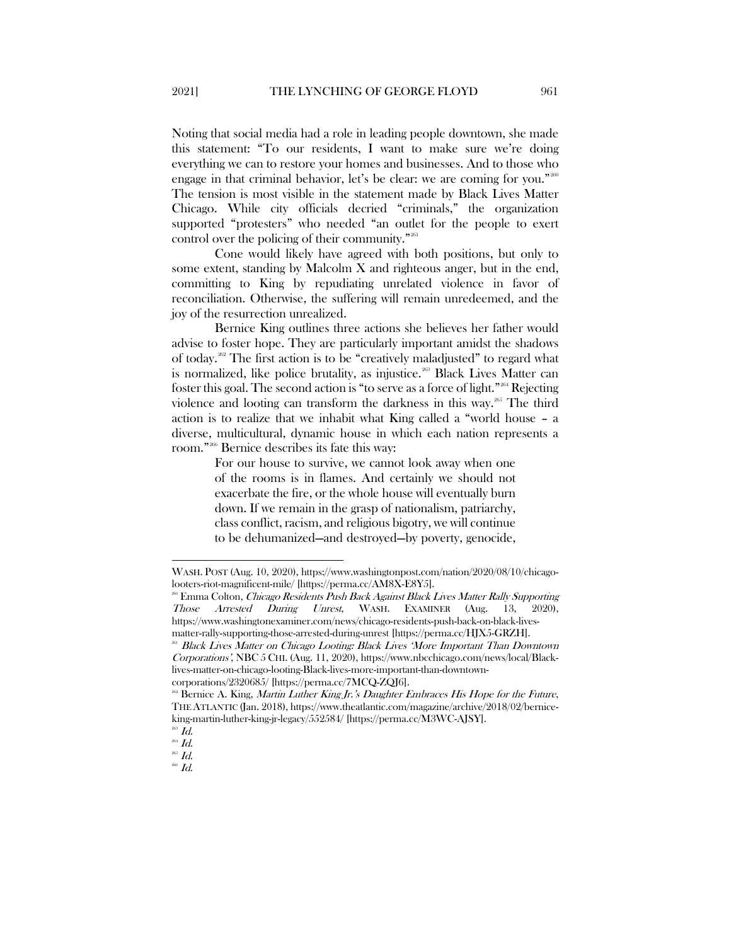Noting that social media had a role in leading people downtown, she made this statement: "To our residents, I want to make sure we're doing everything we can to restore your homes and businesses. And to those who engage in that criminal behavior, let's be clear: we are coming for you."  $2^{200}$ 

The tension is most visible in the statement made by Black Lives Matter Chicago. While city officials decried "criminals," the organization supported "protesters" who needed "an outlet for the people to exert control over the policing of their community."<sup>[261](#page-33-1)</sup>

Cone would likely have agreed with both positions, but only to some extent, standing by Malcolm  $X$  and righteous anger, but in the end, committing to King by repudiating unrelated violence in favor of reconciliation. Otherwise, the suffering will remain unredeemed, and the joy of the resurrection unrealized.

Bernice King outlines three actions she believes her father would advise to foster hope. They are particularly important amidst the shadows of today.<sup>[262](#page-33-2)</sup> The first action is to be "creatively maladjusted" to regard what is normalized, like police brutality, as injustice.<sup>[263](#page-33-3)</sup> Black Lives Matter can foster this goal. The second action is "to serve as a force of light."[264](#page-33-4) Rejecting violence and looting can transform the darkness in this way.<sup>[265](#page-33-5)</sup> The third action is to realize that we inhabit what King called a "world house – a diverse, multicultural, dynamic house in which each nation represents a room."[266](#page-33-6) Bernice describes its fate this way:

> For our house to survive, we cannot look away when one of the rooms is in flames. And certainly we should not exacerbate the fire, or the whole house will eventually burn down. If we remain in the grasp of nationalism, patriarchy, class conflict, racism, and religious bigotry, we will continue to be dehumanized—and destroyed—by poverty, genocide,

l

WASH. POST (Aug. 10, 2020), https://www.washingtonpost.com/nation/2020/08/10/chicagolooters-riot-magnificent-mile/ [https://perma.cc/AM8X-E8Y5].

<span id="page-33-0"></span><sup>&</sup>lt;sup>260</sup> Emma Colton, *Chicago Residents Push Back Against Black Lives Matter Rally Supporting*<br> *Those Arrested During Unrest*, WASH. EXAMINER (Aug. 13, 2020), Those Arrested During Unrest, WASH. EXAMINER (Aug. 13, https://www.washingtonexaminer.com/news/chicago-residents-push-back-on-black-livesmatter-rally-supporting-those-arrested-during-unrest [https://perma.cc/HJX5-GRZH].

<span id="page-33-1"></span><sup>261</sup> Black Lives Matter on Chicago Looting: Black Lives 'More Important Than Downtown Corporations', NBC 5 CHI. (Aug. 11, 2020), https://www.nbcchicago.com/news/local/Blacklives-matter-on-chicago-looting-Black-lives-more-important-than-downtowncorporations/2320685/ [https://perma.cc/7MCQ-ZQJ6].

<span id="page-33-2"></span><sup>&</sup>lt;sup>362</sup> Bernice A. King, *Martin Luther King Jr.'s Daughter Embraces His Hope for the Future*, THE ATLANTIC (Jan. 2018), https://www.theatlantic.com/magazine/archive/2018/02/berniceking-martin-luther-king-jr-legacy/552584/ [https://perma.cc/M3WC-AJSY].

 $^{263}$   $Id.$ 

<span id="page-33-4"></span><span id="page-33-3"></span> $^{264}$  Id.

 $^{265}$   $Id.$ 

<span id="page-33-6"></span><span id="page-33-5"></span> $^{266}$  Id.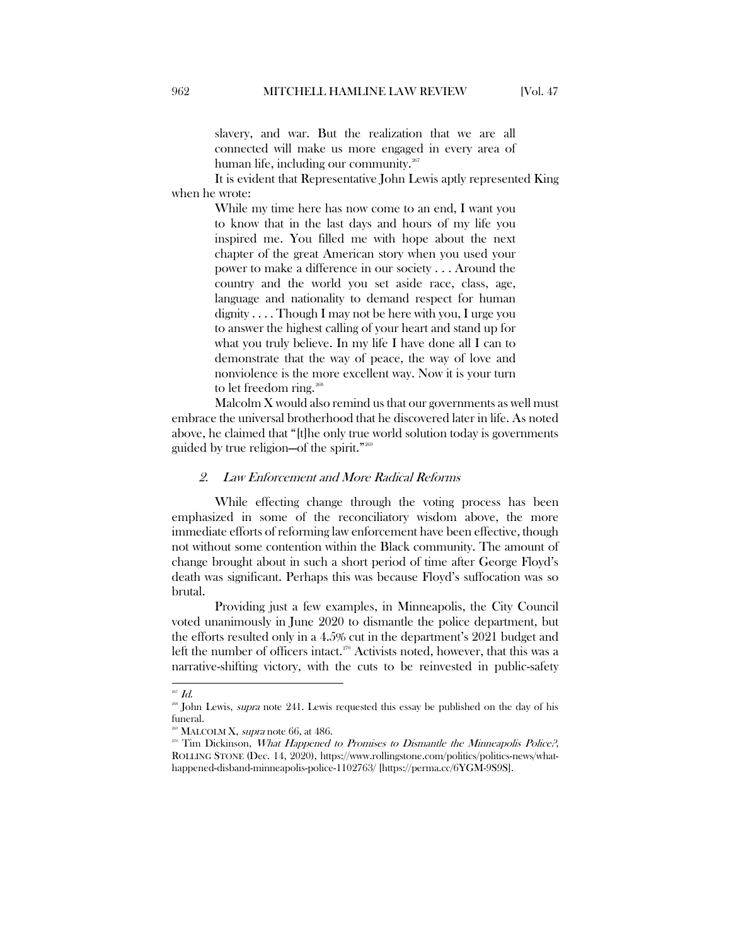slavery, and war. But the realization that we are all connected will make us more engaged in every area of human life, including our community.<sup>[267](#page-34-1)</sup>

It is evident that Representative John Lewis aptly represented King when he wrote:

> While my time here has now come to an end, I want you to know that in the last days and hours of my life you inspired me. You filled me with hope about the next chapter of the great American story when you used your power to make a difference in our society . . . Around the country and the world you set aside race, class, age, language and nationality to demand respect for human dignity . . . . Though I may not be here with you, I urge you to answer the highest calling of your heart and stand up for what you truly believe. In my life I have done all I can to demonstrate that the way of peace, the way of love and nonviolence is the more excellent way. Now it is your turn to let freedom ring.<sup>[268](#page-34-2)</sup>

Malcolm  $X$  would also remind us that our governments as well must embrace the universal brotherhood that he discovered later in life. As noted above, he claimed that "[t]he only true world solution today is governments guided by true religion—of the spirit."[269](#page-34-3)

#### <span id="page-34-0"></span>2. Law Enforcement and More Radical Reforms

While effecting change through the voting process has been emphasized in some of the reconciliatory wisdom above, the more immediate efforts of reforming law enforcement have been effective, though not without some contention within the Black community. The amount of change brought about in such a short period of time after George Floyd's death was significant. Perhaps this was because Floyd's suffocation was so brutal.

Providing just a few examples, in Minneapolis, the City Council voted unanimously in June 2020 to dismantle the police department, but the efforts resulted only in a 4.5% cut in the department's 2021 budget and left the number of officers intact.<sup>[270](#page-34-4)</sup> Activists noted, however, that this was a narrative-shifting victory, with the cuts to be reinvested in public-safety

<span id="page-34-1"></span> $\overline{a}$  $267$  *Id.* 

<span id="page-34-2"></span><sup>&</sup>lt;sup>268</sup> John Lewis, *supra* note 241. Lewis requested this essay be published on the day of his funeral.

 $^{269}$  MALCOLM X, *supra* note 66, at 486.

<span id="page-34-4"></span><span id="page-34-3"></span><sup>&</sup>lt;sup>270</sup> Tim Dickinson, What Happened to Promises to Dismantle the Minneapolis Police?, ROLLING STONE (Dec. 14, 2020), https://www.rollingstone.com/politics/politics-news/whathappened-disband-minneapolis-police-1102763/ [https://perma.cc/6YGM-9S9S].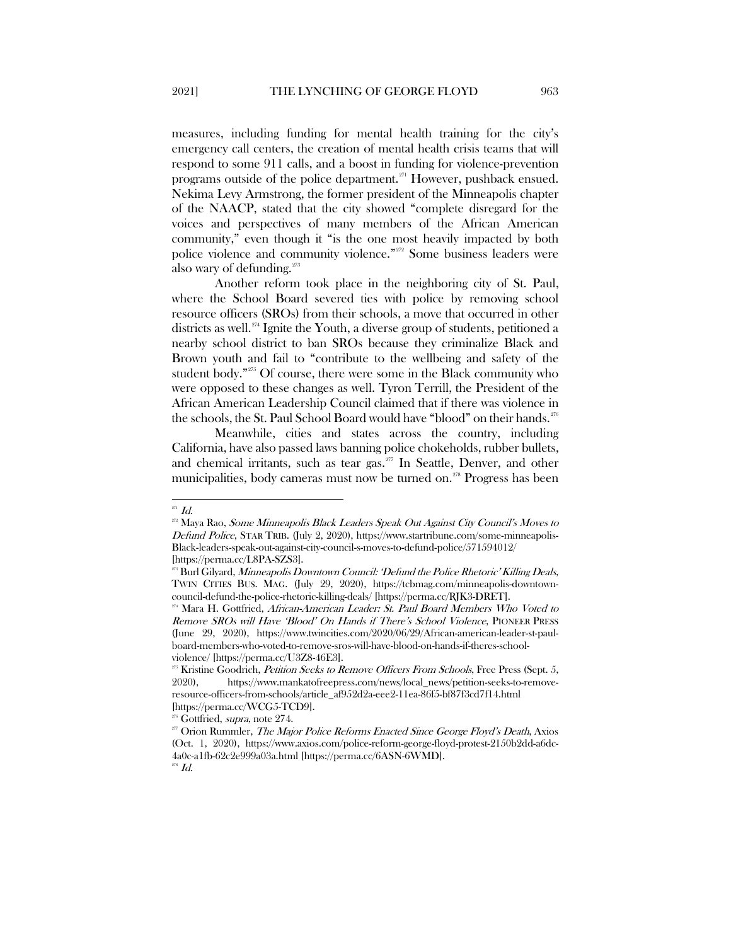measures, including funding for mental health training for the city's emergency call centers, the creation of mental health crisis teams that will respond to some 911 calls, and a boost in funding for violence-prevention programs outside of the police department.<sup> $271$ </sup> However, pushback ensued. Nekima Levy Armstrong, the former president of the Minneapolis chapter of the NAACP, stated that the city showed "complete disregard for the voices and perspectives of many members of the African American community," even though it "is the one most heavily impacted by both police violence and community violence."<sup>[272](#page-35-1)</sup> Some business leaders were also wary of defunding.<sup>[273](#page-35-2)</sup>

Another reform took place in the neighboring city of St. Paul, where the School Board severed ties with police by removing school resource officers (SROs) from their schools, a move that occurred in other districts as well.[274](#page-35-3) Ignite the Youth, a diverse group of students, petitioned a nearby school district to ban SROs because they criminalize Black and Brown youth and fail to "contribute to the wellbeing and safety of the student body."<sup>[275](#page-35-4)</sup> Of course, there were some in the Black community who were opposed to these changes as well. Tyron Terrill, the President of the African American Leadership Council claimed that if there was violence in the schools, the St. Paul School Board would have "blood" on their hands.<sup>[276](#page-35-5)</sup>

Meanwhile, cities and states across the country, including California, have also passed laws banning police chokeholds, rubber bullets, and chemical irritants, such as tear gas. $277$  In Seattle, Denver, and other municipalities, body cameras must now be turned on.[278](#page-35-7) Progress has been

 $\overline{\phantom{a}}$  $^{\scriptscriptstyle 271}$  Id.

<span id="page-35-1"></span><span id="page-35-0"></span><sup>&</sup>lt;sup>272</sup> Maya Rao, Some Minneapolis Black Leaders Speak Out Against City Council's Moves to Defund Police, STAR TRIB. (July 2, 2020), https://www.startribune.com/some-minneapolis-Black-leaders-speak-out-against-city-council-s-moves-to-defund-police/571594012/

<span id="page-35-2"></span><sup>[</sup>https://perma.cc/L8PA-SZS3].<br><sup>273</sup> Burl Gilyard, *Minneapolis Downtown Council: 'Defund the Police Rhetoric' Killing Deals*, TWIN CITIES BUS. MAG. (July 29, 2020), https://tcbmag.com/minneapolis-downtowncouncil-defund-the-police-rhetoric-killing-deals/ [https://perma.cc/RJK3-DRET].

<span id="page-35-3"></span> $274$  Mara H. Gottfried, African-American Leader: St. Paul Board Members Who Voted to Remove SROs will Have 'Blood' On Hands if There's School Violence, PIONEER PRESS (June 29, 2020), https://www.twincities.com/2020/06/29/African-american-leader-st-paulboard-members-who-voted-to-remove-sros-will-have-blood-on-hands-if-theres-schoolviolence/ [https://perma.cc/U3Z8-46E3].

<span id="page-35-4"></span> $^{275}$  Kristine Goodrich, *Petition Seeks to Remove Officers From Schools*, Free Press (Sept. 5, 2020), https://www.mankatofreepress.com/news/local\_news/petition-seeks-to-removeresource-officers-from-schools/article\_af952d2a-eee2-11ea-86f5-bf87f3cd7f14.html [https://perma.cc/WCG5-TCD9].

<span id="page-35-6"></span><span id="page-35-5"></span><sup>&</sup>lt;sup>276</sup> Gottfried, *supra*, note 274.<br><sup>277</sup> Orion Rummler. *The Major Police Reforms Enacted Since George Floyd's Death*. Axios (Oct. 1, 2020), https://www.axios.com/police-reform-george-floyd-protest-2150b2dd-a6dc-4a0c-a1fb-62c2e999a03a.html [https://perma.cc/6ASN-6WMD].

<span id="page-35-7"></span> $^{\scriptscriptstyle 278}$  Id.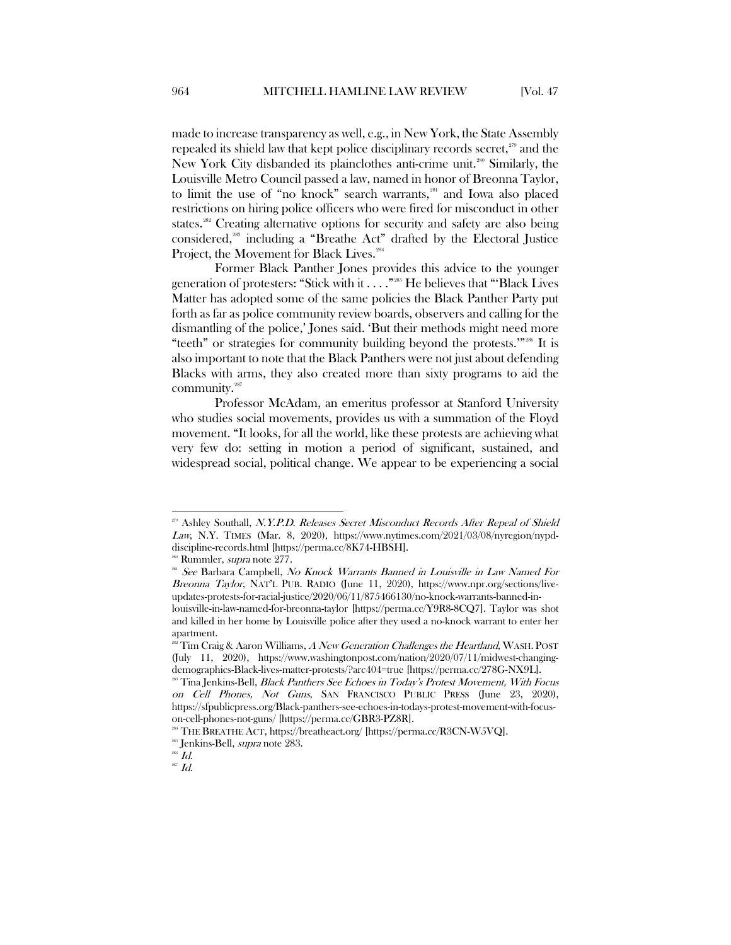made to increase transparency as well, e.g., in New York, the State Assembly repealed its shield law that kept police disciplinary records secret, $259$  and the New York City disbanded its plainclothes anti-crime unit.<sup>[280](#page-36-1)</sup> Similarly, the Louisville Metro Council passed a law, named in honor of Breonna Taylor, to limit the use of "no knock" search warrants,<sup>[281](#page-36-2)</sup> and Iowa also placed restrictions on hiring police officers who were fired for misconduct in other states.<sup>[282](#page-36-3)</sup> Creating alternative options for security and safety are also being considered,[283](#page-36-4) including a "Breathe Act" drafted by the Electoral Justice Project, the Movement for Black Lives.<sup>[284](#page-36-5)</sup>

Former Black Panther Jones provides this advice to the younger generation of protesters: "Stick with it . . . ." [285](#page-36-6) He believes that "'Black Lives Matter has adopted some of the same policies the Black Panther Party put forth as far as police community review boards, observers and calling for the dismantling of the police,' Jones said. 'But their methods might need more "teeth" or strategies for community building beyond the protests.'" [286](#page-36-7) It is also important to note that the Black Panthers were not just about defending Blacks with arms, they also created more than sixty programs to aid the community.<sup>287</sup>

Professor McAdam, an emeritus professor at Stanford University who studies social movements, provides us with a summation of the Floyd movement. "It looks, for all the world, like these protests are achieving what very few do: setting in motion a period of significant, sustained, and widespread social, political change. We appear to be experiencing a social

<span id="page-36-0"></span><sup>&</sup>lt;sup>279</sup> Ashley Southall, N.Y.P.D. Releases Secret Misconduct Records After Repeal of Shield Law, N.Y. TIMES (Mar. 8, 2020), https://www.nytimes.com/2021/03/08/nyregion/nypddiscipline-records.html [https://perma.cc/8K74-HBSH].

<sup>&</sup>lt;sup>280</sup> Rummler, *supra* note 277.

<span id="page-36-2"></span><span id="page-36-1"></span><sup>&</sup>lt;sup>281</sup> See Barbara Campbell, No Knock Warrants Banned in Louisville in Law Named For Breonna Taylor, NAT'L PUB. RADIO (June 11, 2020), https://www.npr.org/sections/liveupdates-protests-for-racial-justice/2020/06/11/875466130/no-knock-warrants-banned-inlouisville-in-law-named-for-breonna-taylor [https://perma.cc/Y9R8-8CQ7]. Taylor was shot and killed in her home by Louisville police after they used a no-knock warrant to enter her apartment.

<span id="page-36-3"></span><sup>&</sup>lt;sup>282</sup> Tim Craig & Aaron Williams, A New Generation Challenges the Heartland, WASH. POST (July 11, 2020), https://www.washingtonpost.com/nation/2020/07/11/midwest-changingdemographics-Black-lives-matter-protests/?arc404=true [https://perma.cc/278G-NX9L].

<span id="page-36-4"></span><sup>&</sup>lt;sup>283</sup> Tina Jenkins-Bell, *Black Panthers See Echoes in Today's Protest Movement, With Focus* on Cell Phones, Not Guns, SAN FRANCISCO PUBLIC PRESS (June 23, 2020), https://sfpublicpress.org/Black-panthers-see-echoes-in-todays-protest-movement-with-focuson-cell-phones-not-guns/ [https://perma.cc/GBR3-PZ8R].

<span id="page-36-5"></span><sup>&</sup>lt;sup>284</sup> THE BREATHE ACT, https://breatheact.org/ [https://perma.cc/R3CN-W5VQ].

<sup>&</sup>lt;sup>285</sup> Jenkins-Bell, *supra* note 283.

<span id="page-36-7"></span><span id="page-36-6"></span> $\displaystyle \check{\hbox{\it I}}$  Id.

<span id="page-36-8"></span> $^{287}$  Id.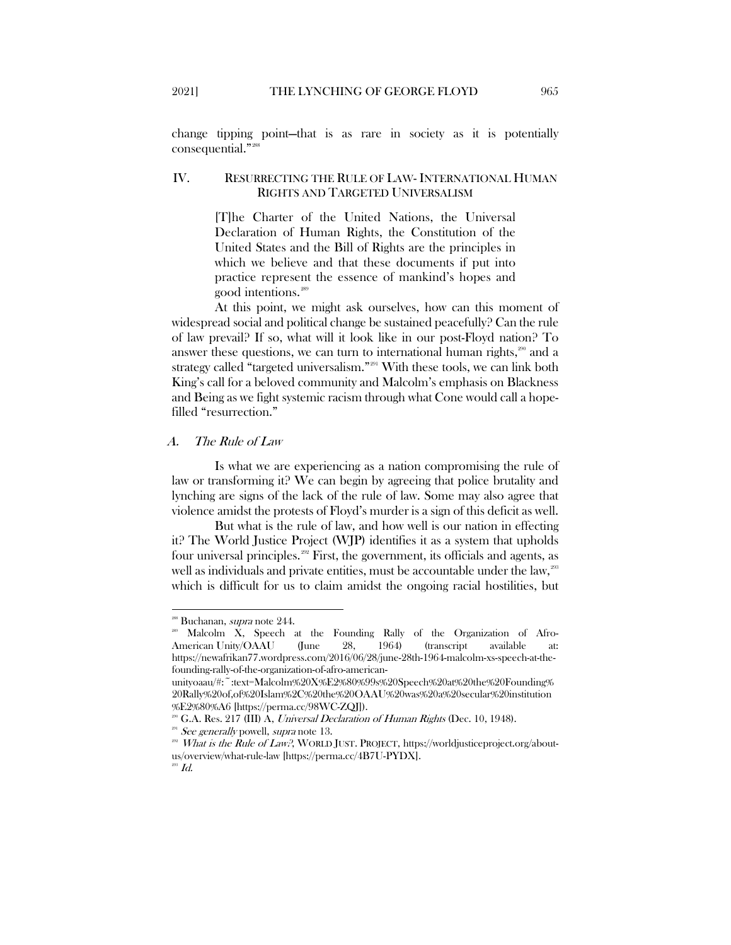change tipping point—that is as rare in society as it is potentially consequential."<sup>28</sup>

#### <span id="page-37-0"></span>IV. RESURRECTING THE RULE OF LAW- INTERNATIONAL HUMAN RIGHTS AND TARGETED UNIVERSALISM

[T]he Charter of the United Nations, the Universal Declaration of Human Rights, the Constitution of the United States and the Bill of Rights are the principles in which we believe and that these documents if put into practice represent the essence of mankind's hopes and good intentions.[289](#page-37-3)

At this point, we might ask ourselves, how can this moment of widespread social and political change be sustained peacefully? Can the rule of law prevail? If so, what will it look like in our post-Floyd nation? To answer these questions, we can turn to international human rights, $\frac{200}{30}$  and a strategy called "targeted universalism."<sup>[291](#page-37-5)</sup> With these tools, we can link both King's call for a beloved community and Malcolm's emphasis on Blackness and Being as we fight systemic racism through what Cone would call a hopefilled "resurrection."

#### <span id="page-37-1"></span>A. The Rule of Law

Is what we are experiencing as a nation compromising the rule of law or transforming it? We can begin by agreeing that police brutality and lynching are signs of the lack of the rule of law. Some may also agree that violence amidst the protests of Floyd's murder is a sign of this deficit as well.

But what is the rule of law, and how well is our nation in effecting it? The World Justice Project (WJP) identifies it as a system that upholds four universal principles.<sup>[292](#page-37-6)</sup> First, the government, its officials and agents, as well as individuals and private entities, must be accountable under the law,<sup>[293](#page-37-7)</sup> which is difficult for us to claim amidst the ongoing racial hostilities, but

 $\overline{\phantom{a}}$ 

<span id="page-37-3"></span><span id="page-37-2"></span><sup>&</sup>lt;sup>288</sup> Buchanan, *supra* note 244.<br><sup>289</sup> Malcolm X, Speech at the Founding Rally of the Organization of Afro-American Unity/OAAU (June 28, 1964) (transcript available at: https://newafrikan77.wordpress.com/2016/06/28/june-28th-1964-malcolm-xs-speech-at-thefounding-rally-of-the-organization-of-afro-american-

unityoaau/#:~:text=Malcolm%20X%E2%80%99s%20Speech%20at%20the%20Founding% 20Rally%20of,of%20Islam%2C%20the%20OAAU%20was%20a%20secular%20institution %E2%80%A6 [https://perma.cc/98WC-ZQJ]).

<sup>&</sup>lt;sup>36</sup> G.A. Res. 217 (III) A, *Universal Declaration of Human Rights* (Dec. 10, 1948).

<span id="page-37-7"></span><span id="page-37-6"></span><span id="page-37-5"></span><span id="page-37-4"></span><sup>&</sup>lt;sup>291</sup> See generally powell, supra note 13.<br><sup>292</sup> What is the Rule of Law?, WORLD JUST. PROJECT, https://worldjusticeproject.org/aboutus/overview/what-rule-law [https://perma.cc/4B7U-PYDX].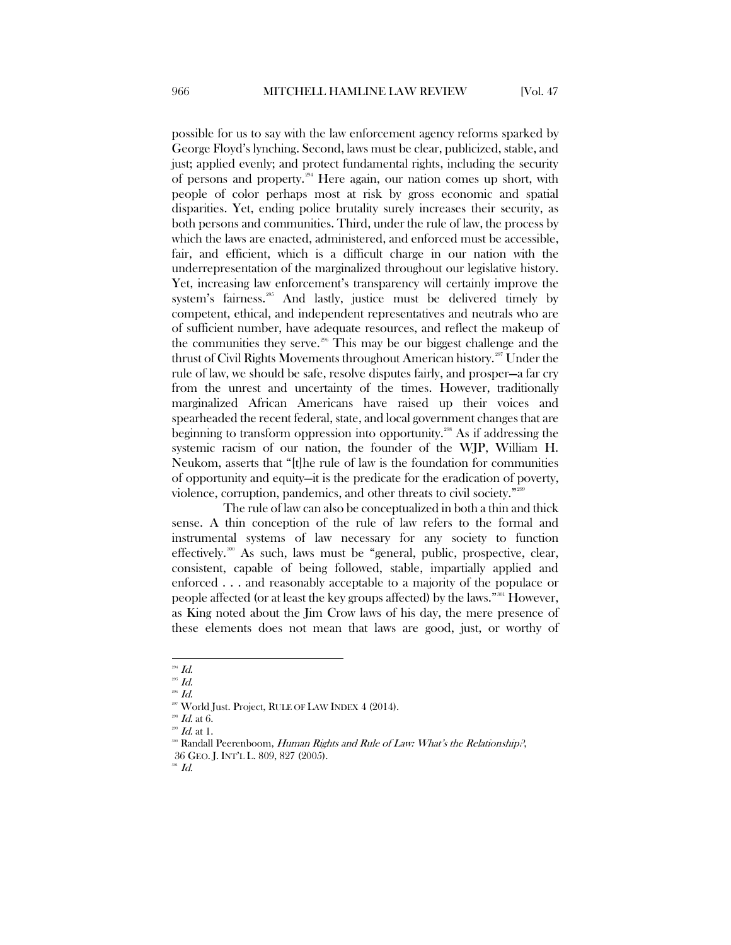possible for us to say with the law enforcement agency reforms sparked by George Floyd's lynching. Second, laws must be clear, publicized, stable, and just; applied evenly; and protect fundamental rights, including the security of persons and property.[294](#page-38-0) Here again, our nation comes up short, with people of color perhaps most at risk by gross economic and spatial disparities. Yet, ending police brutality surely increases their security, as both persons and communities. Third, under the rule of law, the process by which the laws are enacted, administered, and enforced must be accessible, fair, and efficient, which is a difficult charge in our nation with the underrepresentation of the marginalized throughout our legislative history. Yet, increasing law enforcement's transparency will certainly improve the system's fairness. $205$  And lastly, justice must be delivered timely by competent, ethical, and independent representatives and neutrals who are of sufficient number, have adequate resources, and reflect the makeup of the communities they serve.<sup>[296](#page-38-2)</sup> This may be our biggest challenge and the thrust of Civil Rights Movements throughout American history.[297](#page-38-3) Under the rule of law, we should be safe, resolve disputes fairly, and prosper—a far cry from the unrest and uncertainty of the times. However, traditionally marginalized African Americans have raised up their voices and spearheaded the recent federal, state, and local government changes that are beginning to transform oppression into opportunity.[298](#page-38-4) As if addressing the systemic racism of our nation, the founder of the WJP, William H. Neukom, asserts that "[t]he rule of law is the foundation for communities of opportunity and equity—it is the predicate for the eradication of poverty, violence, corruption, pandemics, and other threats to civil society."[299](#page-38-5)

The rule of law can also be conceptualized in both a thin and thick sense. A thin conception of the rule of law refers to the formal and instrumental systems of law necessary for any society to function effectively.[300](#page-38-6) As such, laws must be "general, public, prospective, clear, consistent, capable of being followed, stable, impartially applied and enforced . . . and reasonably acceptable to a majority of the populace or people affected (or at least the key groups affected) by the laws."[301](#page-38-7) However, as King noted about the Jim Crow laws of his day, the mere presence of these elements does not mean that laws are good, just, or worthy of

<span id="page-38-0"></span> $\real^{294}$  Id.

<span id="page-38-1"></span> $\,$  295  $\,$  Id.

<span id="page-38-2"></span> $296$  Id.

<sup>&</sup>lt;sup>297</sup> World Just. Project, RULE OF LAW INDEX 4 (2014).

<span id="page-38-5"></span><span id="page-38-4"></span><span id="page-38-3"></span>

<span id="page-38-6"></span>

<sup>&</sup>lt;sup>298</sup> *Id.* at 6.<br><sup>299</sup> *Id.* at 1.<br>309 Randall Peerenboom, *Human Rights and Rule of Law: What's the Relationship?*, 36 GEO. J. INT'L L. 809, 827 (2005).

<span id="page-38-7"></span> $^\mathrm{301}$   $\emph{Id.}$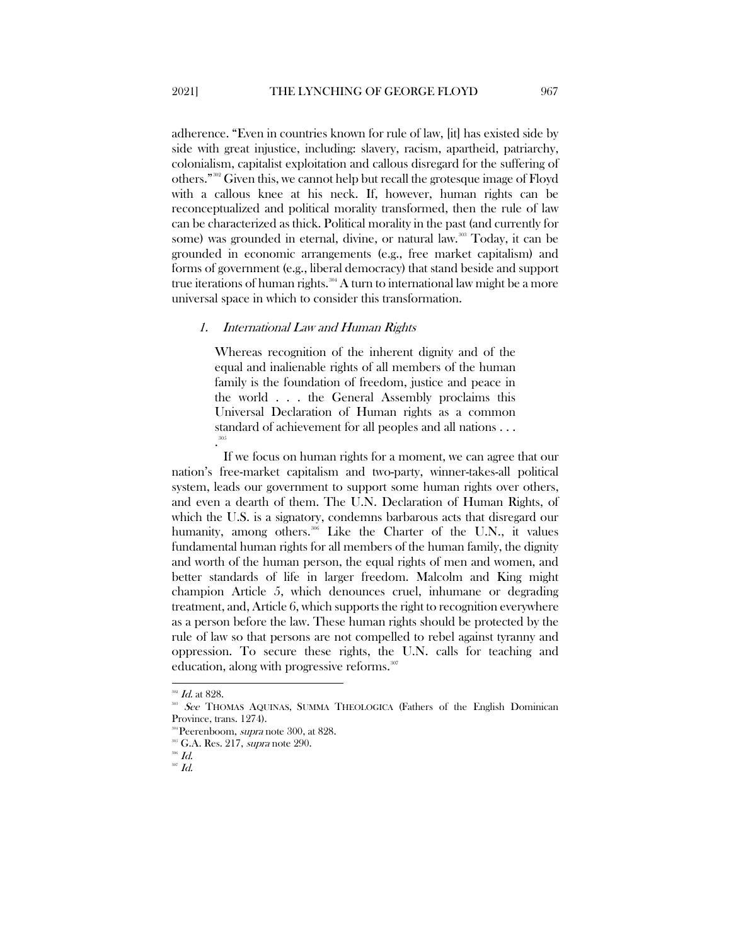adherence. "Even in countries known for rule of law, [it] has existed side by side with great injustice, including: slavery, racism, apartheid, patriarchy, colonialism, capitalist exploitation and callous disregard for the suffering of others."[302](#page-39-1) Given this, we cannot help but recall the grotesque image of Floyd with a callous knee at his neck. If, however, human rights can be reconceptualized and political morality transformed, then the rule of law can be characterized as thick. Political morality in the past (and currently for some) was grounded in eternal, divine, or natural law.<sup>[303](#page-39-2)</sup> Today, it can be grounded in economic arrangements (e.g., free market capitalism) and forms of government (e.g., liberal democracy) that stand beside and support true iterations of human rights.<sup>[304](#page-39-3)</sup> A turn to international law might be a more universal space in which to consider this transformation.

#### <span id="page-39-0"></span>1. International Law and Human Rights

Whereas recognition of the inherent dignity and of the equal and inalienable rights of all members of the human family is the foundation of freedom, justice and peace in the world . . . the General Assembly proclaims this Universal Declaration of Human rights as a common standard of achievement for all peoples and all nations . . . . [305](#page-39-4)

If we focus on human rights for a moment, we can agree that our nation's free-market capitalism and two-party, winner-takes-all political system, leads our government to support some human rights over others, and even a dearth of them. The U.N. Declaration of Human Rights, of which the U.S. is a signatory, condemns barbarous acts that disregard our humanity, among others.<sup>[306](#page-39-5)</sup> Like the Charter of the U.N., it values fundamental human rights for all members of the human family, the dignity and worth of the human person, the equal rights of men and women, and better standards of life in larger freedom. Malcolm and King might champion Article 5, which denounces cruel, inhumane or degrading treatment, and, Article 6, which supports the right to recognition everywhere as a person before the law. These human rights should be protected by the rule of law so that persons are not compelled to rebel against tyranny and oppression. To secure these rights, the U.N. calls for teaching and education, along with progressive reforms.<sup>[307](#page-39-6)</sup>

<span id="page-39-1"></span> $302$  *Id.* at 828.

<span id="page-39-2"></span>See THOMAS AQUINAS, SUMMA THEOLOGICA (Fathers of the English Dominican Province, trans. 1274).

<span id="page-39-3"></span><sup>&</sup>lt;sup>304</sup> Peerenboom, *supra* note 300, at 828.<br><sup>305</sup> G.A. Res. 217, *supra* note 290.

<span id="page-39-6"></span><span id="page-39-5"></span><span id="page-39-4"></span> $^{306}$   $\emph{Id.}$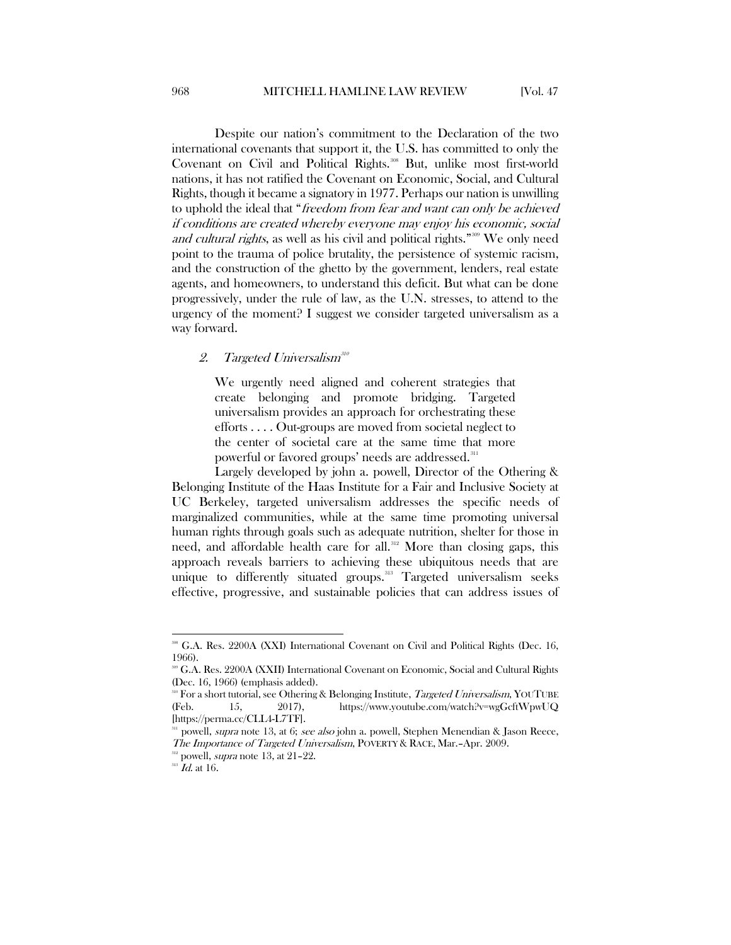Despite our nation's commitment to the Declaration of the two international covenants that support it, the U.S. has committed to only the Covenant on Civil and Political Rights.<sup>[308](#page-40-1)</sup> But, unlike most first-world nations, it has not ratified the Covenant on Economic, Social, and Cultural Rights, though it became a signatory in 1977. Perhaps our nation is unwilling to uphold the ideal that "freedom from fear and want can only be achieved if conditions are created whereby everyone may enjoy his economic, social and cultural rights, as well as his civil and political rights."<sup>[309](#page-40-2)</sup> We only need point to the trauma of police brutality, the persistence of systemic racism, and the construction of the ghetto by the government, lenders, real estate agents, and homeowners, to understand this deficit. But what can be done progressively, under the rule of law, as the U.N. stresses, to attend to the urgency of the moment? I suggest we consider targeted universalism as a way forward.

#### <span id="page-40-0"></span>2. Targeted Universalism $^{310}$  $^{310}$  $^{310}$

We urgently need aligned and coherent strategies that create belonging and promote bridging. Targeted universalism provides an approach for orchestrating these efforts . . . . Out-groups are moved from societal neglect to the center of societal care at the same time that more powerful or favored groups' needs are addressed.<sup>[311](#page-40-4)</sup>

Largely developed by john a. powell, Director of the Othering & Belonging Institute of the Haas Institute for a Fair and Inclusive Society at UC Berkeley, targeted universalism addresses the specific needs of marginalized communities, while at the same time promoting universal human rights through goals such as adequate nutrition, shelter for those in need, and affordable health care for all.<sup>[312](#page-40-5)</sup> More than closing gaps, this approach reveals barriers to achieving these ubiquitous needs that are unique to differently situated groups.<sup>[313](#page-40-6)</sup> Targeted universalism seeks effective, progressive, and sustainable policies that can address issues of

 $\overline{\phantom{a}}$ 

<span id="page-40-1"></span><sup>&</sup>lt;sup>308</sup> [G.A.](https://www.ohchr.org/en/professionalinterest/pages/ccpr.aspx) Res. 2200A (XXI) International Covenant on Civil and Political Rights (Dec. 16, 1966).<br>309 G.A. Res. 2200A (XXII) International Covenant on Economic, Social and Cultural Rights

<span id="page-40-2"></span><sup>(</sup>Dec. 16, 1966) (emphasis added).

<span id="page-40-3"></span><sup>&</sup>lt;sup>310</sup> For a short tutorial, see Othering & Belonging Institute, *Targeted Universalism*, YOUTUBE (Feb. 15, 2017), https://www.youtube.com/watch?v=wgGcftWpwUQ [https://perma.cc/CLL4-L7TF].

<span id="page-40-4"></span>powell, *supra* note 13, at 6; see also john a. powell, Stephen Menendian & Jason Reece, The Importance of Targeted Universalism, POVERTY & RACE, Mar.–Apr. 2009.<br><sup>312</sup> powell, *supra* note 13, at 21–22.

<span id="page-40-6"></span><span id="page-40-5"></span> $313$   $\dot{I}$ d. at 16.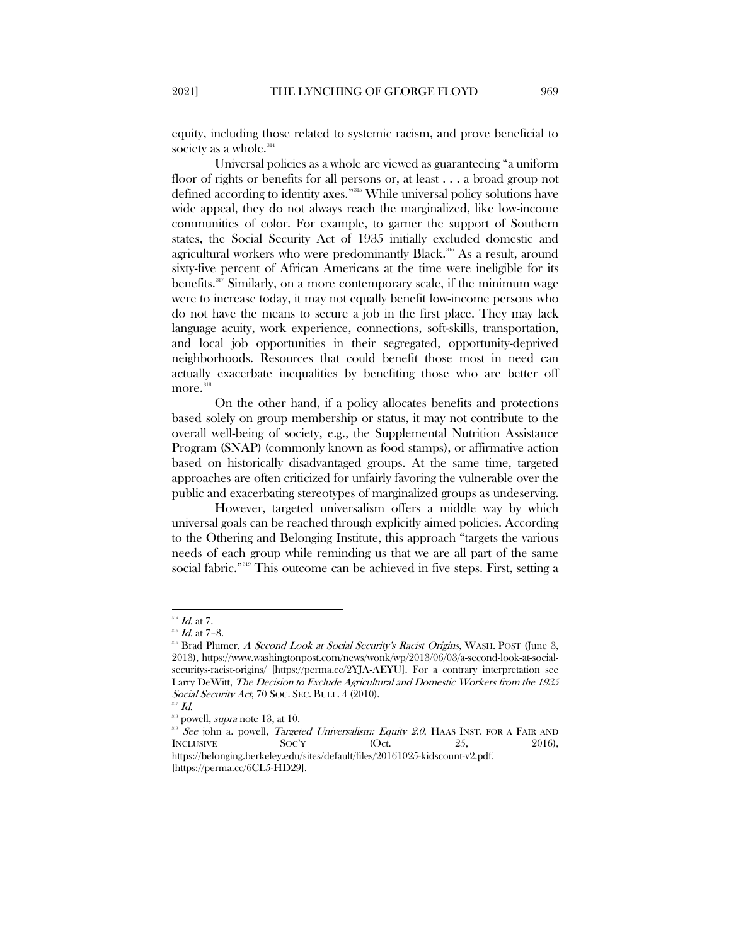equity, including those related to systemic racism, and prove beneficial to society as a whole. $314$ 

Universal policies as a whole are viewed as guaranteeing "a uniform floor of rights or benefits for all persons or, at least . . . a broad group not defined according to identity axes."[315](#page-41-1) While universal policy solutions have wide appeal, they do not always reach the marginalized, like low-income communities of color. For example, to garner the support of Southern states, the Social Security Act of 1935 initially excluded domestic and agricultural workers who were predominantly Black.<sup>[316](#page-41-2)</sup> As a result, around sixty-five percent of African Americans at the time were ineligible for its benefits.<sup>[317](#page-41-3)</sup> Similarly, on a more contemporary scale, if the minimum wage were to increase today, it may not equally benefit low-income persons who do not have the means to secure a job in the first place. They may lack language acuity, work experience, connections, soft-skills, transportation, and local job opportunities in their segregated, opportunity-deprived neighborhoods. Resources that could benefit those most in need can actually exacerbate inequalities by benefiting those who are better off more.<sup>[318](#page-41-4)</sup>

On the other hand, if a policy allocates benefits and protections based solely on group membership or status, it may not contribute to the overall well-being of society, e.g., the Supplemental Nutrition Assistance Program (SNAP) (commonly known as food stamps), or affirmative action based on historically disadvantaged groups. At the same time, targeted approaches are often criticized for unfairly favoring the vulnerable over the public and exacerbating stereotypes of marginalized groups as undeserving.

However, targeted universalism offers a middle way by which universal goals can be reached through explicitly aimed policies. According to the Othering and Belonging Institute, this approach "targets the various needs of each group while reminding us that we are all part of the same social fabric."<sup>[319](#page-41-5)</sup> This outcome can be achieved in five steps. First, setting a

<span id="page-41-0"></span> $^{314}$  *Id.* at 7.

<span id="page-41-1"></span> $^{315}$  *Id.* at 7-8.

<span id="page-41-2"></span><sup>&</sup>lt;sup>316</sup> Brad Plumer, A Second Look at Social Security's Racist Origins, WASH. POST (June 3, 2013), https://www.washingtonpost.com/news/wonk/wp/2013/06/03/a-second-look-at-socialsecuritys-racist-origins/ [https://perma.cc/2YJA-AEYU]. For a contrary interpretation see Larry DeWitt, The Decision to Exclude Agricultural and Domestic Workers from the 1935 Social Security Act, 70 SOC. SEC. BULL. 4 (2010).

<span id="page-41-4"></span><span id="page-41-3"></span> $\overline{1}$ 

powell, *supra* note 13, at 10.

<span id="page-41-5"></span>See john a. powell, *Targeted Universalism: Equity 2.0*, HAAS INST. FOR A FAIR AND INCLUSIVE  $SocY$  (Oct. 25, 2016), https://belonging.berkeley.edu/sites/default/files/20161025-kidscount-v2.pdf.

<sup>[</sup>https://perma.cc/6CL5-HD29].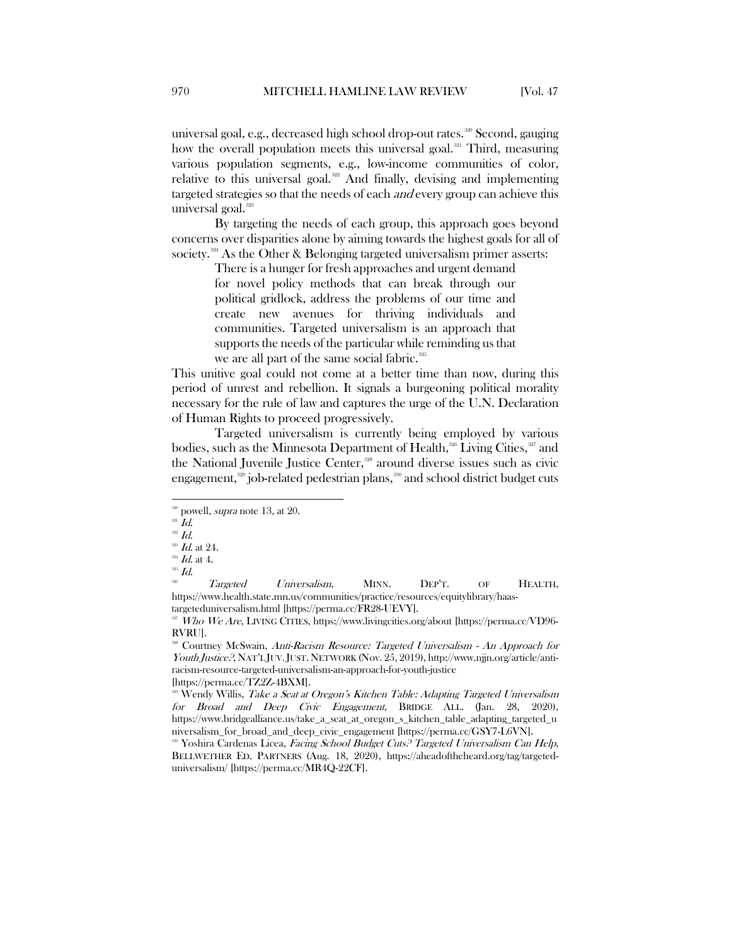universal goal, e.g., decreased high school drop-out rates.<sup>[320](#page-42-0)</sup> Second, gauging how the overall population meets this universal goal.<sup>[321](#page-42-1)</sup> Third, measuring various population segments, e.g., low-income communities of color, relative to this universal goal.<sup>[322](#page-42-2)</sup> And finally, devising and implementing targeted strategies so that the needs of each *and* every group can achieve this universal goal.<sup>[323](#page-42-3)</sup>

By targeting the needs of each group, this approach goes beyond concerns over disparities alone by aiming towards the highest goals for all of society.<sup>[324](#page-42-4)</sup> As the Other & Belonging targeted universalism primer asserts:

> There is a hunger for fresh approaches and urgent demand for novel policy methods that can break through our political gridlock, address the problems of our time and create new avenues for thriving individuals and communities. Targeted universalism is an approach that supports the needs of the particular while reminding us that we are all part of the same social fabric.<sup>[325](#page-42-5)</sup>

This unitive goal could not come at a better time than now, during this period of unrest and rebellion. It signals a burgeoning political morality necessary for the rule of law and captures the urge of the U.N. Declaration of Human Rights to proceed progressively.

Targeted universalism is currently being employed by various bodies, such as the Minnesota Department of Health,<sup>[326](#page-42-6)</sup> Living Cities,<sup>327</sup> and the National Juvenile Justice Center,<sup>[328](#page-42-8)</sup> around diverse issues such as civic engagement, $329$  job-related pedestrian plans, $330$  and school district budget cuts

<span id="page-42-6"></span>Targeted Universalism, MINN. DEP'T. OF HEALTH, https://www.health.state.mn.us/communities/practice/resources/equitylibrary/haas-

<span id="page-42-8"></span><sup>328</sup> Courtney McSwain, Anti-Racism Resource: Targeted Universalism - An Approach for Youth Justice?, NAT'L JUV.JUST. NETWORK (Nov. 25, 2019), http://www.njjn.org/article/antiracism-resource-targeted-universalism-an-approach-for-youth-justice [https://perma.cc/TZ2Z-4BXM].

<span id="page-42-0"></span> $\frac{320}{20}$  powell, *supra* note 13, at 20.  $Id$ .

<span id="page-42-2"></span><span id="page-42-1"></span> $322$   $Id.$ 

<span id="page-42-3"></span> $^{323}$  Id. at 24.

<span id="page-42-5"></span><span id="page-42-4"></span><sup>&</sup>lt;sup>324</sup> *Id.* at 4.<br><sup>325</sup> *Id.*<br><sup>326</sup> *T* 

<span id="page-42-7"></span> $\overline{w}$  Who We Are, LIVING CITIES, https://www.livingcities.org/about [https://perma.cc/VD96-RVRU].

<span id="page-42-9"></span><sup>&</sup>lt;sup>329</sup> Wendy Willis, *Take a Seat at Oregon's Kitchen Table: Adapting Targeted Universalism* for Broad and Deep Civic Engagement, BRIDGE ALL. (Jan. 28, 2020), https://www.bridgealliance.us/take\_a\_seat\_at\_oregon\_s\_kitchen\_table\_adapting\_targeted\_u niversalism for broad and deep\_civic\_engagement [https://perma.cc/GSY7-L6VN].

<span id="page-42-10"></span>Yoshira Cardenas Licea, Facing School Budget Cuts? Targeted Universalism Can Help, BELLWETHER ED. PARTNERS (Aug. 18, 2020), https://aheadoftheheard.org/tag/targeteduniversalism/ [https://perma.cc/MR4Q-22CF].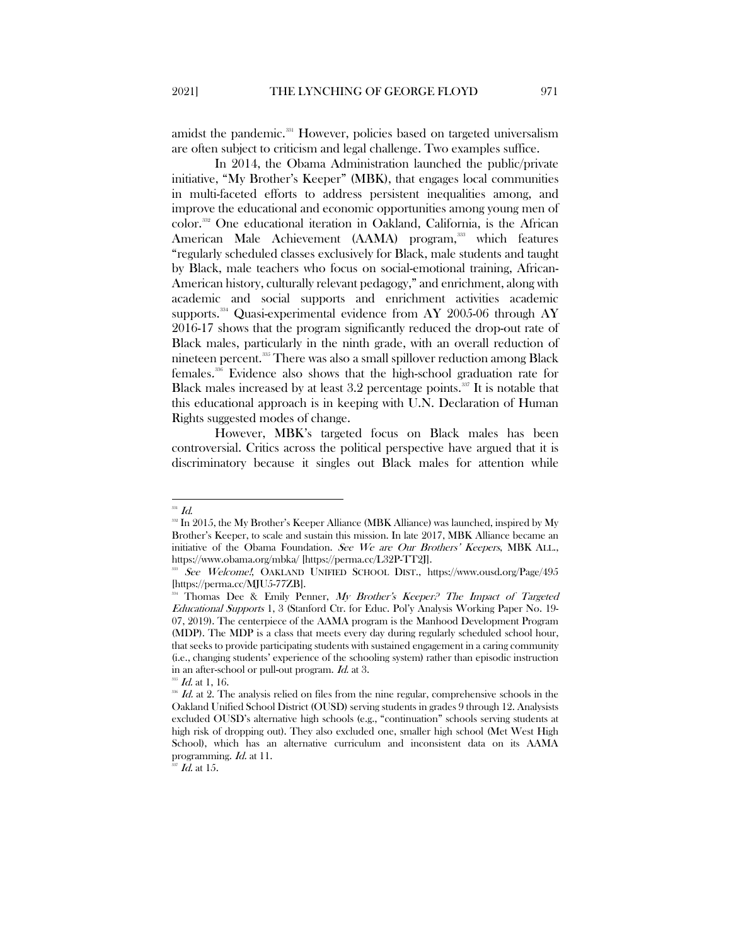amidst the pandemic.<sup>[331](#page-43-0)</sup> However, policies based on targeted universalism are often subject to criticism and legal challenge. Two examples suffice.

In 2014, the Obama Administration launched the public/private initiative, "My Brother's Keeper" (MBK), that engages local communities in multi-faceted efforts to address persistent inequalities among, and improve the educational and economic opportunities among young men of color.[332](#page-43-1) One educational iteration in Oakland, California, is the African American Male Achievement (AAMA) program,<sup>[333](#page-43-2)</sup> which features "regularly scheduled classes exclusively for Black, male students and taught by Black, male teachers who focus on social-emotional training, African-American history, culturally relevant pedagogy," and enrichment, along with academic and social supports and enrichment activities academic supports.<sup>334</sup> Quasi-experimental evidence from AY 2005-06 through AY 2016-17 shows that the program significantly reduced the drop-out rate of Black males, particularly in the ninth grade, with an overall reduction of nineteen percent.[335](#page-43-4) There was also a small spillover reduction among Black females. [336](#page-43-5) Evidence also shows that the high-school graduation rate for Black males increased by at least  $3.2$  percentage points.<sup>[337](#page-43-6)</sup> It is notable that this educational approach is in keeping with U.N. Declaration of Human Rights suggested modes of change.

However, MBK's targeted focus on Black males has been controversial. Critics across the political perspective have argued that it is discriminatory because it singles out Black males for attention while

<span id="page-43-0"></span> $^{331}$   $\emph{Id.}$ 

<span id="page-43-1"></span><sup>&</sup>lt;sup>332</sup> In 2015, the My Brother's Keeper Alliance (MBK Alliance) was launched, inspired by My Brother's Keeper, to scale and sustain this mission. In late 2017, MBK Alliance became an initiative of the Obama Foundation. See We are Our Brothers' Keepers, MBK ALL., <https://www.obama.org/mbka/> [https://perma.cc/L32P-TT2J].

<span id="page-43-2"></span><sup>333</sup> See Welcome!, OAKLAND UNIFIED SCHOOL DIST., https://www.ousd.org/Page/495 [https://perma.cc/MJU5-77ZB].

<span id="page-43-3"></span>Thomas Dee & Emily Penner, My Brother's Keeper.<sup>9</sup> The Impact of Targeted Educational Supports 1, 3 (Stanford Ctr. for Educ. Pol'y Analysis Working Paper No. 19- 07, 2019). The centerpiece of the AAMA program is the Manhood Development Program (MDP). The MDP is a class that meets every day during regularly scheduled school hour, that seeks to provide participating students with sustained engagement in a caring community (i.e., changing students' experience of the schooling system) rather than episodic instruction in an after-school or pull-out program. Id. at 3.

 $^{335}$  *Id.* at 1, 16.

<span id="page-43-5"></span><span id="page-43-4"></span><sup>336</sup> Id. at 2. The analysis relied on files from the nine regular, comprehensive schools in the Oakland Unified School District (OUSD) serving students in grades 9 through 12. Analysists excluded OUSD's alternative high schools (e.g., "continuation" schools serving students at high risk of dropping out). They also excluded one, smaller high school (Met West High School), which has an alternative curriculum and inconsistent data on its AAMA programming. Id. at 11.

<span id="page-43-6"></span> $^{337}$  *Id.* at 15.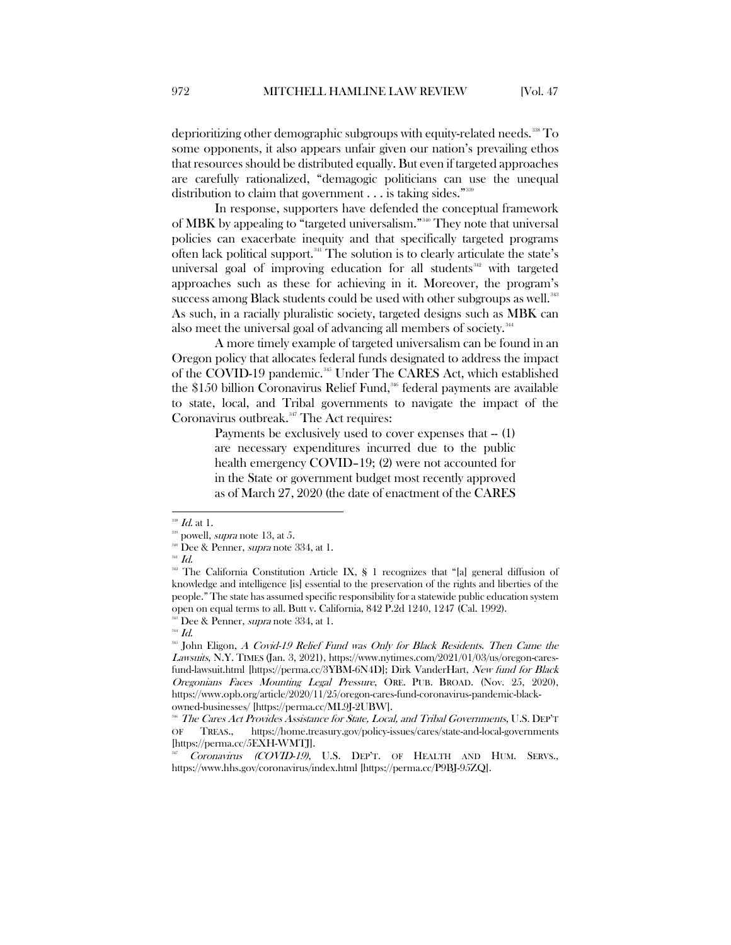deprioritizing other demographic subgroups with equity-related needs.<sup>[338](#page-44-0)</sup> To some opponents, it also appears unfair given our nation's prevailing ethos that resources should be distributed equally. But even if targeted approaches are carefully rationalized, "demagogic politicians can use the unequal distribution to claim that government . . . is taking sides."<sup>339</sup>

In response, supporters have defended the conceptual framework of MBK by appealing to "targeted universalism."[340](#page-44-2) They note that universal policies can exacerbate inequity and that specifically targeted programs often lack political support.<sup>[341](#page-44-3)</sup> The solution is to clearly articulate the state's universal goal of improving education for all students $342$  with targeted approaches such as these for achieving in it. Moreover, the program's success among Black students could be used with other subgroups as well.<sup>[343](#page-44-5)</sup> As such, in a racially pluralistic society, targeted designs such as MBK can also meet the universal goal of advancing all members of society.<sup>[344](#page-44-6)</sup>

A more timely example of targeted universalism can be found in an Oregon policy that allocates federal funds designated to address the impact of the COVID-19 pandemic.<sup>[345](#page-44-7)</sup> Under The CARES Act, which established the \$150 billion Coronavirus Relief Fund,<sup>[346](#page-44-8)</sup> federal payments are available to state, local, and Tribal governments to navigate the impact of the Coronavirus outbreak.<sup>[347](#page-44-9)</sup> The Act requires:

> Payments be exclusively used to cover expenses that  $-$  (1) are necessary expenditures incurred due to the public health emergency COVID–19; (2) were not accounted for in the State or government budget most recently approved as of March 27, 2020 (the date of enactment of the CARES

<span id="page-44-4"></span><sup>342</sup> The California Constitution Article IX, § 1 recognizes that "[a] general diffusion of knowledge and intelligence [is] essential to the preservation of the rights and liberties of the people." The state has assumed specific responsibility for a statewide public education system open on equal terms to all. Butt v. California, 842 P.2d 1240, 1247 (Cal. 1992).

<span id="page-44-7"></span><span id="page-44-6"></span><span id="page-44-5"></span> $^{34}$  Id.

<sup>345</sup> John Eligon, A Covid-19 Relief Fund was Only for Black Residents. Then Came the Lawsuits, N.Y. TIMES (Jan. 3, 2021), https://www.nytimes.com/2021/01/03/us/oregon-caresfund-lawsuit.html [https://perma.cc/3YBM-6N4D]; Dirk VanderHart, New fund for Black Oregonians Faces Mounting Legal Pressure, ORE. PUB. BROAD. (Nov. 25, 2020), https://www.opb.org/article/2020/11/25/oregon-cares-fund-coronavirus-pandemic-blackowned-businesses/ [https://perma.cc/ML9J-2UBW].

<span id="page-44-8"></span><sup>346</sup> The Cares Act Provides Assistance for State, Local, and Tribal Governments, U.S. DEP'T OF TREAS., https://home.treasury.gov/policy-issues/cares/state-and-local-governments [https://perma.cc/5EXH-WMTJ].

<span id="page-44-9"></span>Coronavirus (COVID-19), U.S. DEP'T. OF HEALTH AND HUM. SERVS., https://www.hhs.gov/coronavirus/index.html [https://perma.cc/P9BJ-95ZQ].

 $^{338}$  *Id.* at 1.

<span id="page-44-2"></span><span id="page-44-1"></span><span id="page-44-0"></span>

<sup>&</sup>lt;sup>339</sup> powell, *supra* note 13, at 5.<br><sup>340</sup> Dee & Penner, *supra* note 334, at 1.

<span id="page-44-3"></span> $^{341}$  Id.

 $343$  Dee & Penner, *supra* note 334, at 1.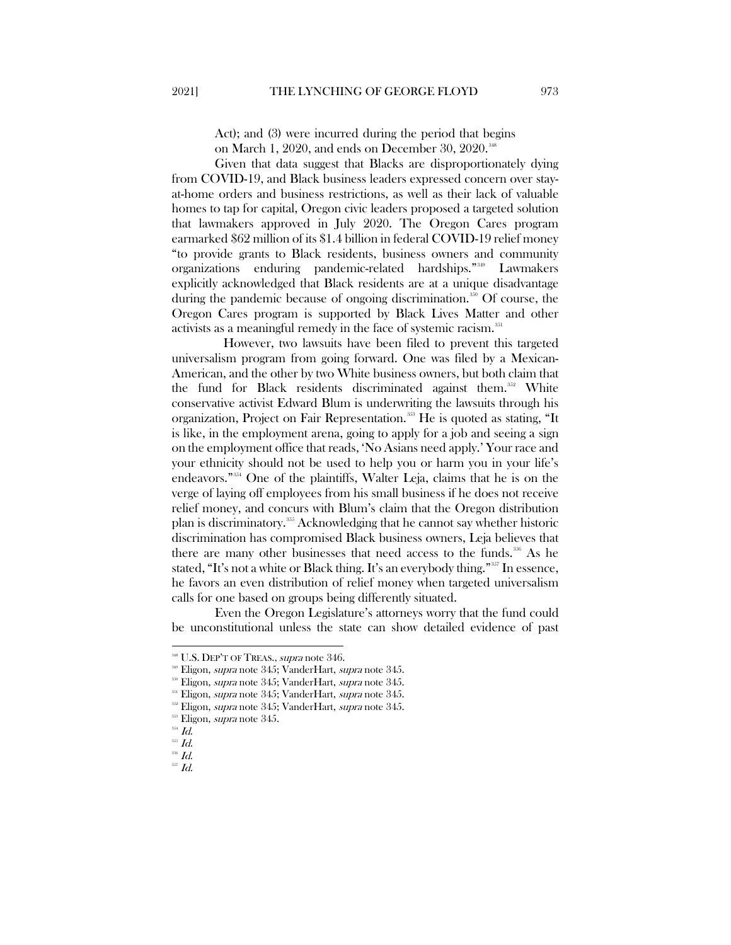Act); and (3) were incurred during the period that begins on March 1, 2020, and ends on December 30, 2020.<sup>[348](#page-45-0)</sup>

Given that data suggest that Blacks are disproportionately dying from COVID-19, and Black business leaders expressed concern over stayat-home orders and business restrictions, as well as their lack of valuable homes to tap for capital, Oregon civic leaders proposed a targeted solution that lawmakers approved in July 2020. The Oregon Cares program earmarked \$62 million of its \$1.4 billion in federal COVID-19 relief money "to provide grants to Black residents, business owners and community organizations enduring pandemic-related hardships."[349](#page-45-1) Lawmakers explicitly acknowledged that Black residents are at a unique disadvantage during the pandemic because of ongoing discrimination.<sup>[350](#page-45-2)</sup> Of course, the Oregon Cares program is supported by Black Lives Matter and other activists as a meaningful remedy in the face of systemic racism.<sup>[351](#page-45-3)</sup>

However, two lawsuits have been filed to prevent this targeted universalism program from going forward. One was filed by a Mexican-American, and the other by two White business owners, but both claim that the fund for Black residents discriminated against them.<sup>[352](#page-45-4)</sup> White conservative activist Edward Blum is underwriting the lawsuits through his organization, Project on Fair Representation.<sup>[353](#page-45-5)</sup> He is quoted as stating, "It is like, in the employment arena, going to apply for a job and seeing a sign on the employment office that reads, 'No Asians need apply.' Your race and your ethnicity should not be used to help you or harm you in your life's endeavors."[354](#page-45-6) One of the plaintiffs, Walter Leja, claims that he is on the verge of laying off employees from his small business if he does not receive relief money, and concurs with Blum's claim that the Oregon distribution plan is discriminatory.[355](#page-45-7) Acknowledging that he cannot say whether historic discrimination has compromised Black business owners, Leja believes that there are many other businesses that need access to the funds.<sup>[356](#page-45-8)</sup> As he stated, "It's not a white or Black thing. It's an everybody thing."<sup>[357](#page-45-9)</sup> In essence, he favors an even distribution of relief money when targeted universalism calls for one based on groups being differently situated.

Even the Oregon Legislature's attorneys worry that the fund could be unconstitutional unless the state can show detailed evidence of past

<span id="page-45-1"></span><span id="page-45-0"></span><sup>&</sup>lt;sup>348</sup> U.S. DEP'T OF TREAS., *supra* note 346.

<sup>&</sup>lt;sup>349</sup> Eligon, *supra* note 345; VanderHart, *supra* note 345.<br><sup>350</sup> Eligon, *supra* note 345; VanderHart, *supra* note 345.

<sup>&</sup>lt;sup>351</sup> Eligon, *supra* note 345; VanderHart, *supra* note 345.

<span id="page-45-4"></span><span id="page-45-3"></span><span id="page-45-2"></span>Eligon, supra note 345; VanderHart, supra note 345.

<span id="page-45-6"></span><span id="page-45-5"></span><sup>&</sup>lt;sup>353</sup> Eligon, *supra* note 345.

 $354$   $Id.$ 

<span id="page-45-7"></span> $^{355}$  Id.

<span id="page-45-9"></span><span id="page-45-8"></span> $356$   $Id.$ 

 $357$   $Id.$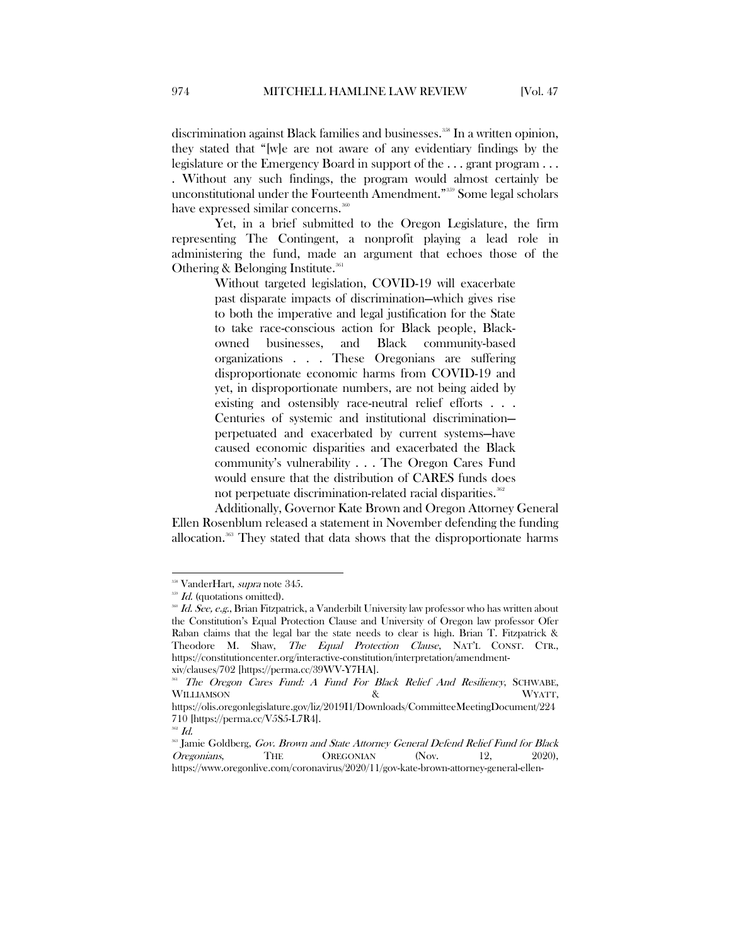discrimination against Black families and businesses.<sup>[358](#page-46-0)</sup> In a written opinion, they stated that "[w]e are not aware of any evidentiary findings by the legislature or the Emergency Board in support of the . . . grant program . . . . Without any such findings, the program would almost certainly be unconstitutional under the Fourteenth Amendment."[359](#page-46-1) Some legal scholars have expressed similar concerns.<sup>[360](#page-46-2)</sup>

Yet, in a brief submitted to the Oregon Legislature, the firm representing The Contingent, a nonprofit playing a lead role in administering the fund, made an argument that echoes those of the Othering & Belonging Institute.<sup>[361](#page-46-3)</sup>

> Without targeted legislation, COVID-19 will exacerbate past disparate impacts of discrimination—which gives rise to both the imperative and legal justification for the State to take race-conscious action for Black people, Blackowned businesses, and Black community-based organizations . . . These Oregonians are suffering disproportionate economic harms from COVID-19 and yet, in disproportionate numbers, are not being aided by existing and ostensibly race-neutral relief efforts . . . Centuries of systemic and institutional discrimination perpetuated and exacerbated by current systems—have caused economic disparities and exacerbated the Black community's vulnerability . . . The Oregon Cares Fund would ensure that the distribution of CARES funds does not perpetuate discrimination-related racial disparities.<sup>[362](#page-46-4)</sup>

Additionally, Governor Kate Brown and Oregon Attorney General Ellen Rosenblum released a statement in November defending the funding allocation.<sup>[363](#page-46-5)</sup> They stated that data shows that the disproportionate harms

<span id="page-46-0"></span><sup>&</sup>lt;sup>358</sup> VanderHart, *supra* note 345.

<span id="page-46-1"></span><sup>&</sup>lt;sup>359</sup> Id. (quotations omitted).

<span id="page-46-2"></span><sup>&</sup>lt;sup>366</sup> Id. See, e.g., Brian Fitzpatrick, a Vanderbilt University law professor who has written about the Constitution's Equal Protection Clause and University of Oregon law professor Ofer Raban claims that the legal bar the state needs to clear is high. Brian T. Fitzpatrick & Theodore M. Shaw, The Equal Protection Clause, NAT'L CONST. CTR., https://constitutioncenter.org/interactive-constitution/interpretation/amendmentxiv/clauses/702 [https://perma.cc/39WV-Y7HA].

<span id="page-46-3"></span><sup>361</sup> The Oregon Cares Fund: A Fund For Black Relief And Resiliency, SCHWABE, WILLIAMSON & WYATT,

https://olis.oregonlegislature.gov/liz/2019I1/Downloads/CommitteeMeetingDocument/224 710 [https://perma.cc/V5S5-L7R4].

<span id="page-46-5"></span><span id="page-46-4"></span><sup>&</sup>lt;sup>362</sup> Id.<br><sup>363</sup> Jamie Goldberg, *Gov. Brown and State Attorney General Defend Relief Fund for Black* Oregonians, THE OREGONIAN (Nov. 12, 2020), https://www.oregonlive.com/coronavirus/2020/11/gov-kate-brown-attorney-general-ellen-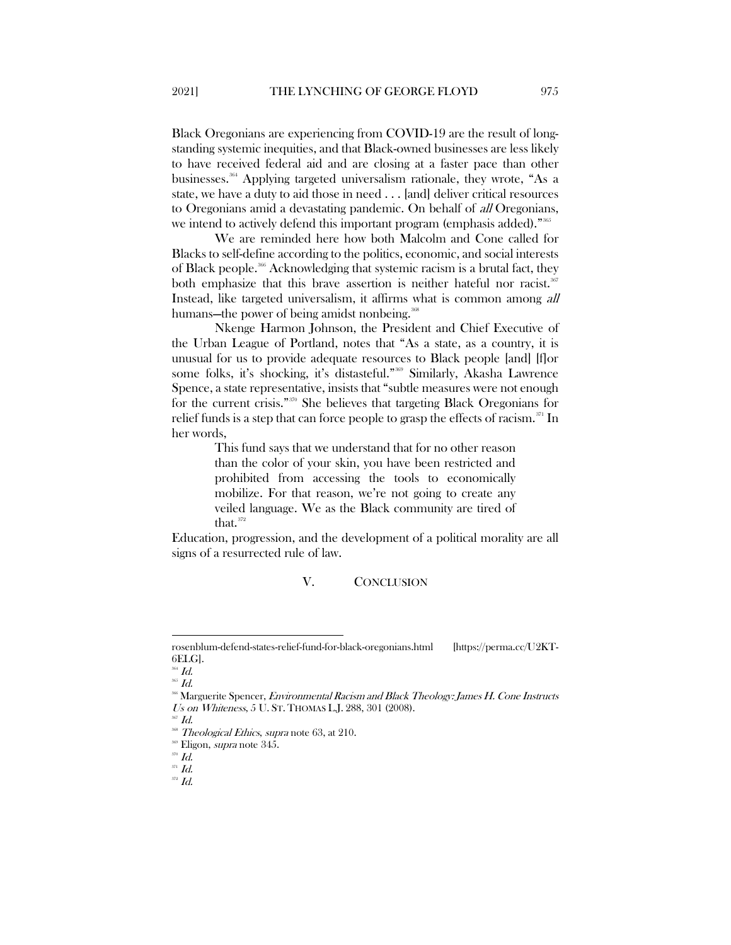Black Oregonians are experiencing from COVID-19 are the result of longstanding systemic inequities, and that Black-owned businesses are less likely to have received federal aid and are closing at a faster pace than other businesses.[364](#page-47-1) Applying targeted universalism rationale, they wrote, "As a state, we have a duty to aid those in need . . . [and] deliver critical resources to Oregonians amid a devastating pandemic. On behalf of all Oregonians, we intend to actively defend this important program (emphasis added)."<sup>[365](#page-47-2)</sup>

We are reminded here how both Malcolm and Cone called for Blacks to self-define according to the politics, economic, and social interests of Black people.<sup>[366](#page-47-3)</sup> Acknowledging that systemic racism is a brutal fact, they both emphasize that this brave assertion is neither hateful nor racist.<sup>367</sup> Instead, like targeted universalism, it affirms what is common among all humans—the power of being amidst nonbeing.<sup>36</sup>

Nkenge Harmon Johnson, the President and Chief Executive of the Urban League of Portland, notes that "As a state, as a country, it is unusual for us to provide adequate resources to Black people [and] [f]or some folks, it's shocking, it's distasteful."<sup>[369](#page-47-6)</sup> Similarly, Akasha Lawrence Spence, a state representative, insists that "subtle measures were not enough for the current crisis."[370](#page-47-7) She believes that targeting Black Oregonians for relief funds is a step that can force people to grasp the effects of racism. $\sum_{n=1}^{371}$  $\sum_{n=1}^{371}$  $\sum_{n=1}^{371}$  In her words,

> This fund says that we understand that for no other reason than the color of your skin, you have been restricted and prohibited from accessing the tools to economically mobilize. For that reason, we're not going to create any veiled language. We as the Black community are tired of that.<sup>[372](#page-47-9)</sup>

<span id="page-47-0"></span>Education, progression, and the development of a political morality are all signs of a resurrected rule of law.

#### V. CONCLUSION

 $\overline{\phantom{a}}$ 

<sup>369</sup> Eligon, *supra* note 345.

rosenblum-defend-states-relief-fund-for-black-oregonians.html [https://perma.cc/U2KT- $6ELG$ ].<br><sup>364</sup> *Id.* 

<span id="page-47-3"></span><span id="page-47-2"></span><span id="page-47-1"></span><sup>365</sup> Id.

<sup>&</sup>lt;sup>366</sup> Marguerite Spencer, *Environmental Racism and Black Theology: James H. Cone Instructs* Us on Whiteness, 5 U. ST. THOMAS L.J. 288, 301 (2008).

<sup>367</sup> Id.

<span id="page-47-5"></span><span id="page-47-4"></span><sup>&</sup>lt;sup>368</sup> Theological Ethics, supra note 63, at 210.

 $370$  *Id.* 

<span id="page-47-9"></span><span id="page-47-8"></span><span id="page-47-7"></span><span id="page-47-6"></span> $371$   $Id.$